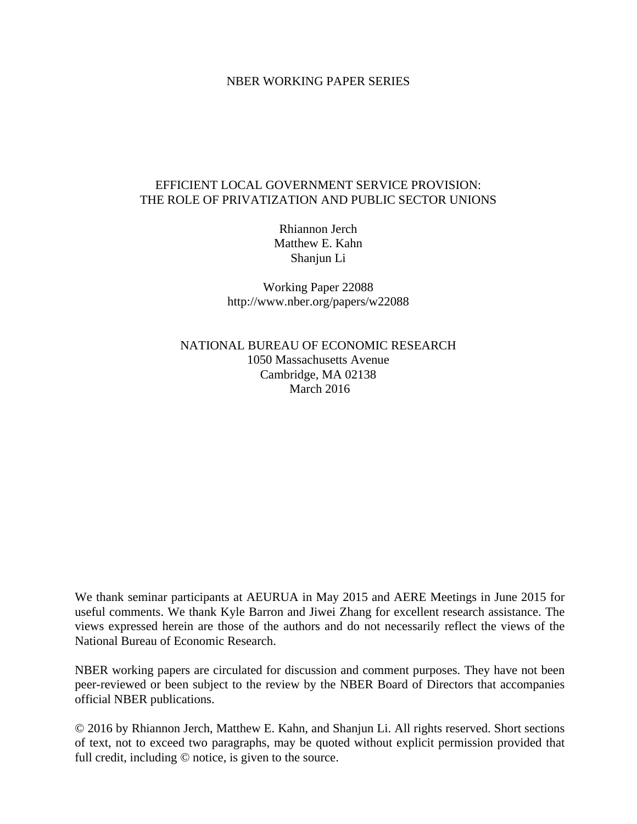## NBER WORKING PAPER SERIES

# EFFICIENT LOCAL GOVERNMENT SERVICE PROVISION: THE ROLE OF PRIVATIZATION AND PUBLIC SECTOR UNIONS

Rhiannon Jerch Matthew E. Kahn Shanjun Li

Working Paper 22088 http://www.nber.org/papers/w22088

NATIONAL BUREAU OF ECONOMIC RESEARCH 1050 Massachusetts Avenue Cambridge, MA 02138 March 2016

We thank seminar participants at AEURUA in May 2015 and AERE Meetings in June 2015 for useful comments. We thank Kyle Barron and Jiwei Zhang for excellent research assistance. The views expressed herein are those of the authors and do not necessarily reflect the views of the National Bureau of Economic Research.

NBER working papers are circulated for discussion and comment purposes. They have not been peer-reviewed or been subject to the review by the NBER Board of Directors that accompanies official NBER publications.

© 2016 by Rhiannon Jerch, Matthew E. Kahn, and Shanjun Li. All rights reserved. Short sections of text, not to exceed two paragraphs, may be quoted without explicit permission provided that full credit, including © notice, is given to the source.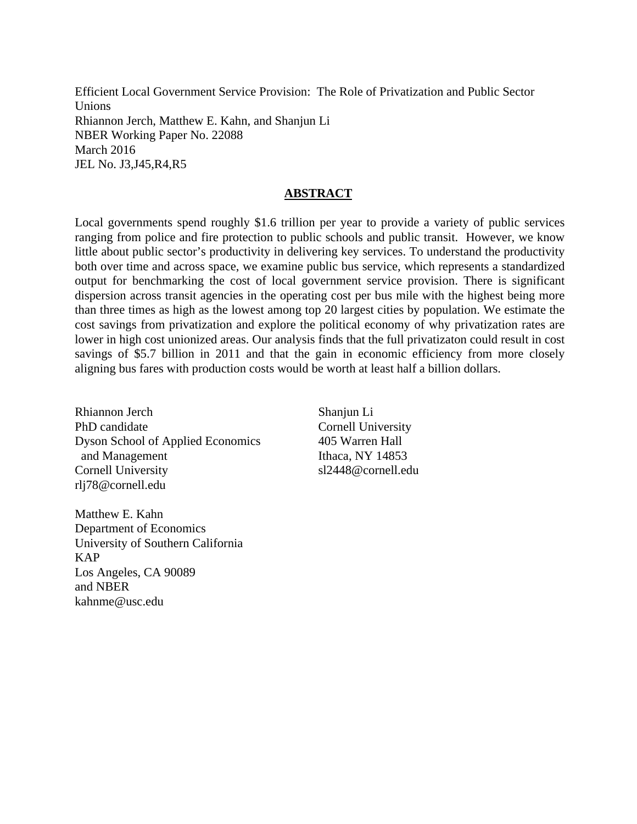Efficient Local Government Service Provision: The Role of Privatization and Public Sector Unions Rhiannon Jerch, Matthew E. Kahn, and Shanjun Li NBER Working Paper No. 22088 March 2016 JEL No. J3,J45,R4,R5

## **ABSTRACT**

Local governments spend roughly \$1.6 trillion per year to provide a variety of public services ranging from police and fire protection to public schools and public transit. However, we know little about public sector's productivity in delivering key services. To understand the productivity both over time and across space, we examine public bus service, which represents a standardized output for benchmarking the cost of local government service provision. There is significant dispersion across transit agencies in the operating cost per bus mile with the highest being more than three times as high as the lowest among top 20 largest cities by population. We estimate the cost savings from privatization and explore the political economy of why privatization rates are lower in high cost unionized areas. Our analysis finds that the full privatizaton could result in cost savings of \$5.7 billion in 2011 and that the gain in economic efficiency from more closely aligning bus fares with production costs would be worth at least half a billion dollars.

Rhiannon Jerch PhD candidate Dyson School of Applied Economics and Management Cornell University rlj78@cornell.edu

Matthew E. Kahn Department of Economics University of Southern California KAP Los Angeles, CA 90089 and NBER kahnme@usc.edu

Shanjun Li Cornell University 405 Warren Hall Ithaca, NY 14853 sl2448@cornell.edu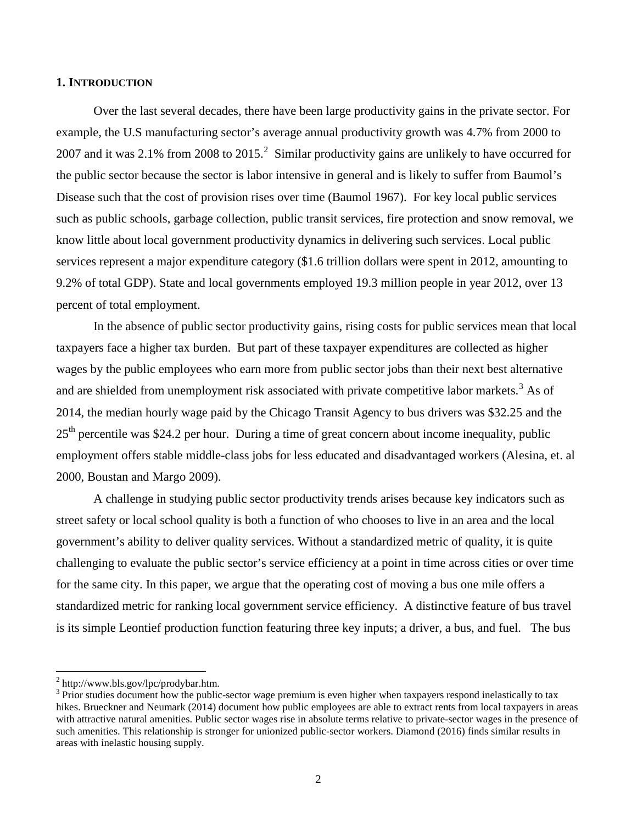### **1. INTRODUCTION**

Over the last several decades, there have been large productivity gains in the private sector. For example, the U.S manufacturing sector's average annual productivity growth was 4.7% from 2000 to [2](#page-2-0)007 and it was 2.1% from 2008 to 2015.<sup>2</sup> Similar productivity gains are unlikely to have occurred for the public sector because the sector is labor intensive in general and is likely to suffer from Baumol's Disease such that the cost of provision rises over time (Baumol 1967). For key local public services such as public schools, garbage collection, public transit services, fire protection and snow removal, we know little about local government productivity dynamics in delivering such services. Local public services represent a major expenditure category (\$1.6 trillion dollars were spent in 2012, amounting to 9.2% of total GDP). State and local governments employed 19.3 million people in year 2012, over 13 percent of total employment.

In the absence of public sector productivity gains, rising costs for public services mean that local taxpayers face a higher tax burden. But part of these taxpayer expenditures are collected as higher wages by the public employees who earn more from public sector jobs than their next best alternative and are shielded from unemployment risk associated with private competitive labor markets.<sup>[3](#page-2-1)</sup> As of 2014, the median hourly wage paid by the Chicago Transit Agency to bus drivers was \$32.25 and the  $25<sup>th</sup>$  percentile was \$24.2 per hour. During a time of great concern about income inequality, public employment offers stable middle-class jobs for less educated and disadvantaged workers (Alesina, et. al 2000, Boustan and Margo 2009).

A challenge in studying public sector productivity trends arises because key indicators such as street safety or local school quality is both a function of who chooses to live in an area and the local government's ability to deliver quality services. Without a standardized metric of quality, it is quite challenging to evaluate the public sector's service efficiency at a point in time across cities or over time for the same city. In this paper, we argue that the operating cost of moving a bus one mile offers a standardized metric for ranking local government service efficiency. A distinctive feature of bus travel is its simple Leontief production function featuring three key inputs; a driver, a bus, and fuel. The bus

 $\overline{\phantom{a}}$ 

<span id="page-2-1"></span>

<span id="page-2-0"></span> $\frac{3}{2}$  http://www.bls.gov/lpc/prodybar.htm.<br> $\frac{3}{2}$  Prior studies document how the public-sector wage premium is even higher when taxpayers respond inelastically to tax hikes. Brueckner and Neumark (2014) document how public employees are able to extract rents from local taxpayers in areas with attractive natural amenities. Public sector wages rise in absolute terms relative to private-sector wages in the presence of such amenities. This relationship is stronger for unionized public-sector workers. Diamond (2016) finds similar results in areas with inelastic housing supply.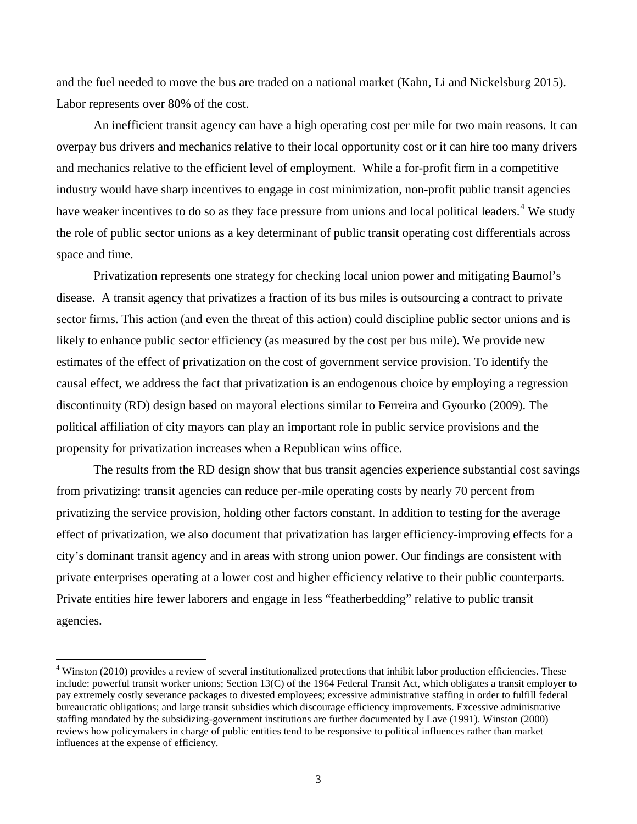and the fuel needed to move the bus are traded on a national market (Kahn, Li and Nickelsburg 2015). Labor represents over 80% of the cost.

An inefficient transit agency can have a high operating cost per mile for two main reasons. It can overpay bus drivers and mechanics relative to their local opportunity cost or it can hire too many drivers and mechanics relative to the efficient level of employment. While a for-profit firm in a competitive industry would have sharp incentives to engage in cost minimization, non-profit public transit agencies have weaker incentives to do so as they face pressure from unions and local political leaders.<sup>[4](#page-3-0)</sup> We study the role of public sector unions as a key determinant of public transit operating cost differentials across space and time.

Privatization represents one strategy for checking local union power and mitigating Baumol's disease. A transit agency that privatizes a fraction of its bus miles is outsourcing a contract to private sector firms. This action (and even the threat of this action) could discipline public sector unions and is likely to enhance public sector efficiency (as measured by the cost per bus mile). We provide new estimates of the effect of privatization on the cost of government service provision. To identify the causal effect, we address the fact that privatization is an endogenous choice by employing a regression discontinuity (RD) design based on mayoral elections similar to Ferreira and Gyourko (2009). The political affiliation of city mayors can play an important role in public service provisions and the propensity for privatization increases when a Republican wins office.

The results from the RD design show that bus transit agencies experience substantial cost savings from privatizing: transit agencies can reduce per-mile operating costs by nearly 70 percent from privatizing the service provision, holding other factors constant. In addition to testing for the average effect of privatization, we also document that privatization has larger efficiency-improving effects for a city's dominant transit agency and in areas with strong union power. Our findings are consistent with private enterprises operating at a lower cost and higher efficiency relative to their public counterparts. Private entities hire fewer laborers and engage in less "featherbedding" relative to public transit agencies.

 $\overline{a}$ 

<span id="page-3-0"></span><sup>&</sup>lt;sup>4</sup> Winston (2010) provides a review of several institutionalized protections that inhibit labor production efficiencies. These include: powerful transit worker unions; Section 13(C) of the 1964 Federal Transit Act, which obligates a transit employer to pay extremely costly severance packages to divested employees; excessive administrative staffing in order to fulfill federal bureaucratic obligations; and large transit subsidies which discourage efficiency improvements. Excessive administrative staffing mandated by the subsidizing-government institutions are further documented by Lave (1991). Winston (2000) reviews how policymakers in charge of public entities tend to be responsive to political influences rather than market influences at the expense of efficiency.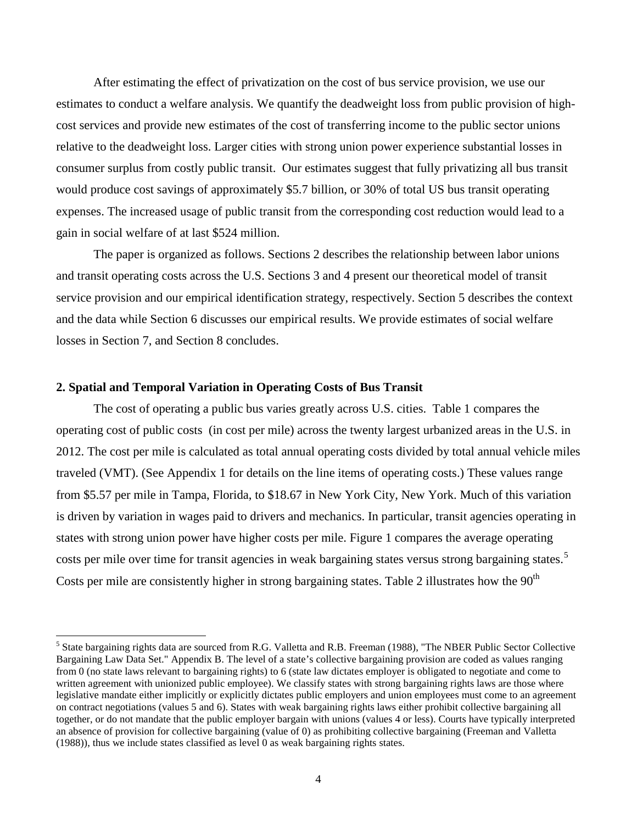After estimating the effect of privatization on the cost of bus service provision, we use our estimates to conduct a welfare analysis. We quantify the deadweight loss from public provision of highcost services and provide new estimates of the cost of transferring income to the public sector unions relative to the deadweight loss. Larger cities with strong union power experience substantial losses in consumer surplus from costly public transit. Our estimates suggest that fully privatizing all bus transit would produce cost savings of approximately \$5.7 billion, or 30% of total US bus transit operating expenses. The increased usage of public transit from the corresponding cost reduction would lead to a gain in social welfare of at last \$524 million.

The paper is organized as follows. Sections 2 describes the relationship between labor unions and transit operating costs across the U.S. Sections 3 and 4 present our theoretical model of transit service provision and our empirical identification strategy, respectively. Section 5 describes the context and the data while Section 6 discusses our empirical results. We provide estimates of social welfare losses in Section 7, and Section 8 concludes.

#### **2. Spatial and Temporal Variation in Operating Costs of Bus Transit**

 $\overline{\phantom{a}}$ 

The cost of operating a public bus varies greatly across U.S. cities. Table 1 compares the operating cost of public costs (in cost per mile) across the twenty largest urbanized areas in the U.S. in 2012. The cost per mile is calculated as total annual operating costs divided by total annual vehicle miles traveled (VMT). (See Appendix 1 for details on the line items of operating costs.) These values range from \$5.57 per mile in Tampa, Florida, to \$18.67 in New York City, New York. Much of this variation is driven by variation in wages paid to drivers and mechanics. In particular, transit agencies operating in states with strong union power have higher costs per mile. Figure 1 compares the average operating costs per mile over time for transit agencies in weak bargaining states versus strong bargaining states.<sup>[5](#page-4-0)</sup> Costs per mile are consistently higher in strong bargaining states. Table 2 illustrates how the  $90<sup>th</sup>$ 

<span id="page-4-0"></span><sup>5</sup> State bargaining rights data are sourced from R.G. Valletta and R.B. Freeman (1988), "The NBER Public Sector Collective Bargaining Law Data Set." Appendix B. The level of a state's collective bargaining provision are coded as values ranging from 0 (no state laws relevant to bargaining rights) to 6 (state law dictates employer is obligated to negotiate and come to written agreement with unionized public employee). We classify states with strong bargaining rights laws are those where legislative mandate either implicitly or explicitly dictates public employers and union employees must come to an agreement on contract negotiations (values 5 and 6). States with weak bargaining rights laws either prohibit collective bargaining all together, or do not mandate that the public employer bargain with unions (values 4 or less). Courts have typically interpreted an absence of provision for collective bargaining (value of 0) as prohibiting collective bargaining (Freeman and Valletta (1988)), thus we include states classified as level 0 as weak bargaining rights states.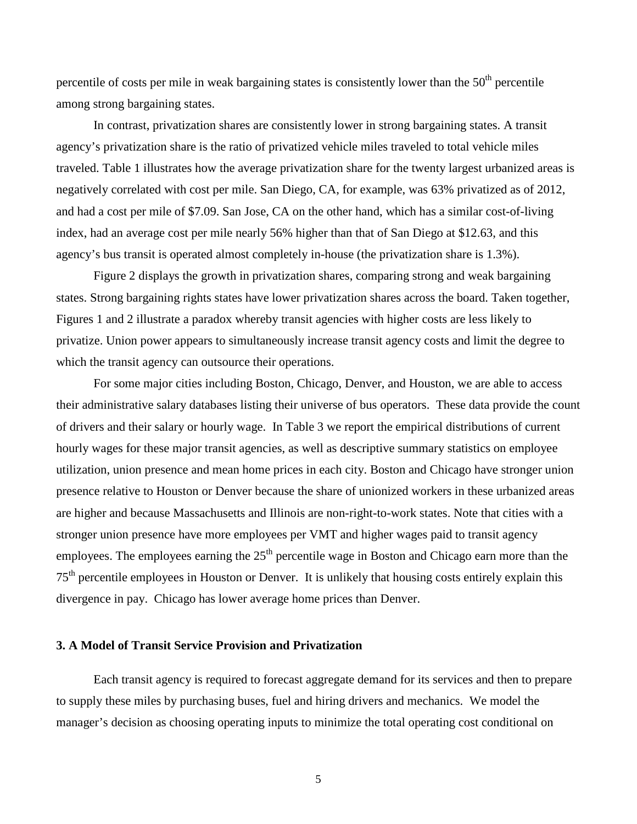percentile of costs per mile in weak bargaining states is consistently lower than the  $50<sup>th</sup>$  percentile among strong bargaining states.

In contrast, privatization shares are consistently lower in strong bargaining states. A transit agency's privatization share is the ratio of privatized vehicle miles traveled to total vehicle miles traveled. Table 1 illustrates how the average privatization share for the twenty largest urbanized areas is negatively correlated with cost per mile. San Diego, CA, for example, was 63% privatized as of 2012, and had a cost per mile of \$7.09. San Jose, CA on the other hand, which has a similar cost-of-living index, had an average cost per mile nearly 56% higher than that of San Diego at \$12.63, and this agency's bus transit is operated almost completely in-house (the privatization share is 1.3%).

Figure 2 displays the growth in privatization shares, comparing strong and weak bargaining states. Strong bargaining rights states have lower privatization shares across the board. Taken together, Figures 1 and 2 illustrate a paradox whereby transit agencies with higher costs are less likely to privatize. Union power appears to simultaneously increase transit agency costs and limit the degree to which the transit agency can outsource their operations.

For some major cities including Boston, Chicago, Denver, and Houston, we are able to access their administrative salary databases listing their universe of bus operators. These data provide the count of drivers and their salary or hourly wage. In Table 3 we report the empirical distributions of current hourly wages for these major transit agencies, as well as descriptive summary statistics on employee utilization, union presence and mean home prices in each city. Boston and Chicago have stronger union presence relative to Houston or Denver because the share of unionized workers in these urbanized areas are higher and because Massachusetts and Illinois are non-right-to-work states. Note that cities with a stronger union presence have more employees per VMT and higher wages paid to transit agency employees. The employees earning the  $25<sup>th</sup>$  percentile wage in Boston and Chicago earn more than the 75<sup>th</sup> percentile employees in Houston or Denver. It is unlikely that housing costs entirely explain this divergence in pay. Chicago has lower average home prices than Denver.

### **3. A Model of Transit Service Provision and Privatization**

Each transit agency is required to forecast aggregate demand for its services and then to prepare to supply these miles by purchasing buses, fuel and hiring drivers and mechanics. We model the manager's decision as choosing operating inputs to minimize the total operating cost conditional on

5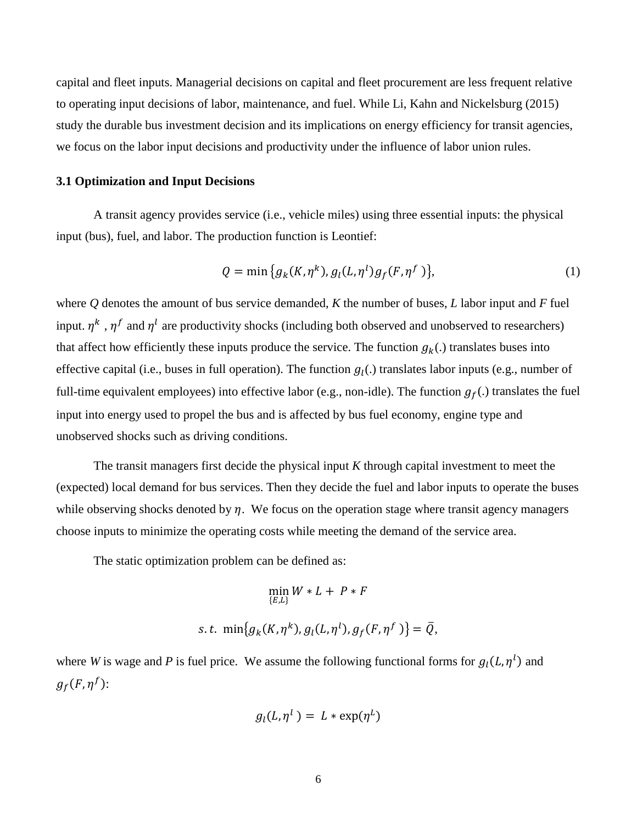capital and fleet inputs. Managerial decisions on capital and fleet procurement are less frequent relative to operating input decisions of labor, maintenance, and fuel. While Li, Kahn and Nickelsburg (2015) study the durable bus investment decision and its implications on energy efficiency for transit agencies, we focus on the labor input decisions and productivity under the influence of labor union rules.

#### **3.1 Optimization and Input Decisions**

A transit agency provides service (i.e., vehicle miles) using three essential inputs: the physical input (bus), fuel, and labor. The production function is Leontief:

$$
Q = \min\{g_k(K, \eta^k), g_l(L, \eta^l)g_f(F, \eta^f)\},\tag{1}
$$

where *Q* denotes the amount of bus service demanded, *K* the number of buses, *L* labor input and *F* fuel input.  $\eta^k$ ,  $\eta^f$  and  $\eta^l$  are productivity shocks (including both observed and unobserved to researchers) that affect how efficiently these inputs produce the service. The function  $g_k(.)$  translates buses into effective capital (i.e., buses in full operation). The function  $g_l(.)$  translates labor inputs (e.g., number of full-time equivalent employees) into effective labor (e.g., non-idle). The function  $g_f(.)$  translates the fuel input into energy used to propel the bus and is affected by bus fuel economy, engine type and unobserved shocks such as driving conditions.

The transit managers first decide the physical input *K* through capital investment to meet the (expected) local demand for bus services. Then they decide the fuel and labor inputs to operate the buses while observing shocks denoted by  $\eta$ . We focus on the operation stage where transit agency managers choose inputs to minimize the operating costs while meeting the demand of the service area.

The static optimization problem can be defined as:

$$
\min_{\{E,L\}} W * L + P * F
$$
  
s.t. 
$$
\min \{g_k(K, \eta^k), g_l(L, \eta^l), g_f(F, \eta^f) \} = \overline{Q},
$$

where *W* is wage and *P* is fuel price. We assume the following functional forms for  $g_l(L, \eta^l)$  and  $g_f(F, \eta^f)$ :

$$
g_l(L,\eta^l) = L * \exp(\eta^L)
$$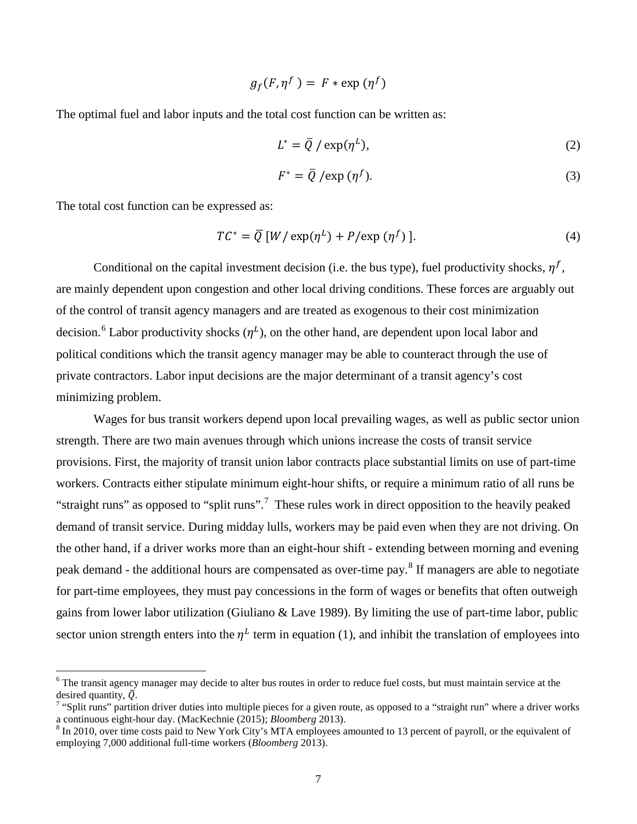$$
g_f(F,\eta^f) = F * \exp(\eta^f)
$$

The optimal fuel and labor inputs and the total cost function can be written as:

$$
L^* = \overline{Q} / \exp(\eta^L), \tag{2}
$$

$$
F^* = \overline{Q} / \exp\left(\eta^f\right). \tag{3}
$$

The total cost function can be expressed as:

l

$$
TC^* = \overline{Q} \left[ W / \exp(\eta^L) + P / \exp(\eta^f) \right]. \tag{4}
$$

Conditional on the capital investment decision (i.e. the bus type), fuel productivity shocks,  $n<sup>f</sup>$ , are mainly dependent upon congestion and other local driving conditions. These forces are arguably out of the control of transit agency managers and are treated as exogenous to their cost minimization decision.<sup>[6](#page-7-0)</sup> Labor productivity shocks  $(\eta^L)$ , on the other hand, are dependent upon local labor and political conditions which the transit agency manager may be able to counteract through the use of private contractors. Labor input decisions are the major determinant of a transit agency's cost minimizing problem.

Wages for bus transit workers depend upon local prevailing wages, as well as public sector union strength. There are two main avenues through which unions increase the costs of transit service provisions. First, the majority of transit union labor contracts place substantial limits on use of part-time workers. Contracts either stipulate minimum eight-hour shifts, or require a minimum ratio of all runs be "straight runs" as opposed to "split runs".<sup>[7](#page-7-1)</sup> These rules work in direct opposition to the heavily peaked demand of transit service. During midday lulls, workers may be paid even when they are not driving. On the other hand, if a driver works more than an eight-hour shift - extending between morning and evening peak demand - the additional hours are compensated as over-time pay. [8](#page-7-2) If managers are able to negotiate for part-time employees, they must pay concessions in the form of wages or benefits that often outweigh gains from lower labor utilization (Giuliano & Lave 1989). By limiting the use of part-time labor, public sector union strength enters into the  $\eta^L$  term in equation (1), and inhibit the translation of employees into

<span id="page-7-0"></span> $6$  The transit agency manager may decide to alter bus routes in order to reduce fuel costs, but must maintain service at the desired quantity,  $\overline{Q}$ .

<span id="page-7-1"></span><sup>&</sup>lt;sup>7</sup> "Split runs" partition driver duties into multiple pieces for a given route, as opposed to a "straight run" where a driver works a continuous eight-hour day. (MacKechnie (2015); *Bloomberg* 2013).

<span id="page-7-2"></span><sup>&</sup>lt;sup>8</sup> In 2010, over time costs paid to New York City's MTA employees amounted to 13 percent of payroll, or the equivalent of employing 7,000 additional full-time workers (*Bloomberg* 2013).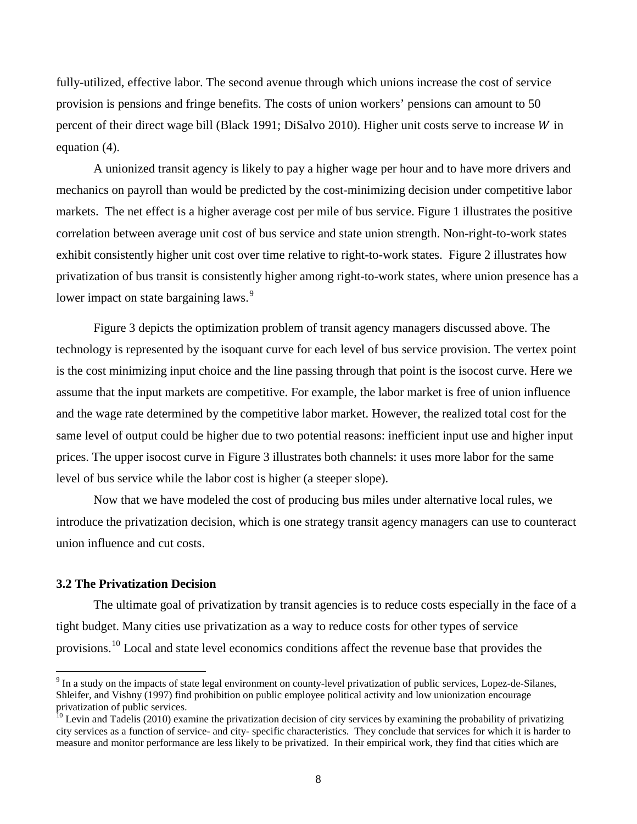fully-utilized, effective labor. The second avenue through which unions increase the cost of service provision is pensions and fringe benefits. The costs of union workers' pensions can amount to 50 percent of their direct wage bill (Black 1991; DiSalvo 2010). Higher unit costs serve to increase  $W$  in equation (4).

A unionized transit agency is likely to pay a higher wage per hour and to have more drivers and mechanics on payroll than would be predicted by the cost-minimizing decision under competitive labor markets. The net effect is a higher average cost per mile of bus service. Figure 1 illustrates the positive correlation between average unit cost of bus service and state union strength. Non-right-to-work states exhibit consistently higher unit cost over time relative to right-to-work states. Figure 2 illustrates how privatization of bus transit is consistently higher among right-to-work states, where union presence has a lower impact on state bargaining laws.<sup>[9](#page-8-0)</sup>

Figure 3 depicts the optimization problem of transit agency managers discussed above. The technology is represented by the isoquant curve for each level of bus service provision. The vertex point is the cost minimizing input choice and the line passing through that point is the isocost curve. Here we assume that the input markets are competitive. For example, the labor market is free of union influence and the wage rate determined by the competitive labor market. However, the realized total cost for the same level of output could be higher due to two potential reasons: inefficient input use and higher input prices. The upper isocost curve in Figure 3 illustrates both channels: it uses more labor for the same level of bus service while the labor cost is higher (a steeper slope).

Now that we have modeled the cost of producing bus miles under alternative local rules, we introduce the privatization decision, which is one strategy transit agency managers can use to counteract union influence and cut costs.

# **3.2 The Privatization Decision**

 $\overline{\phantom{a}}$ 

The ultimate goal of privatization by transit agencies is to reduce costs especially in the face of a tight budget. Many cities use privatization as a way to reduce costs for other types of service provisions.<sup>[10](#page-8-1)</sup> Local and state level economics conditions affect the revenue base that provides the

<span id="page-8-0"></span><sup>9</sup> In a study on the impacts of state legal environment on county-level privatization of public services, Lopez-de-Silanes, Shleifer, and Vishny (1997) find prohibition on public employee political activity and low unionization encourage

<span id="page-8-1"></span> $\frac{10}{10}$  Levin and Tadelis (2010) examine the privatization decision of city services by examining the probability of privatizing city services as a function of service- and city- specific characteristics. They conclude that services for which it is harder to measure and monitor performance are less likely to be privatized. In their empirical work, they find that cities which are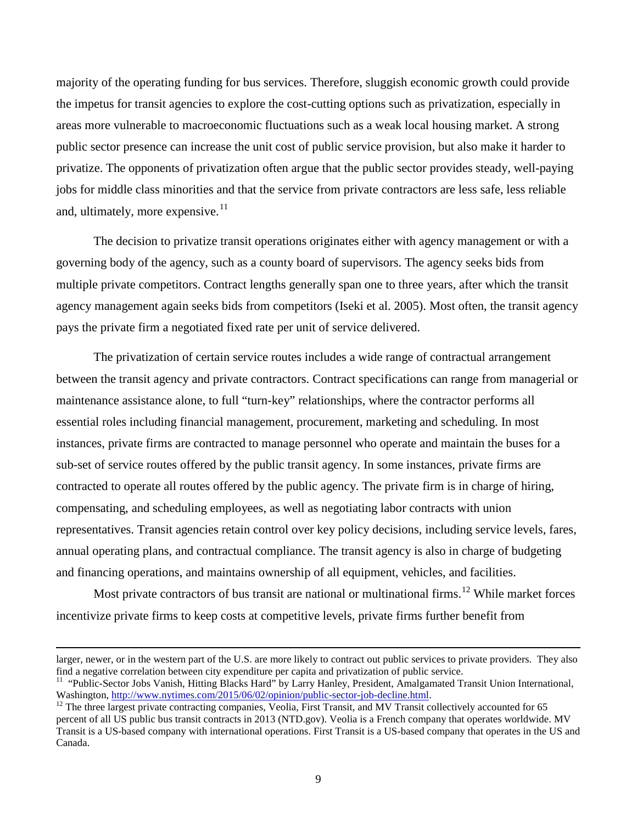majority of the operating funding for bus services. Therefore, sluggish economic growth could provide the impetus for transit agencies to explore the cost-cutting options such as privatization, especially in areas more vulnerable to macroeconomic fluctuations such as a weak local housing market. A strong public sector presence can increase the unit cost of public service provision, but also make it harder to privatize. The opponents of privatization often argue that the public sector provides steady, well-paying jobs for middle class minorities and that the service from private contractors are less safe, less reliable and, ultimately, more expensive. $11$ 

The decision to privatize transit operations originates either with agency management or with a governing body of the agency, such as a county board of supervisors. The agency seeks bids from multiple private competitors. Contract lengths generally span one to three years, after which the transit agency management again seeks bids from competitors (Iseki et al. 2005). Most often, the transit agency pays the private firm a negotiated fixed rate per unit of service delivered.

The privatization of certain service routes includes a wide range of contractual arrangement between the transit agency and private contractors. Contract specifications can range from managerial or maintenance assistance alone, to full "turn-key" relationships, where the contractor performs all essential roles including financial management, procurement, marketing and scheduling. In most instances, private firms are contracted to manage personnel who operate and maintain the buses for a sub-set of service routes offered by the public transit agency. In some instances, private firms are contracted to operate all routes offered by the public agency. The private firm is in charge of hiring, compensating, and scheduling employees, as well as negotiating labor contracts with union representatives. Transit agencies retain control over key policy decisions, including service levels, fares, annual operating plans, and contractual compliance. The transit agency is also in charge of budgeting and financing operations, and maintains ownership of all equipment, vehicles, and facilities.

Most private contractors of bus transit are national or multinational firms.<sup>[12](#page-9-1)</sup> While market forces incentivize private firms to keep costs at competitive levels, private firms further benefit from

l

larger, newer, or in the western part of the U.S. are more likely to contract out public services to private providers. They also

<span id="page-9-0"></span>find a negative correlation between city expenditure per capita and privatization of public service.<br><sup>11</sup> "Public-Sector Jobs Vanish, Hitting Blacks Hard" by Larry Hanley, President, Amalgamated Transit Union International

<span id="page-9-1"></span><sup>&</sup>lt;sup>12</sup> The three largest private contracting companies, Veolia, First Transit, and MV Transit collectively accounted for 65 percent of all US public bus transit contracts in 2013 (NTD.gov). Veolia is a French company that operates worldwide. MV Transit is a US-based company with international operations. First Transit is a US-based company that operates in the US and Canada.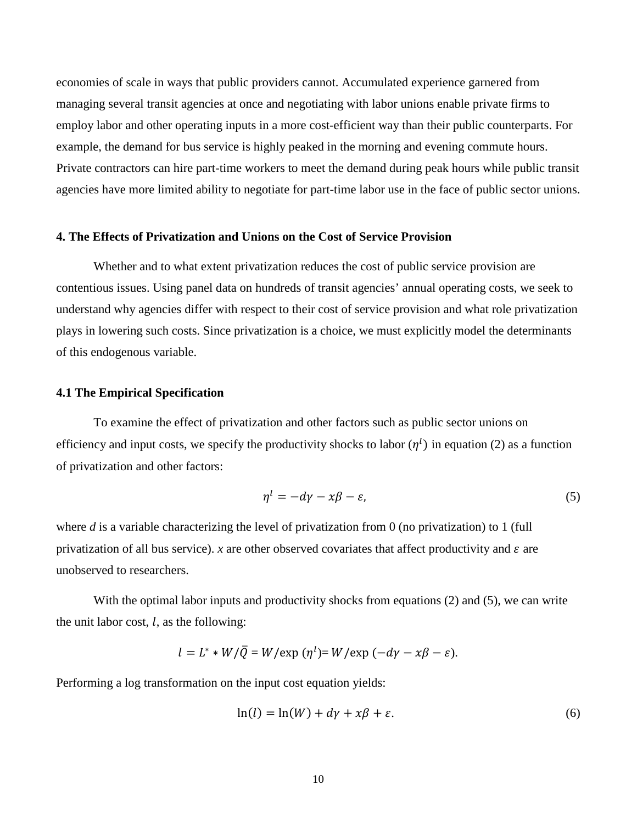economies of scale in ways that public providers cannot. Accumulated experience garnered from managing several transit agencies at once and negotiating with labor unions enable private firms to employ labor and other operating inputs in a more cost-efficient way than their public counterparts. For example, the demand for bus service is highly peaked in the morning and evening commute hours. Private contractors can hire part-time workers to meet the demand during peak hours while public transit agencies have more limited ability to negotiate for part-time labor use in the face of public sector unions.

#### **4. The Effects of Privatization and Unions on the Cost of Service Provision**

Whether and to what extent privatization reduces the cost of public service provision are contentious issues. Using panel data on hundreds of transit agencies' annual operating costs, we seek to understand why agencies differ with respect to their cost of service provision and what role privatization plays in lowering such costs. Since privatization is a choice, we must explicitly model the determinants of this endogenous variable.

#### **4.1 The Empirical Specification**

To examine the effect of privatization and other factors such as public sector unions on efficiency and input costs, we specify the productivity shocks to labor  $(\eta^l)$  in equation (2) as a function of privatization and other factors:

$$
\eta^l = -d\gamma - x\beta - \varepsilon,\tag{5}
$$

where *d* is a variable characterizing the level of privatization from 0 (no privatization) to 1 (full privatization of all bus service). *x* are other observed covariates that affect productivity and  $\varepsilon$  are unobserved to researchers.

With the optimal labor inputs and productivity shocks from equations (2) and (5), we can write the unit labor cost,  $l$ , as the following:

$$
l = L^* * W/\overline{Q} = W/\exp(\eta^l) = W/\exp(-d\gamma - x\beta - \varepsilon).
$$

Performing a log transformation on the input cost equation yields:

$$
\ln(l) = \ln(W) + d\gamma + x\beta + \varepsilon. \tag{6}
$$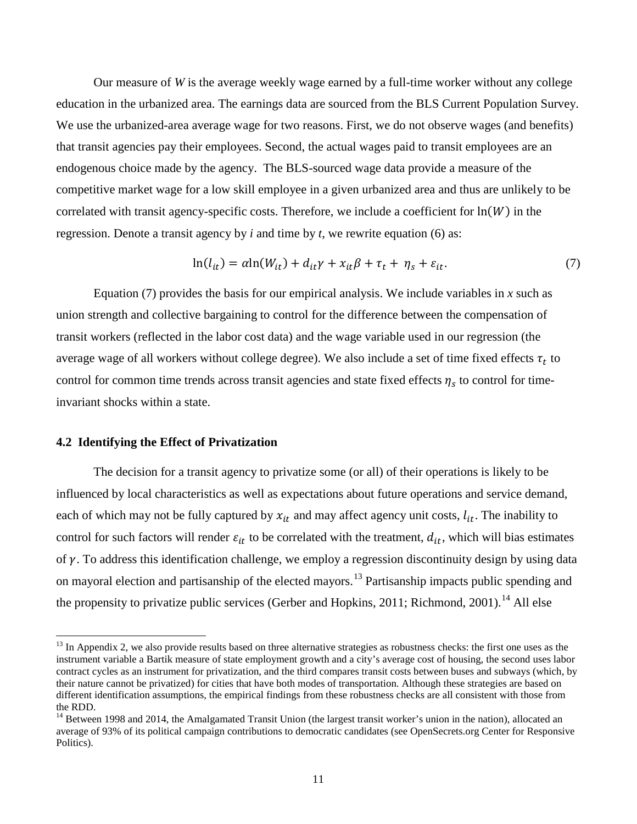Our measure of *W* is the average weekly wage earned by a full-time worker without any college education in the urbanized area. The earnings data are sourced from the BLS Current Population Survey. We use the urbanized-area average wage for two reasons. First, we do not observe wages (and benefits) that transit agencies pay their employees. Second, the actual wages paid to transit employees are an endogenous choice made by the agency. The BLS-sourced wage data provide a measure of the competitive market wage for a low skill employee in a given urbanized area and thus are unlikely to be correlated with transit agency-specific costs. Therefore, we include a coefficient for  $ln(W)$  in the regression. Denote a transit agency by *i* and time by *t*, we rewrite equation (6) as:

$$
\ln(l_{it}) = \alpha \ln(W_{it}) + d_{it}\gamma + x_{it}\beta + \tau_t + \eta_s + \varepsilon_{it}.
$$
\n(7)

Equation  $(7)$  provides the basis for our empirical analysis. We include variables in x such as union strength and collective bargaining to control for the difference between the compensation of transit workers (reflected in the labor cost data) and the wage variable used in our regression (the average wage of all workers without college degree). We also include a set of time fixed effects  $\tau_t$  to control for common time trends across transit agencies and state fixed effects  $\eta_s$  to control for timeinvariant shocks within a state.

#### **4.2 Identifying the Effect of Privatization**

 $\overline{\phantom{a}}$ 

 The decision for a transit agency to privatize some (or all) of their operations is likely to be influenced by local characteristics as well as expectations about future operations and service demand, each of which may not be fully captured by  $x_{it}$  and may affect agency unit costs,  $l_{it}$ . The inability to control for such factors will render  $\varepsilon_{it}$  to be correlated with the treatment,  $d_{it}$ , which will bias estimates of  $\gamma$ . To address this identification challenge, we employ a regression discontinuity design by using data on mayoral election and partisanship of the elected mayors.[13](#page-11-0) Partisanship impacts public spending and the propensity to privatize public services (Gerber and Hopkins, 2011; Richmond, 2001).<sup>[14](#page-11-1)</sup> All else

<span id="page-11-0"></span> $13$  In Appendix 2, we also provide results based on three alternative strategies as robustness checks: the first one uses as the instrument variable a Bartik measure of state employment growth and a city's average cost of housing, the second uses labor contract cycles as an instrument for privatization, and the third compares transit costs between buses and subways (which, by their nature cannot be privatized) for cities that have both modes of transportation. Although these strategies are based on different identification assumptions, the empirical findings from these robustness checks are all consistent with those from the RDD.

<span id="page-11-1"></span><sup>&</sup>lt;sup>14</sup> Between 1998 and 2014, the Amalgamated Transit Union (the largest transit worker's union in the nation), allocated an average of 93% of its political campaign contributions to democratic candidates (see OpenSecrets.org Center for Responsive Politics).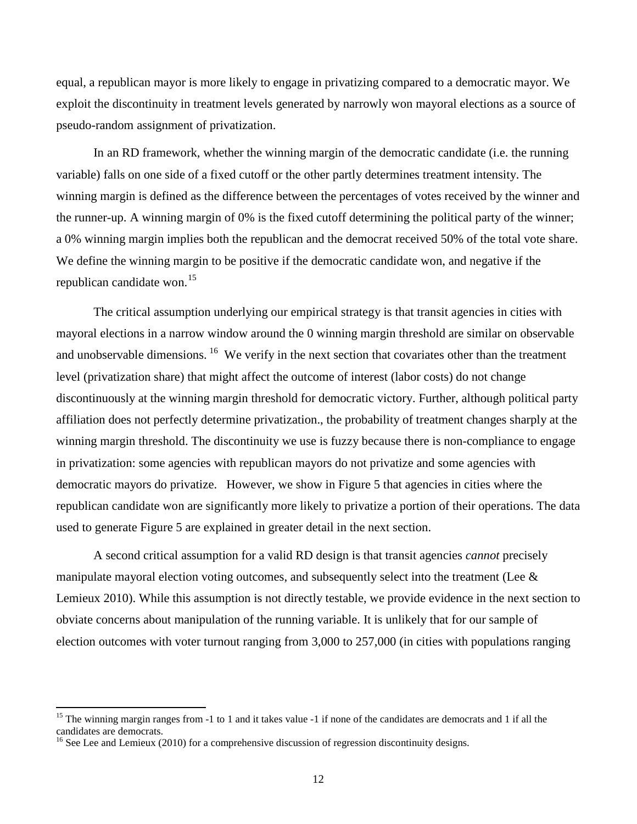equal, a republican mayor is more likely to engage in privatizing compared to a democratic mayor. We exploit the discontinuity in treatment levels generated by narrowly won mayoral elections as a source of pseudo-random assignment of privatization.

In an RD framework, whether the winning margin of the democratic candidate (i.e. the running variable) falls on one side of a fixed cutoff or the other partly determines treatment intensity. The winning margin is defined as the difference between the percentages of votes received by the winner and the runner-up. A winning margin of 0% is the fixed cutoff determining the political party of the winner; a 0% winning margin implies both the republican and the democrat received 50% of the total vote share. We define the winning margin to be positive if the democratic candidate won, and negative if the republican candidate won.<sup>[15](#page-12-0)</sup>

The critical assumption underlying our empirical strategy is that transit agencies in cities with mayoral elections in a narrow window around the 0 winning margin threshold are similar on observable and unobservable dimensions. <sup>16</sup> We verify in the next section that covariates other than the treatment level (privatization share) that might affect the outcome of interest (labor costs) do not change discontinuously at the winning margin threshold for democratic victory. Further, although political party affiliation does not perfectly determine privatization., the probability of treatment changes sharply at the winning margin threshold. The discontinuity we use is fuzzy because there is non-compliance to engage in privatization: some agencies with republican mayors do not privatize and some agencies with democratic mayors do privatize. However, we show in Figure 5 that agencies in cities where the republican candidate won are significantly more likely to privatize a portion of their operations. The data used to generate Figure 5 are explained in greater detail in the next section.

A second critical assumption for a valid RD design is that transit agencies *cannot* precisely manipulate mayoral election voting outcomes, and subsequently select into the treatment (Lee  $\&$ Lemieux 2010). While this assumption is not directly testable, we provide evidence in the next section to obviate concerns about manipulation of the running variable. It is unlikely that for our sample of election outcomes with voter turnout ranging from 3,000 to 257,000 (in cities with populations ranging

 $\overline{\phantom{a}}$ 

<span id="page-12-0"></span><sup>&</sup>lt;sup>15</sup> The winning margin ranges from  $-1$  to 1 and it takes value  $-1$  if none of the candidates are democrats and 1 if all the candidates are democrats.

<span id="page-12-1"></span> $16$  See Lee and Lemieux (2010) for a comprehensive discussion of regression discontinuity designs.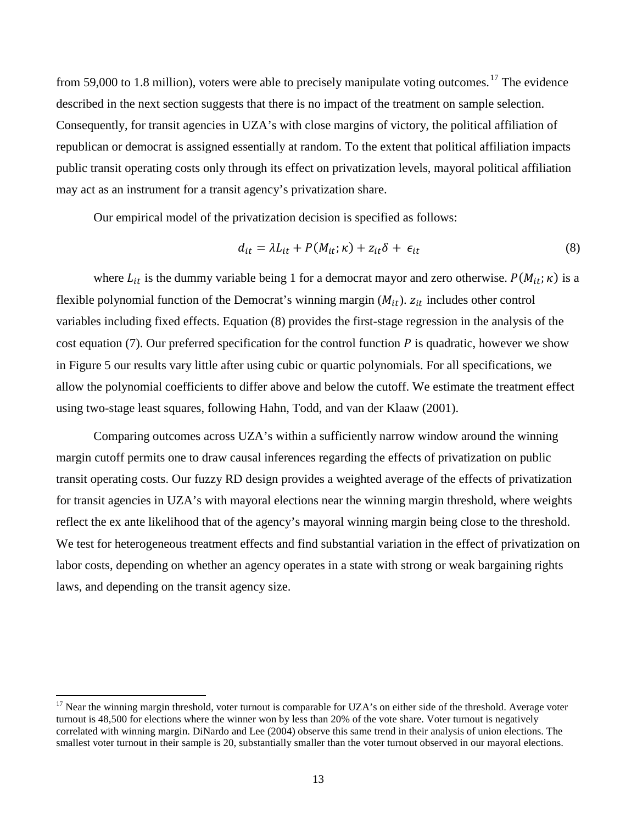from 59,000 to 1.8 million), voters were able to precisely manipulate voting outcomes.<sup>[17](#page-13-0)</sup> The evidence described in the next section suggests that there is no impact of the treatment on sample selection. Consequently, for transit agencies in UZA's with close margins of victory, the political affiliation of republican or democrat is assigned essentially at random. To the extent that political affiliation impacts public transit operating costs only through its effect on privatization levels, mayoral political affiliation may act as an instrument for a transit agency's privatization share.

Our empirical model of the privatization decision is specified as follows:

$$
d_{it} = \lambda L_{it} + P(M_{it}; \kappa) + z_{it}\delta + \epsilon_{it}
$$
\n(8)

where  $L_{it}$  is the dummy variable being 1 for a democrat mayor and zero otherwise.  $P(M_{it}; \kappa)$  is a flexible polynomial function of the Democrat's winning margin  $(M_{it})$ .  $z_{it}$  includes other control variables including fixed effects. Equation (8) provides the first-stage regression in the analysis of the cost equation (7). Our preferred specification for the control function  $P$  is quadratic, however we show in Figure 5 our results vary little after using cubic or quartic polynomials. For all specifications, we allow the polynomial coefficients to differ above and below the cutoff. We estimate the treatment effect using two-stage least squares, following Hahn, Todd, and van der Klaaw (2001).

Comparing outcomes across UZA's within a sufficiently narrow window around the winning margin cutoff permits one to draw causal inferences regarding the effects of privatization on public transit operating costs. Our fuzzy RD design provides a weighted average of the effects of privatization for transit agencies in UZA's with mayoral elections near the winning margin threshold, where weights reflect the ex ante likelihood that of the agency's mayoral winning margin being close to the threshold. We test for heterogeneous treatment effects and find substantial variation in the effect of privatization on labor costs, depending on whether an agency operates in a state with strong or weak bargaining rights laws, and depending on the transit agency size.

 $\overline{a}$ 

<span id="page-13-0"></span> $17$  Near the winning margin threshold, voter turnout is comparable for UZA's on either side of the threshold. Average voter turnout is 48,500 for elections where the winner won by less than 20% of the vote share. Voter turnout is negatively correlated with winning margin. DiNardo and Lee (2004) observe this same trend in their analysis of union elections. The smallest voter turnout in their sample is 20, substantially smaller than the voter turnout observed in our mayoral elections.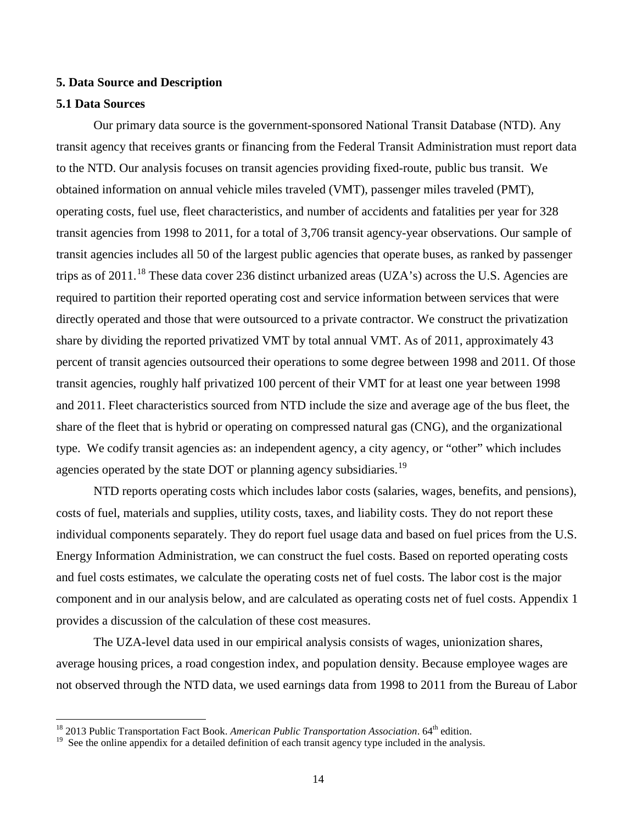#### **5. Data Source and Description**

#### **5.1 Data Sources**

l

Our primary data source is the government-sponsored National Transit Database (NTD). Any transit agency that receives grants or financing from the Federal Transit Administration must report data to the NTD. Our analysis focuses on transit agencies providing fixed-route, public bus transit. We obtained information on annual vehicle miles traveled (VMT), passenger miles traveled (PMT), operating costs, fuel use, fleet characteristics, and number of accidents and fatalities per year for 328 transit agencies from 1998 to 2011, for a total of 3,706 transit agency-year observations. Our sample of transit agencies includes all 50 of the largest public agencies that operate buses, as ranked by passenger trips as of 2011.<sup>[18](#page-14-0)</sup> These data cover 236 distinct urbanized areas (UZA's) across the U.S. Agencies are required to partition their reported operating cost and service information between services that were directly operated and those that were outsourced to a private contractor. We construct the privatization share by dividing the reported privatized VMT by total annual VMT. As of 2011, approximately 43 percent of transit agencies outsourced their operations to some degree between 1998 and 2011. Of those transit agencies, roughly half privatized 100 percent of their VMT for at least one year between 1998 and 2011. Fleet characteristics sourced from NTD include the size and average age of the bus fleet, the share of the fleet that is hybrid or operating on compressed natural gas (CNG), and the organizational type. We codify transit agencies as: an independent agency, a city agency, or "other" which includes agencies operated by the state DOT or planning agency subsidiaries.<sup>[19](#page-14-1)</sup>

NTD reports operating costs which includes labor costs (salaries, wages, benefits, and pensions), costs of fuel, materials and supplies, utility costs, taxes, and liability costs. They do not report these individual components separately. They do report fuel usage data and based on fuel prices from the U.S. Energy Information Administration, we can construct the fuel costs. Based on reported operating costs and fuel costs estimates, we calculate the operating costs net of fuel costs. The labor cost is the major component and in our analysis below, and are calculated as operating costs net of fuel costs. Appendix 1 provides a discussion of the calculation of these cost measures.

The UZA-level data used in our empirical analysis consists of wages, unionization shares, average housing prices, a road congestion index, and population density. Because employee wages are not observed through the NTD data, we used earnings data from 1998 to 2011 from the Bureau of Labor

<span id="page-14-0"></span><sup>&</sup>lt;sup>18</sup> 2013 Public Transportation Fact Book. American Public Transportation Association. 64<sup>th</sup> edition.

<span id="page-14-1"></span><sup>&</sup>lt;sup>19</sup> See the online appendix for a detailed definition of each transit agency type included in the analysis.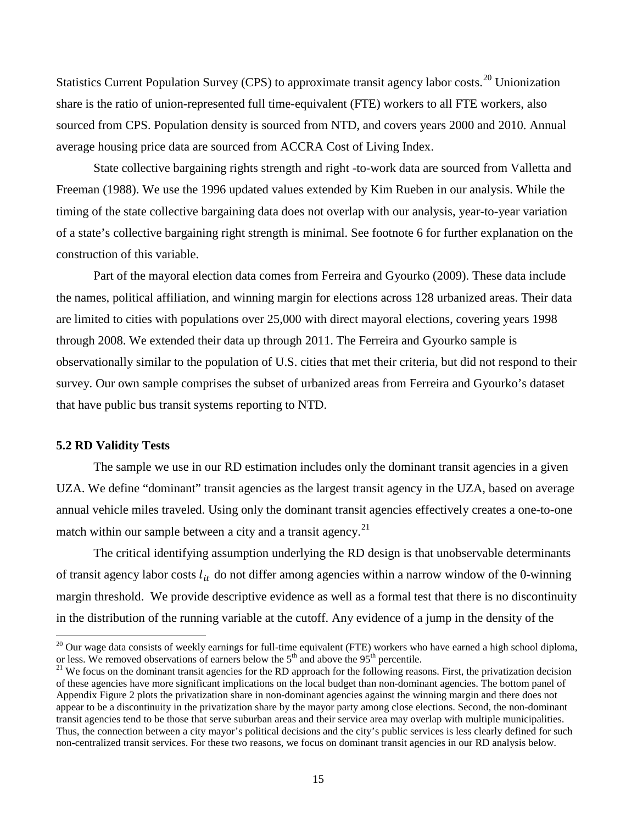Statistics Current Population Survey (CPS) to approximate transit agency labor costs.<sup>20</sup> Unionization share is the ratio of union-represented full time-equivalent (FTE) workers to all FTE workers, also sourced from CPS. Population density is sourced from NTD, and covers years 2000 and 2010. Annual average housing price data are sourced from ACCRA Cost of Living Index.

State collective bargaining rights strength and right -to-work data are sourced from Valletta and Freeman (1988). We use the 1996 updated values extended by Kim Rueben in our analysis. While the timing of the state collective bargaining data does not overlap with our analysis, year-to-year variation of a state's collective bargaining right strength is minimal. See footnote 6 for further explanation on the construction of this variable.

Part of the mayoral election data comes from Ferreira and Gyourko (2009). These data include the names, political affiliation, and winning margin for elections across 128 urbanized areas. Their data are limited to cities with populations over 25,000 with direct mayoral elections, covering years 1998 through 2008. We extended their data up through 2011. The Ferreira and Gyourko sample is observationally similar to the population of U.S. cities that met their criteria, but did not respond to their survey. Our own sample comprises the subset of urbanized areas from Ferreira and Gyourko's dataset that have public bus transit systems reporting to NTD.

## **5.2 RD Validity Tests**

 $\overline{\phantom{a}}$ 

The sample we use in our RD estimation includes only the dominant transit agencies in a given UZA. We define "dominant" transit agencies as the largest transit agency in the UZA, based on average annual vehicle miles traveled. Using only the dominant transit agencies effectively creates a one-to-one match within our sample between a city and a transit agency.<sup>21</sup>

The critical identifying assumption underlying the RD design is that unobservable determinants of transit agency labor costs  $l_{it}$  do not differ among agencies within a narrow window of the 0-winning margin threshold. We provide descriptive evidence as well as a formal test that there is no discontinuity in the distribution of the running variable at the cutoff. Any evidence of a jump in the density of the

<span id="page-15-0"></span> $20$  Our wage data consists of weekly earnings for full-time equivalent (FTE) workers who have earned a high school diploma, or less. We removed observations of earners below the  $5<sup>th</sup>$  and above the 95<sup>th</sup> percentile.<br><sup>21</sup> We focus on the dominant transit agencies for the RD approach for the following reasons. First, the privatization deci

<span id="page-15-1"></span>of these agencies have more significant implications on the local budget than non-dominant agencies. The bottom panel of Appendix Figure 2 plots the privatization share in non-dominant agencies against the winning margin and there does not appear to be a discontinuity in the privatization share by the mayor party among close elections. Second, the non-dominant transit agencies tend to be those that serve suburban areas and their service area may overlap with multiple municipalities. Thus, the connection between a city mayor's political decisions and the city's public services is less clearly defined for such non-centralized transit services. For these two reasons, we focus on dominant transit agencies in our RD analysis below.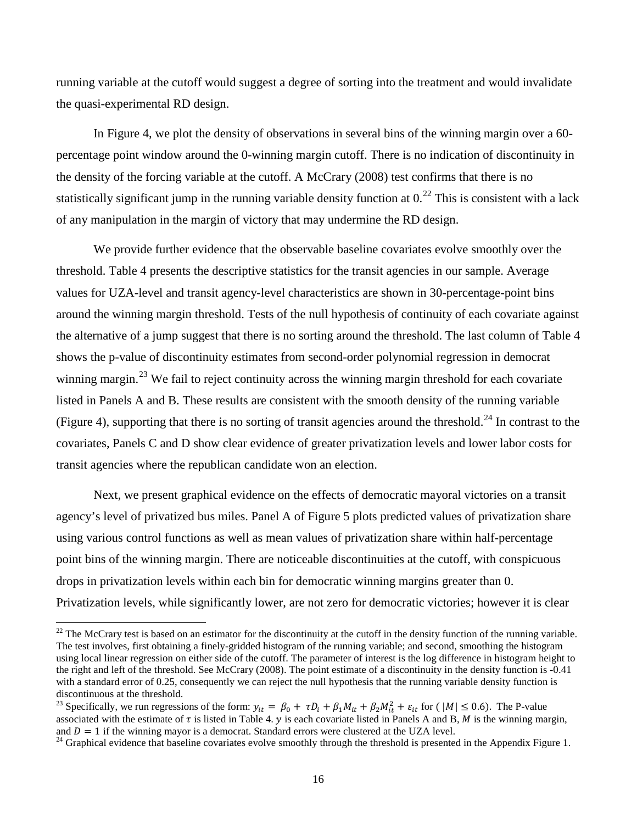running variable at the cutoff would suggest a degree of sorting into the treatment and would invalidate the quasi-experimental RD design.

In Figure 4, we plot the density of observations in several bins of the winning margin over a 60 percentage point window around the 0-winning margin cutoff. There is no indication of discontinuity in the density of the forcing variable at the cutoff. A McCrary (2008) test confirms that there is no statistically significant jump in the running variable density function at  $0<sup>22</sup>$  $0<sup>22</sup>$  $0<sup>22</sup>$  This is consistent with a lack of any manipulation in the margin of victory that may undermine the RD design.

We provide further evidence that the observable baseline covariates evolve smoothly over the threshold. Table 4 presents the descriptive statistics for the transit agencies in our sample. Average values for UZA-level and transit agency-level characteristics are shown in 30-percentage-point bins around the winning margin threshold. Tests of the null hypothesis of continuity of each covariate against the alternative of a jump suggest that there is no sorting around the threshold. The last column of Table 4 shows the p-value of discontinuity estimates from second-order polynomial regression in democrat winning margin.<sup>23</sup> We fail to reject continuity across the winning margin threshold for each covariate listed in Panels A and B. These results are consistent with the smooth density of the running variable (Figure 4), supporting that there is no sorting of transit agencies around the threshold.<sup>24</sup> In contrast to the covariates, Panels C and D show clear evidence of greater privatization levels and lower labor costs for transit agencies where the republican candidate won an election.

Next, we present graphical evidence on the effects of democratic mayoral victories on a transit agency's level of privatized bus miles. Panel A of Figure 5 plots predicted values of privatization share using various control functions as well as mean values of privatization share within half-percentage point bins of the winning margin. There are noticeable discontinuities at the cutoff, with conspicuous drops in privatization levels within each bin for democratic winning margins greater than 0. Privatization levels, while significantly lower, are not zero for democratic victories; however it is clear

 $\overline{a}$ 

<span id="page-16-0"></span> $^{22}$  The McCrary test is based on an estimator for the discontinuity at the cutoff in the density function of the running variable. The test involves, first obtaining a finely-gridded histogram of the running variable; and second, smoothing the histogram using local linear regression on either side of the cutoff. The parameter of interest is the log difference in histogram height to the right and left of the threshold. See McCrary (2008). The point estimate of a discontinuity in the density function is -0.41 with a standard error of 0.25, consequently we can reject the null hypothesis that the running variable density function is discontinuous at the threshold.

<span id="page-16-1"></span><sup>&</sup>lt;sup>23</sup> Specifically, we run regressions of the form:  $y_{it} = \beta_0 + \tau D_i + \beta_1 M_{it} + \beta_2 M_{it}^2 + \varepsilon_{it}$  for ( $|M| \le 0.6$ ). The P-value associated with the estimate of  $\tau$  is listed in Table 4.  $y$  is each covariate listed in Panels A and B, M is the winning margin, and  $D = 1$  if the winning mayor is a democrat. Standard errors were clustered at the UZA level.<br><sup>24</sup> Graphical evidence that baseline covariates evolve smoothly through the threshold is presented in the Appendix Figure 1.

<span id="page-16-2"></span>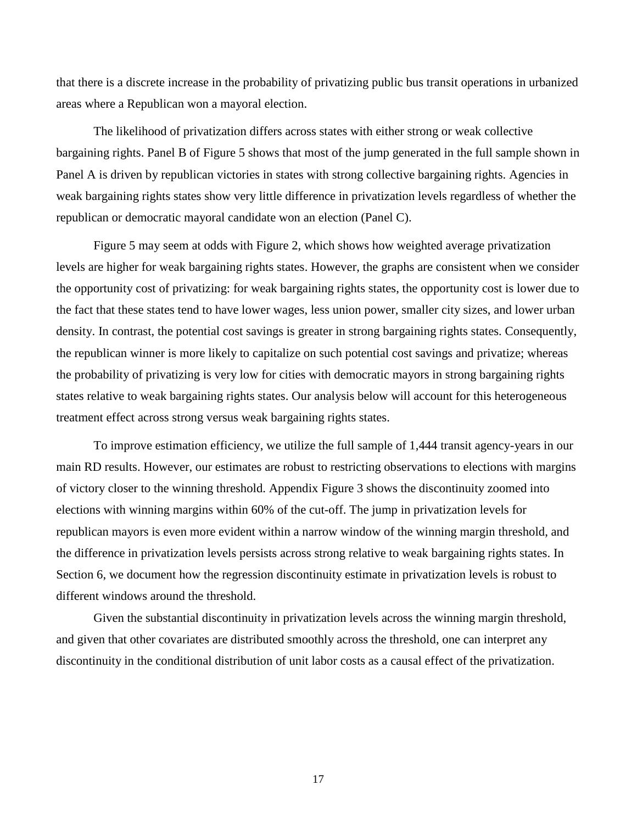that there is a discrete increase in the probability of privatizing public bus transit operations in urbanized areas where a Republican won a mayoral election.

The likelihood of privatization differs across states with either strong or weak collective bargaining rights. Panel B of Figure 5 shows that most of the jump generated in the full sample shown in Panel A is driven by republican victories in states with strong collective bargaining rights. Agencies in weak bargaining rights states show very little difference in privatization levels regardless of whether the republican or democratic mayoral candidate won an election (Panel C).

Figure 5 may seem at odds with Figure 2, which shows how weighted average privatization levels are higher for weak bargaining rights states. However, the graphs are consistent when we consider the opportunity cost of privatizing: for weak bargaining rights states, the opportunity cost is lower due to the fact that these states tend to have lower wages, less union power, smaller city sizes, and lower urban density. In contrast, the potential cost savings is greater in strong bargaining rights states. Consequently, the republican winner is more likely to capitalize on such potential cost savings and privatize; whereas the probability of privatizing is very low for cities with democratic mayors in strong bargaining rights states relative to weak bargaining rights states. Our analysis below will account for this heterogeneous treatment effect across strong versus weak bargaining rights states.

To improve estimation efficiency, we utilize the full sample of 1,444 transit agency-years in our main RD results. However, our estimates are robust to restricting observations to elections with margins of victory closer to the winning threshold. Appendix Figure 3 shows the discontinuity zoomed into elections with winning margins within 60% of the cut-off. The jump in privatization levels for republican mayors is even more evident within a narrow window of the winning margin threshold, and the difference in privatization levels persists across strong relative to weak bargaining rights states. In Section 6, we document how the regression discontinuity estimate in privatization levels is robust to different windows around the threshold.

Given the substantial discontinuity in privatization levels across the winning margin threshold, and given that other covariates are distributed smoothly across the threshold, one can interpret any discontinuity in the conditional distribution of unit labor costs as a causal effect of the privatization.

17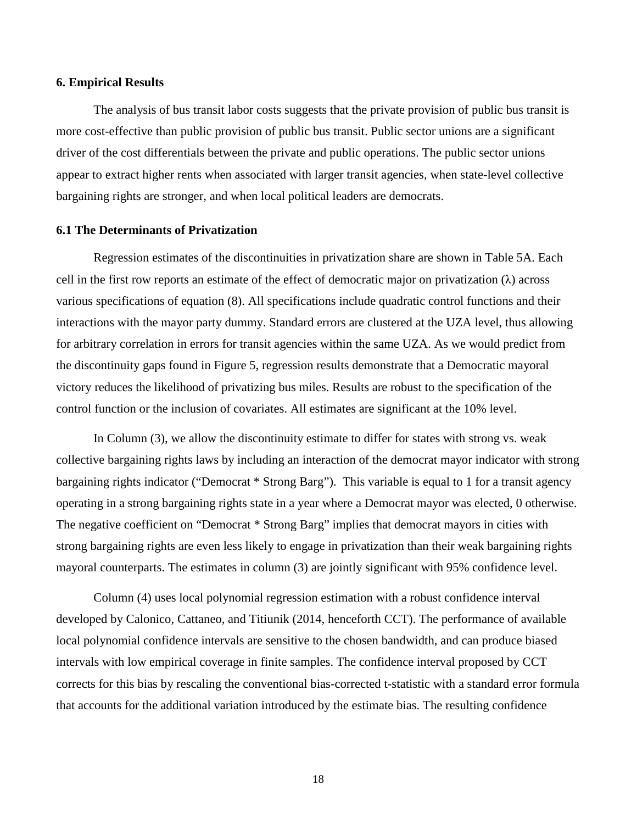### **6. Empirical Results**

The analysis of bus transit labor costs suggests that the private provision of public bus transit is more cost-effective than public provision of public bus transit. Public sector unions are a significant driver of the cost differentials between the private and public operations. The public sector unions appear to extract higher rents when associated with larger transit agencies, when state-level collective bargaining rights are stronger, and when local political leaders are democrats.

## **6.1 The Determinants of Privatization**

Regression estimates of the discontinuities in privatization share are shown in Table 5A. Each cell in the first row reports an estimate of the effect of democratic major on privatization  $(\lambda)$  across various specifications of equation (8). All specifications include quadratic control functions and their interactions with the mayor party dummy. Standard errors are clustered at the UZA level, thus allowing for arbitrary correlation in errors for transit agencies within the same UZA. As we would predict from the discontinuity gaps found in Figure 5, regression results demonstrate that a Democratic mayoral victory reduces the likelihood of privatizing bus miles. Results are robust to the specification of the control function or the inclusion of covariates. All estimates are significant at the 10% level.

In Column (3), we allow the discontinuity estimate to differ for states with strong vs. weak collective bargaining rights laws by including an interaction of the democrat mayor indicator with strong bargaining rights indicator ("Democrat \* Strong Barg"). This variable is equal to 1 for a transit agency operating in a strong bargaining rights state in a year where a Democrat mayor was elected, 0 otherwise. The negative coefficient on "Democrat \* Strong Barg" implies that democrat mayors in cities with strong bargaining rights are even less likely to engage in privatization than their weak bargaining rights mayoral counterparts. The estimates in column (3) are jointly significant with 95% confidence level.

Column (4) uses local polynomial regression estimation with a robust confidence interval developed by Calonico, Cattaneo, and Titiunik (2014, henceforth CCT). The performance of available local polynomial confidence intervals are sensitive to the chosen bandwidth, and can produce biased intervals with low empirical coverage in finite samples. The confidence interval proposed by CCT corrects for this bias by rescaling the conventional bias-corrected t-statistic with a standard error formula that accounts for the additional variation introduced by the estimate bias. The resulting confidence

18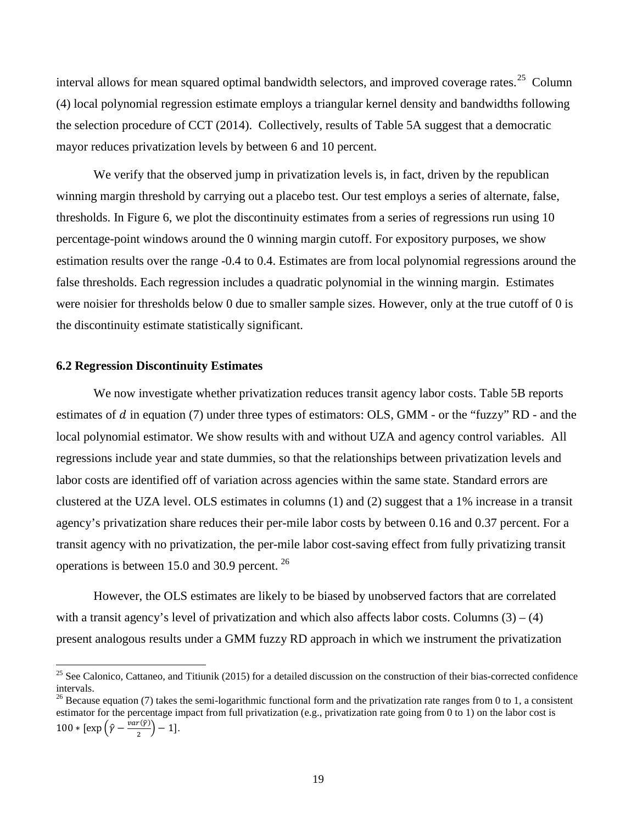interval allows for mean squared optimal bandwidth selectors, and improved coverage rates.<sup>25</sup> Column (4) local polynomial regression estimate employs a triangular kernel density and bandwidths following the selection procedure of CCT (2014). Collectively, results of Table 5A suggest that a democratic mayor reduces privatization levels by between 6 and 10 percent.

We verify that the observed jump in privatization levels is, in fact, driven by the republican winning margin threshold by carrying out a placebo test. Our test employs a series of alternate, false, thresholds. In Figure 6, we plot the discontinuity estimates from a series of regressions run using 10 percentage-point windows around the 0 winning margin cutoff. For expository purposes, we show estimation results over the range -0.4 to 0.4. Estimates are from local polynomial regressions around the false thresholds. Each regression includes a quadratic polynomial in the winning margin. Estimates were noisier for thresholds below 0 due to smaller sample sizes. However, only at the true cutoff of 0 is the discontinuity estimate statistically significant.

#### **6.2 Regression Discontinuity Estimates**

l

We now investigate whether privatization reduces transit agency labor costs. Table 5B reports estimates of  $d$  in equation (7) under three types of estimators: OLS, GMM - or the "fuzzy" RD - and the local polynomial estimator. We show results with and without UZA and agency control variables. All regressions include year and state dummies, so that the relationships between privatization levels and labor costs are identified off of variation across agencies within the same state. Standard errors are clustered at the UZA level. OLS estimates in columns (1) and (2) suggest that a 1% increase in a transit agency's privatization share reduces their per-mile labor costs by between 0.16 and 0.37 percent. For a transit agency with no privatization, the per-mile labor cost-saving effect from fully privatizing transit operations is between 15.0 and 30.9 percent. [26](#page-19-1)

However, the OLS estimates are likely to be biased by unobserved factors that are correlated with a transit agency's level of privatization and which also affects labor costs. Columns  $(3) - (4)$ present analogous results under a GMM fuzzy RD approach in which we instrument the privatization

<span id="page-19-0"></span> $25$  See Calonico, Cattaneo, and Titiunik (2015) for a detailed discussion on the construction of their bias-corrected confidence intervals.

<span id="page-19-1"></span><sup>&</sup>lt;sup>26</sup> Because equation (7) takes the semi-logarithmic functional form and the privatization rate ranges from 0 to 1, a consistent estimator for the percentage impact from full privatization (e.g., privatization rate going from 0 to 1) on the labor cost is 100 \* [ $\exp\left(\hat{\gamma} - \frac{var(\hat{\gamma})}{2}\right) - 1$ ].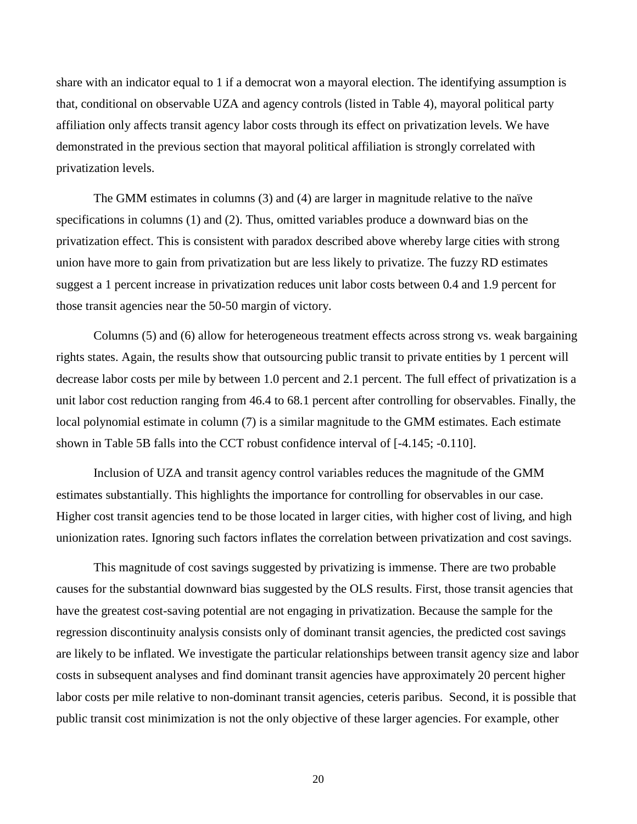share with an indicator equal to 1 if a democrat won a mayoral election. The identifying assumption is that, conditional on observable UZA and agency controls (listed in Table 4), mayoral political party affiliation only affects transit agency labor costs through its effect on privatization levels. We have demonstrated in the previous section that mayoral political affiliation is strongly correlated with privatization levels.

The GMM estimates in columns (3) and (4) are larger in magnitude relative to the naïve specifications in columns (1) and (2). Thus, omitted variables produce a downward bias on the privatization effect. This is consistent with paradox described above whereby large cities with strong union have more to gain from privatization but are less likely to privatize. The fuzzy RD estimates suggest a 1 percent increase in privatization reduces unit labor costs between 0.4 and 1.9 percent for those transit agencies near the 50-50 margin of victory.

Columns (5) and (6) allow for heterogeneous treatment effects across strong vs. weak bargaining rights states. Again, the results show that outsourcing public transit to private entities by 1 percent will decrease labor costs per mile by between 1.0 percent and 2.1 percent. The full effect of privatization is a unit labor cost reduction ranging from 46.4 to 68.1 percent after controlling for observables. Finally, the local polynomial estimate in column (7) is a similar magnitude to the GMM estimates. Each estimate shown in Table 5B falls into the CCT robust confidence interval of [-4.145; -0.110].

Inclusion of UZA and transit agency control variables reduces the magnitude of the GMM estimates substantially. This highlights the importance for controlling for observables in our case. Higher cost transit agencies tend to be those located in larger cities, with higher cost of living, and high unionization rates. Ignoring such factors inflates the correlation between privatization and cost savings.

This magnitude of cost savings suggested by privatizing is immense. There are two probable causes for the substantial downward bias suggested by the OLS results. First, those transit agencies that have the greatest cost-saving potential are not engaging in privatization. Because the sample for the regression discontinuity analysis consists only of dominant transit agencies, the predicted cost savings are likely to be inflated. We investigate the particular relationships between transit agency size and labor costs in subsequent analyses and find dominant transit agencies have approximately 20 percent higher labor costs per mile relative to non-dominant transit agencies, ceteris paribus. Second, it is possible that public transit cost minimization is not the only objective of these larger agencies. For example, other

20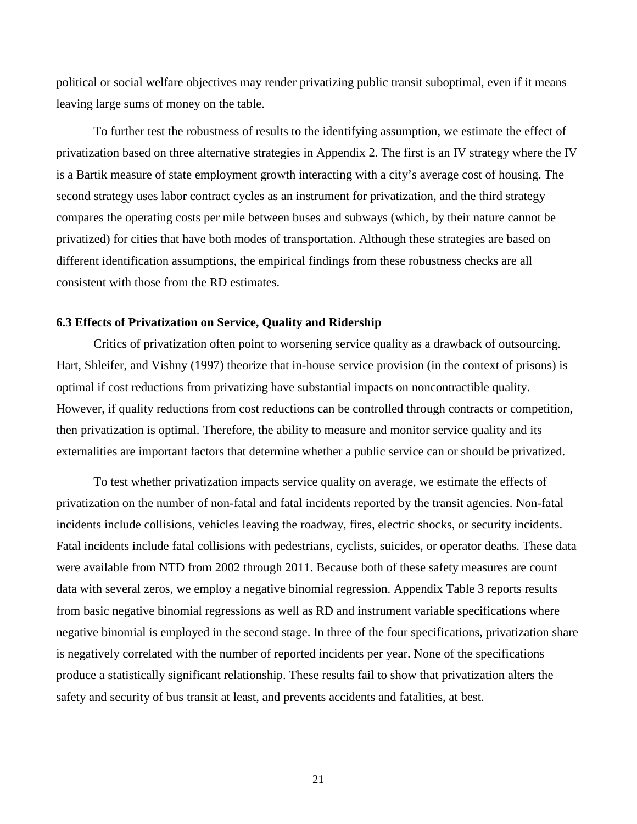political or social welfare objectives may render privatizing public transit suboptimal, even if it means leaving large sums of money on the table.

To further test the robustness of results to the identifying assumption, we estimate the effect of privatization based on three alternative strategies in Appendix 2. The first is an IV strategy where the IV is a Bartik measure of state employment growth interacting with a city's average cost of housing. The second strategy uses labor contract cycles as an instrument for privatization, and the third strategy compares the operating costs per mile between buses and subways (which, by their nature cannot be privatized) for cities that have both modes of transportation. Although these strategies are based on different identification assumptions, the empirical findings from these robustness checks are all consistent with those from the RD estimates.

#### **6.3 Effects of Privatization on Service, Quality and Ridership**

Critics of privatization often point to worsening service quality as a drawback of outsourcing. Hart, Shleifer, and Vishny (1997) theorize that in-house service provision (in the context of prisons) is optimal if cost reductions from privatizing have substantial impacts on noncontractible quality. However, if quality reductions from cost reductions can be controlled through contracts or competition, then privatization is optimal. Therefore, the ability to measure and monitor service quality and its externalities are important factors that determine whether a public service can or should be privatized.

To test whether privatization impacts service quality on average, we estimate the effects of privatization on the number of non-fatal and fatal incidents reported by the transit agencies. Non-fatal incidents include collisions, vehicles leaving the roadway, fires, electric shocks, or security incidents. Fatal incidents include fatal collisions with pedestrians, cyclists, suicides, or operator deaths. These data were available from NTD from 2002 through 2011. Because both of these safety measures are count data with several zeros, we employ a negative binomial regression. Appendix Table 3 reports results from basic negative binomial regressions as well as RD and instrument variable specifications where negative binomial is employed in the second stage. In three of the four specifications, privatization share is negatively correlated with the number of reported incidents per year. None of the specifications produce a statistically significant relationship. These results fail to show that privatization alters the safety and security of bus transit at least, and prevents accidents and fatalities, at best.

21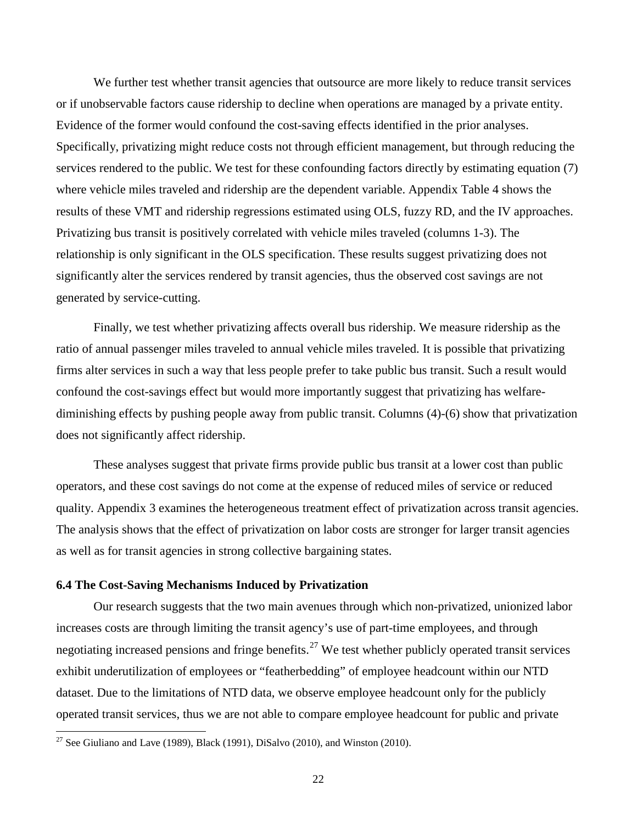We further test whether transit agencies that outsource are more likely to reduce transit services or if unobservable factors cause ridership to decline when operations are managed by a private entity. Evidence of the former would confound the cost-saving effects identified in the prior analyses. Specifically, privatizing might reduce costs not through efficient management, but through reducing the services rendered to the public. We test for these confounding factors directly by estimating equation (7) where vehicle miles traveled and ridership are the dependent variable. Appendix Table 4 shows the results of these VMT and ridership regressions estimated using OLS, fuzzy RD, and the IV approaches. Privatizing bus transit is positively correlated with vehicle miles traveled (columns 1-3). The relationship is only significant in the OLS specification. These results suggest privatizing does not significantly alter the services rendered by transit agencies, thus the observed cost savings are not generated by service-cutting.

Finally, we test whether privatizing affects overall bus ridership. We measure ridership as the ratio of annual passenger miles traveled to annual vehicle miles traveled. It is possible that privatizing firms alter services in such a way that less people prefer to take public bus transit. Such a result would confound the cost-savings effect but would more importantly suggest that privatizing has welfarediminishing effects by pushing people away from public transit. Columns (4)-(6) show that privatization does not significantly affect ridership.

These analyses suggest that private firms provide public bus transit at a lower cost than public operators, and these cost savings do not come at the expense of reduced miles of service or reduced quality. Appendix 3 examines the heterogeneous treatment effect of privatization across transit agencies. The analysis shows that the effect of privatization on labor costs are stronger for larger transit agencies as well as for transit agencies in strong collective bargaining states.

#### **6.4 The Cost-Saving Mechanisms Induced by Privatization**

Our research suggests that the two main avenues through which non-privatized, unionized labor increases costs are through limiting the transit agency's use of part-time employees, and through negotiating increased pensions and fringe benefits.<sup>[27](#page-22-0)</sup> We test whether publicly operated transit services exhibit underutilization of employees or "featherbedding" of employee headcount within our NTD dataset. Due to the limitations of NTD data, we observe employee headcount only for the publicly operated transit services, thus we are not able to compare employee headcount for public and private

 $\overline{a}$ 

<span id="page-22-0"></span><sup>&</sup>lt;sup>27</sup> See Giuliano and Lave (1989), Black (1991), DiSalvo (2010), and Winston (2010).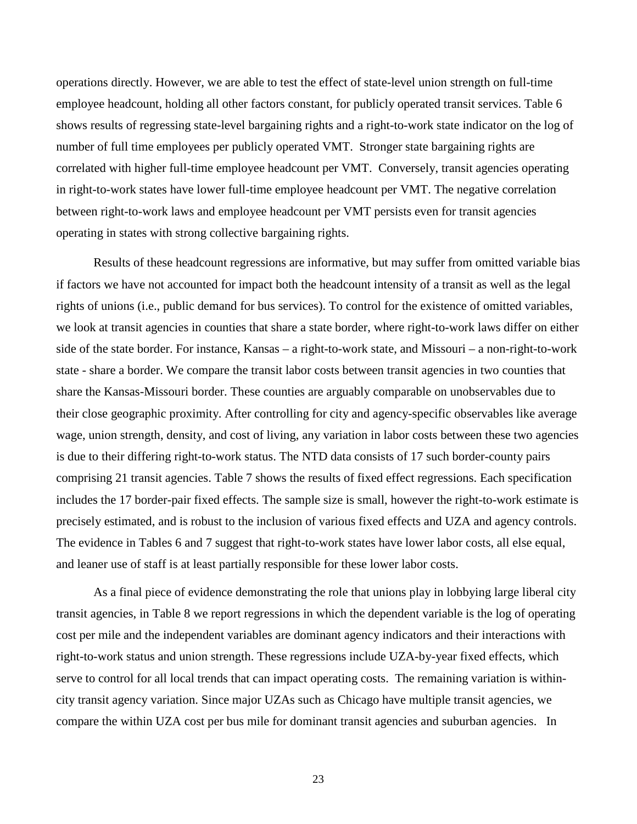operations directly. However, we are able to test the effect of state-level union strength on full-time employee headcount, holding all other factors constant, for publicly operated transit services. Table 6 shows results of regressing state-level bargaining rights and a right-to-work state indicator on the log of number of full time employees per publicly operated VMT. Stronger state bargaining rights are correlated with higher full-time employee headcount per VMT. Conversely, transit agencies operating in right-to-work states have lower full-time employee headcount per VMT. The negative correlation between right-to-work laws and employee headcount per VMT persists even for transit agencies operating in states with strong collective bargaining rights.

Results of these headcount regressions are informative, but may suffer from omitted variable bias if factors we have not accounted for impact both the headcount intensity of a transit as well as the legal rights of unions (i.e., public demand for bus services). To control for the existence of omitted variables, we look at transit agencies in counties that share a state border, where right-to-work laws differ on either side of the state border. For instance, Kansas – a right-to-work state, and Missouri – a non-right-to-work state - share a border. We compare the transit labor costs between transit agencies in two counties that share the Kansas-Missouri border. These counties are arguably comparable on unobservables due to their close geographic proximity. After controlling for city and agency-specific observables like average wage, union strength, density, and cost of living, any variation in labor costs between these two agencies is due to their differing right-to-work status. The NTD data consists of 17 such border-county pairs comprising 21 transit agencies. Table 7 shows the results of fixed effect regressions. Each specification includes the 17 border-pair fixed effects. The sample size is small, however the right-to-work estimate is precisely estimated, and is robust to the inclusion of various fixed effects and UZA and agency controls. The evidence in Tables 6 and 7 suggest that right-to-work states have lower labor costs, all else equal, and leaner use of staff is at least partially responsible for these lower labor costs.

As a final piece of evidence demonstrating the role that unions play in lobbying large liberal city transit agencies, in Table 8 we report regressions in which the dependent variable is the log of operating cost per mile and the independent variables are dominant agency indicators and their interactions with right-to-work status and union strength. These regressions include UZA-by-year fixed effects, which serve to control for all local trends that can impact operating costs. The remaining variation is withincity transit agency variation. Since major UZAs such as Chicago have multiple transit agencies, we compare the within UZA cost per bus mile for dominant transit agencies and suburban agencies. In

23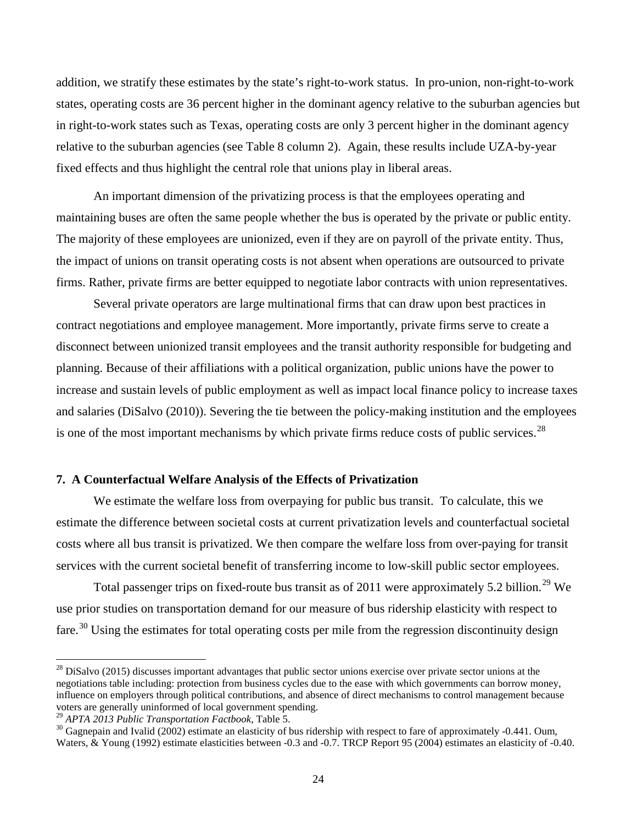addition, we stratify these estimates by the state's right-to-work status. In pro-union, non-right-to-work states, operating costs are 36 percent higher in the dominant agency relative to the suburban agencies but in right-to-work states such as Texas, operating costs are only 3 percent higher in the dominant agency relative to the suburban agencies (see Table 8 column 2). Again, these results include UZA-by-year fixed effects and thus highlight the central role that unions play in liberal areas.

An important dimension of the privatizing process is that the employees operating and maintaining buses are often the same people whether the bus is operated by the private or public entity. The majority of these employees are unionized, even if they are on payroll of the private entity. Thus, the impact of unions on transit operating costs is not absent when operations are outsourced to private firms. Rather, private firms are better equipped to negotiate labor contracts with union representatives.

Several private operators are large multinational firms that can draw upon best practices in contract negotiations and employee management. More importantly, private firms serve to create a disconnect between unionized transit employees and the transit authority responsible for budgeting and planning. Because of their affiliations with a political organization, public unions have the power to increase and sustain levels of public employment as well as impact local finance policy to increase taxes and salaries (DiSalvo (2010)). Severing the tie between the policy-making institution and the employees is one of the most important mechanisms by which private firms reduce costs of public services.<sup>[28](#page-24-0)</sup>

#### **7. A Counterfactual Welfare Analysis of the Effects of Privatization**

We estimate the welfare loss from overpaying for public bus transit. To calculate, this we estimate the difference between societal costs at current privatization levels and counterfactual societal costs where all bus transit is privatized. We then compare the welfare loss from over-paying for transit services with the current societal benefit of transferring income to low-skill public sector employees.

Total passenger trips on fixed-route bus transit as of 2011 were approximately 5.2 billion.<sup>[29](#page-24-1)</sup> We use prior studies on transportation demand for our measure of bus ridership elasticity with respect to fare.<sup>[30](#page-24-2)</sup> Using the estimates for total operating costs per mile from the regression discontinuity design

 $\overline{a}$ 

<span id="page-24-0"></span><sup>&</sup>lt;sup>28</sup> DiSalvo (2015) discusses important advantages that public sector unions exercise over private sector unions at the negotiations table including: protection from business cycles due to the ease with which governments can borrow money, influence on employers through political contributions, and absence of direct mechanisms to control management because voters are generally uninformed of local government spending.<br><sup>29</sup> APTA 2013 Public Transportation Factbook, Table 5.

<span id="page-24-1"></span>

<span id="page-24-2"></span><sup>&</sup>lt;sup>30</sup> Gagnepain and Ivalid (2002) estimate an elasticity of bus ridership with respect to fare of approximately -0.441. Oum, Waters, & Young (1992) estimate elasticities between -0.3 and -0.7. TRCP Report 95 (2004) estimates an elasticity of -0.40.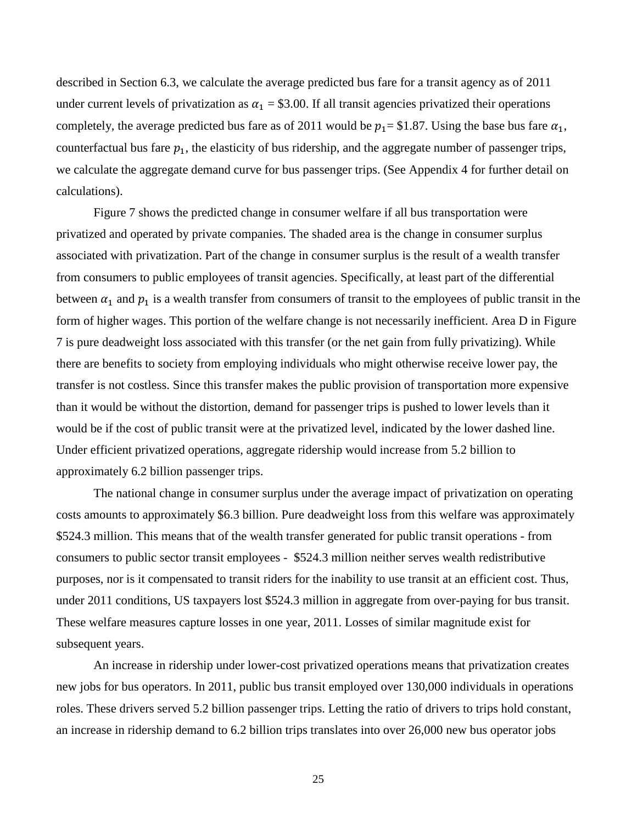described in Section 6.3, we calculate the average predicted bus fare for a transit agency as of 2011 under current levels of privatization as  $\alpha_1 = $3.00$ . If all transit agencies privatized their operations completely, the average predicted bus fare as of 2011 would be  $p_1 = $1.87$ . Using the base bus fare  $\alpha_1$ , counterfactual bus fare  $p_1$ , the elasticity of bus ridership, and the aggregate number of passenger trips, we calculate the aggregate demand curve for bus passenger trips. (See Appendix 4 for further detail on calculations).

Figure 7 shows the predicted change in consumer welfare if all bus transportation were privatized and operated by private companies. The shaded area is the change in consumer surplus associated with privatization. Part of the change in consumer surplus is the result of a wealth transfer from consumers to public employees of transit agencies. Specifically, at least part of the differential between  $\alpha_1$  and  $p_1$  is a wealth transfer from consumers of transit to the employees of public transit in the form of higher wages. This portion of the welfare change is not necessarily inefficient. Area D in Figure 7 is pure deadweight loss associated with this transfer (or the net gain from fully privatizing). While there are benefits to society from employing individuals who might otherwise receive lower pay, the transfer is not costless. Since this transfer makes the public provision of transportation more expensive than it would be without the distortion, demand for passenger trips is pushed to lower levels than it would be if the cost of public transit were at the privatized level, indicated by the lower dashed line. Under efficient privatized operations, aggregate ridership would increase from 5.2 billion to approximately 6.2 billion passenger trips.

The national change in consumer surplus under the average impact of privatization on operating costs amounts to approximately \$6.3 billion. Pure deadweight loss from this welfare was approximately \$524.3 million. This means that of the wealth transfer generated for public transit operations - from consumers to public sector transit employees - \$524.3 million neither serves wealth redistributive purposes, nor is it compensated to transit riders for the inability to use transit at an efficient cost. Thus, under 2011 conditions, US taxpayers lost \$524.3 million in aggregate from over-paying for bus transit. These welfare measures capture losses in one year, 2011. Losses of similar magnitude exist for subsequent years.

An increase in ridership under lower-cost privatized operations means that privatization creates new jobs for bus operators. In 2011, public bus transit employed over 130,000 individuals in operations roles. These drivers served 5.2 billion passenger trips. Letting the ratio of drivers to trips hold constant, an increase in ridership demand to 6.2 billion trips translates into over 26,000 new bus operator jobs

25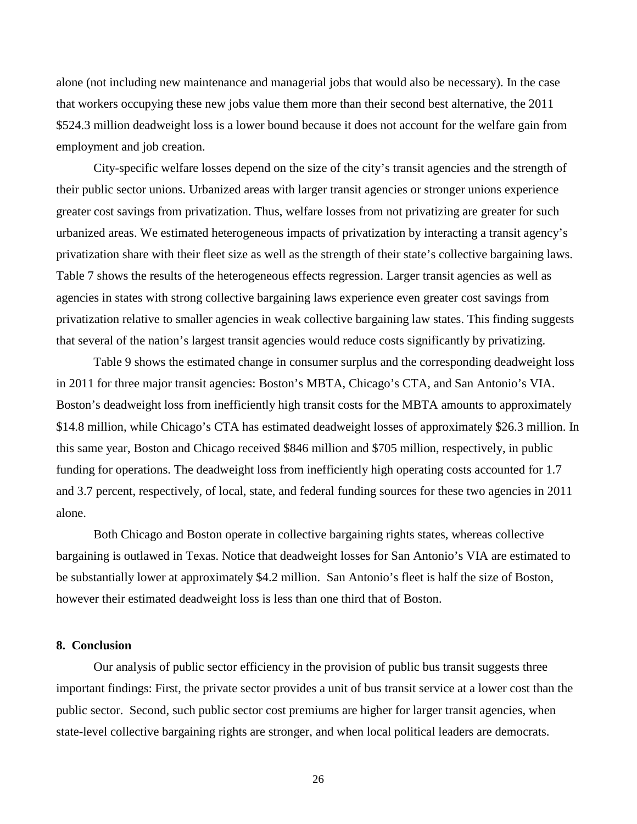alone (not including new maintenance and managerial jobs that would also be necessary). In the case that workers occupying these new jobs value them more than their second best alternative, the 2011 \$524.3 million deadweight loss is a lower bound because it does not account for the welfare gain from employment and job creation.

City-specific welfare losses depend on the size of the city's transit agencies and the strength of their public sector unions. Urbanized areas with larger transit agencies or stronger unions experience greater cost savings from privatization. Thus, welfare losses from not privatizing are greater for such urbanized areas. We estimated heterogeneous impacts of privatization by interacting a transit agency's privatization share with their fleet size as well as the strength of their state's collective bargaining laws. Table 7 shows the results of the heterogeneous effects regression. Larger transit agencies as well as agencies in states with strong collective bargaining laws experience even greater cost savings from privatization relative to smaller agencies in weak collective bargaining law states. This finding suggests that several of the nation's largest transit agencies would reduce costs significantly by privatizing.

Table 9 shows the estimated change in consumer surplus and the corresponding deadweight loss in 2011 for three major transit agencies: Boston's MBTA, Chicago's CTA, and San Antonio's VIA. Boston's deadweight loss from inefficiently high transit costs for the MBTA amounts to approximately \$14.8 million, while Chicago's CTA has estimated deadweight losses of approximately \$26.3 million. In this same year, Boston and Chicago received \$846 million and \$705 million, respectively, in public funding for operations. The deadweight loss from inefficiently high operating costs accounted for 1.7 and 3.7 percent, respectively, of local, state, and federal funding sources for these two agencies in 2011 alone.

Both Chicago and Boston operate in collective bargaining rights states, whereas collective bargaining is outlawed in Texas. Notice that deadweight losses for San Antonio's VIA are estimated to be substantially lower at approximately \$4.2 million. San Antonio's fleet is half the size of Boston, however their estimated deadweight loss is less than one third that of Boston.

### **8. Conclusion**

Our analysis of public sector efficiency in the provision of public bus transit suggests three important findings: First, the private sector provides a unit of bus transit service at a lower cost than the public sector. Second, such public sector cost premiums are higher for larger transit agencies, when state-level collective bargaining rights are stronger, and when local political leaders are democrats.

26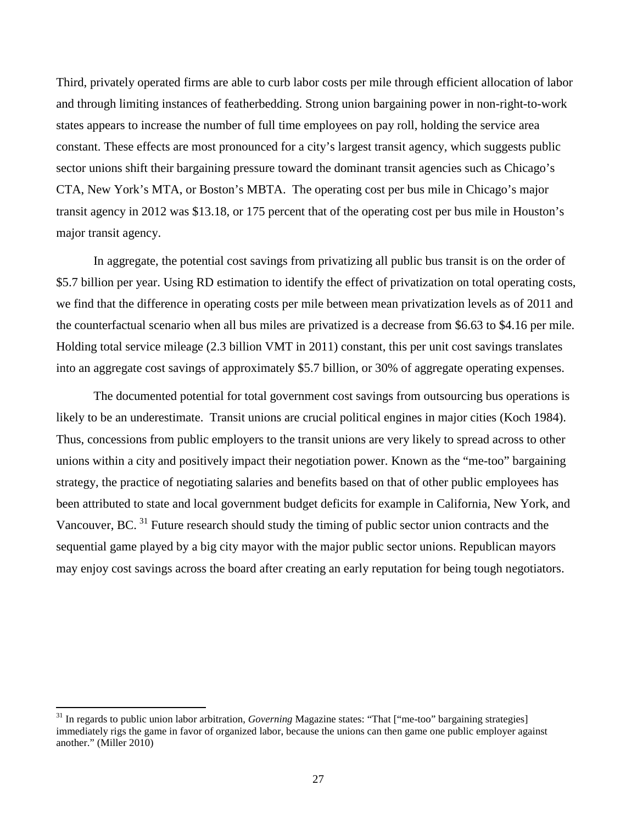Third, privately operated firms are able to curb labor costs per mile through efficient allocation of labor and through limiting instances of featherbedding. Strong union bargaining power in non-right-to-work states appears to increase the number of full time employees on pay roll, holding the service area constant. These effects are most pronounced for a city's largest transit agency, which suggests public sector unions shift their bargaining pressure toward the dominant transit agencies such as Chicago's CTA, New York's MTA, or Boston's MBTA. The operating cost per bus mile in Chicago's major transit agency in 2012 was \$13.18, or 175 percent that of the operating cost per bus mile in Houston's major transit agency.

In aggregate, the potential cost savings from privatizing all public bus transit is on the order of \$5.7 billion per year. Using RD estimation to identify the effect of privatization on total operating costs, we find that the difference in operating costs per mile between mean privatization levels as of 2011 and the counterfactual scenario when all bus miles are privatized is a decrease from \$6.63 to \$4.16 per mile. Holding total service mileage (2.3 billion VMT in 2011) constant, this per unit cost savings translates into an aggregate cost savings of approximately \$5.7 billion, or 30% of aggregate operating expenses.

The documented potential for total government cost savings from outsourcing bus operations is likely to be an underestimate. Transit unions are crucial political engines in major cities (Koch 1984). Thus, concessions from public employers to the transit unions are very likely to spread across to other unions within a city and positively impact their negotiation power. Known as the "me-too" bargaining strategy, the practice of negotiating salaries and benefits based on that of other public employees has been attributed to state and local government budget deficits for example in California, New York, and Vancouver, BC.<sup>[31](#page-27-0)</sup> Future research should study the timing of public sector union contracts and the sequential game played by a big city mayor with the major public sector unions. Republican mayors may enjoy cost savings across the board after creating an early reputation for being tough negotiators.

 $\overline{\phantom{a}}$ 

<span id="page-27-0"></span><sup>&</sup>lt;sup>31</sup> In regards to public union labor arbitration, *Governing* Magazine states: "That ["me-too" bargaining strategies] immediately rigs the game in favor of organized labor, because the unions can then game one public employer against another." (Miller 2010)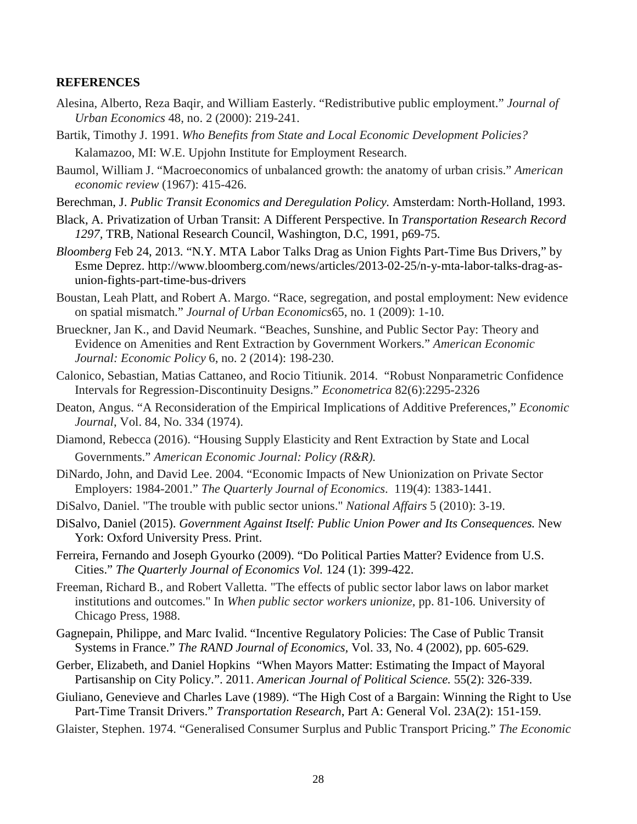## **REFERENCES**

- Alesina, Alberto, Reza Baqir, and William Easterly. "Redistributive public employment." *Journal of Urban Economics* 48, no. 2 (2000): 219-241.
- Bartik, Timothy J. 1991. *Who Benefits from State and Local Economic Development Policies?*  Kalamazoo, MI: W.E. Upjohn Institute for Employment Research.
- Baumol, William J. "Macroeconomics of unbalanced growth: the anatomy of urban crisis." *American economic review* (1967): 415-426.
- Berechman, J. *Public Transit Economics and Deregulation Policy.* Amsterdam: North-Holland, 1993.
- Black, A. Privatization of Urban Transit: A Different Perspective. In *Transportation Research Record 1297,* TRB, National Research Council, Washington, D.C, 1991, p69-75.
- *Bloomberg* Feb 24, 2013. "N.Y. MTA Labor Talks Drag as Union Fights Part-Time Bus Drivers," by Esme Deprez. http://www.bloomberg.com/news/articles/2013-02-25/n-y-mta-labor-talks-drag-asunion-fights-part-time-bus-drivers
- Boustan, Leah Platt, and Robert A. Margo. "Race, segregation, and postal employment: New evidence on spatial mismatch." *Journal of Urban Economics*65, no. 1 (2009): 1-10.
- Brueckner, Jan K., and David Neumark. "Beaches, Sunshine, and Public Sector Pay: Theory and Evidence on Amenities and Rent Extraction by Government Workers." *American Economic Journal: Economic Policy* 6, no. 2 (2014): 198-230.
- Calonico, Sebastian, Matias Cattaneo, and Rocio Titiunik. 2014. "Robust Nonparametric Confidence Intervals for Regression-Discontinuity Designs." *Econometrica* 82(6):2295-2326
- Deaton, Angus. "A Reconsideration of the Empirical Implications of Additive Preferences," *Economic Journal*, Vol. 84, No. 334 (1974).
- Diamond, Rebecca (2016). "Housing Supply Elasticity and Rent Extraction by State and Local Governments." *American Economic Journal: Policy (R&R).*
- DiNardo, John, and David Lee. 2004. "Economic Impacts of New Unionization on Private Sector Employers: 1984-2001." *The Quarterly Journal of Economics*. 119(4): 1383-1441.
- DiSalvo, Daniel. "The trouble with public sector unions." *National Affairs* 5 (2010): 3-19.
- DiSalvo, Daniel (2015). *Government Against Itself: Public Union Power and Its Consequences.* New York: Oxford University Press. Print.
- Ferreira, Fernando and Joseph Gyourko (2009). "Do Political Parties Matter? Evidence from U.S. Cities." *The Quarterly Journal of Economics Vol.* 124 (1): 399-422.
- Freeman, Richard B., and Robert Valletta. "The effects of public sector labor laws on labor market institutions and outcomes." In *When public sector workers unionize*, pp. 81-106. University of Chicago Press, 1988.
- Gagnepain, Philippe, and Marc Ivalid. "Incentive Regulatory Policies: The Case of Public Transit Systems in France." *The RAND Journal of Economics,* Vol. 33, No. 4 (2002), pp. 605-629.
- Gerber, Elizabeth, and Daniel Hopkins "When Mayors Matter: Estimating the Impact of Mayoral Partisanship on City Policy.". 2011. *American Journal of Political Science.* 55(2): 326-339.
- Giuliano, Genevieve and Charles Lave (1989). "The High Cost of a Bargain: Winning the Right to Use Part-Time Transit Drivers." *Transportation Research*, Part A: General Vol. 23A(2): 151-159.
- Glaister, Stephen. 1974. "Generalised Consumer Surplus and Public Transport Pricing." *The Economic*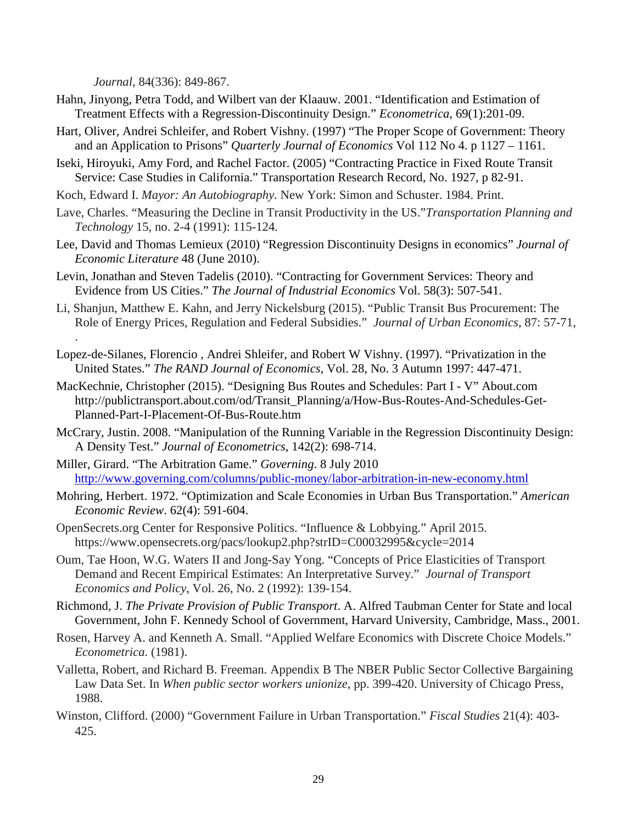*Journal*, 84(336): 849-867.

- Hahn, Jinyong, Petra Todd, and Wilbert van der Klaauw. 2001. "Identification and Estimation of Treatment Effects with a Regression-Discontinuity Design." *Econometrica*, 69(1):201-09.
- Hart, Oliver, Andrei Schleifer, and Robert Vishny. (1997) "The Proper Scope of Government: Theory and an Application to Prisons" *Quarterly Journal of Economics* Vol 112 No 4. p 1127 – 1161.
- Iseki, Hiroyuki, Amy Ford, and Rachel Factor. (2005) "Contracting Practice in Fixed Route Transit Service: Case Studies in California." Transportation Research Record, No. 1927, p 82-91.
- Koch, Edward I. *Mayor: An Autobiography.* New York: Simon and Schuster. 1984. Print.
- Lave, Charles. "Measuring the Decline in Transit Productivity in the US."*Transportation Planning and Technology* 15, no. 2-4 (1991): 115-124.
- Lee, David and Thomas Lemieux (2010) "Regression Discontinuity Designs in economics" *Journal of Economic Literature* 48 (June 2010).
- Levin, Jonathan and Steven Tadelis (2010). "Contracting for Government Services: Theory and Evidence from US Cities." *The Journal of Industrial Economics* Vol. 58(3): 507-541.
- Li, Shanjun, Matthew E. Kahn, and Jerry Nickelsburg (2015). "Public Transit Bus Procurement: The Role of Energy Prices, Regulation and Federal Subsidies." *Journal of Urban Economics*, 87: 57-71, .
- Lopez-de-Silanes, Florencio , Andrei Shleifer, and Robert W Vishny. (1997). "Privatization in the United States." *The RAND Journal of Economics*, Vol. 28, No. 3 Autumn 1997: 447-471.
- MacKechnie, Christopher (2015). "Designing Bus Routes and Schedules: Part I V" About.com http://publictransport.about.com/od/Transit\_Planning/a/How-Bus-Routes-And-Schedules-Get-Planned-Part-I-Placement-Of-Bus-Route.htm
- McCrary, Justin. 2008. "Manipulation of the Running Variable in the Regression Discontinuity Design: A Density Test." *Journal of Econometrics*, 142(2): 698-714.
- Miller, Girard. "The Arbitration Game." *Governing*. 8 July 2010 <http://www.governing.com/columns/public-money/labor-arbitration-in-new-economy.html>
- Mohring, Herbert. 1972. "Optimization and Scale Economies in Urban Bus Transportation." *American Economic Review*. 62(4): 591-604.
- OpenSecrets.org Center for Responsive Politics. "Influence & Lobbying." April 2015. https://www.opensecrets.org/pacs/lookup2.php?strID=C00032995&cycle=2014
- Oum, Tae Hoon, W.G. Waters II and Jong-Say Yong. "Concepts of Price Elasticities of Transport Demand and Recent Empirical Estimates: An Interpretative Survey." *Journal of Transport Economics and Policy*, Vol. 26, No. 2 (1992): 139-154.
- Richmond, J. *The Private Provision of Public Transport*. A. Alfred Taubman Center for State and local Government, John F. Kennedy School of Government, Harvard University, Cambridge, Mass., 2001.
- Rosen, Harvey A. and Kenneth A. Small. "Applied Welfare Economics with Discrete Choice Models." *Econometrica*. (1981).
- Valletta, Robert, and Richard B. Freeman. Appendix B The NBER Public Sector Collective Bargaining Law Data Set. In *When public sector workers unionize*, pp. 399-420. University of Chicago Press, 1988.
- Winston, Clifford. (2000) "Government Failure in Urban Transportation." *Fiscal Studies* 21(4): 403- 425.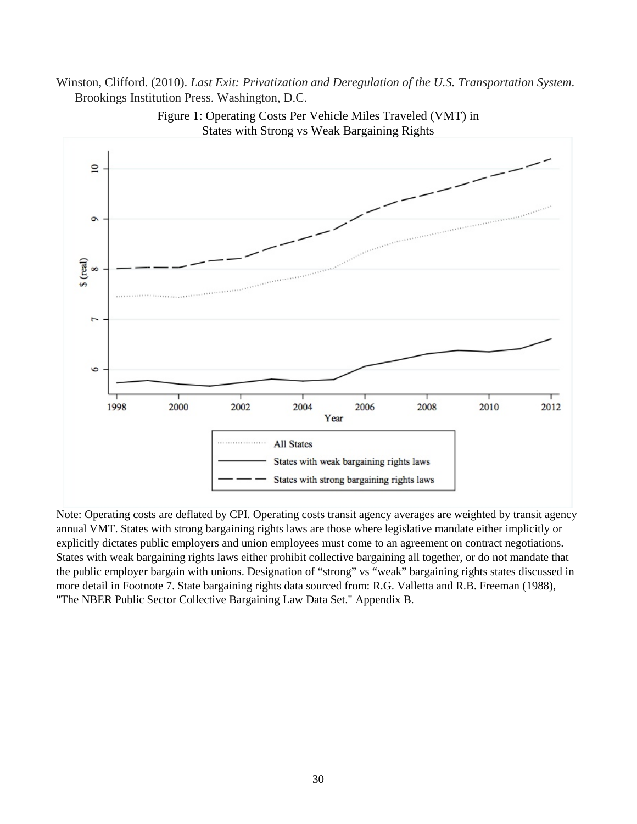# Winston, Clifford. (2010). *Last Exit: Privatization and Deregulation of the U.S. Transportation System*. Brookings Institution Press. Washington, D.C.



Figure 1: Operating Costs Per Vehicle Miles Traveled (VMT) in States with Strong vs Weak Bargaining Rights

Note: Operating costs are deflated by CPI. Operating costs transit agency averages are weighted by transit agency annual VMT. States with strong bargaining rights laws are those where legislative mandate either implicitly or explicitly dictates public employers and union employees must come to an agreement on contract negotiations. States with weak bargaining rights laws either prohibit collective bargaining all together, or do not mandate that the public employer bargain with unions. Designation of "strong" vs "weak" bargaining rights states discussed in more detail in Footnote 7. State bargaining rights data sourced from: R.G. Valletta and R.B. Freeman (1988), "The NBER Public Sector Collective Bargaining Law Data Set." Appendix B.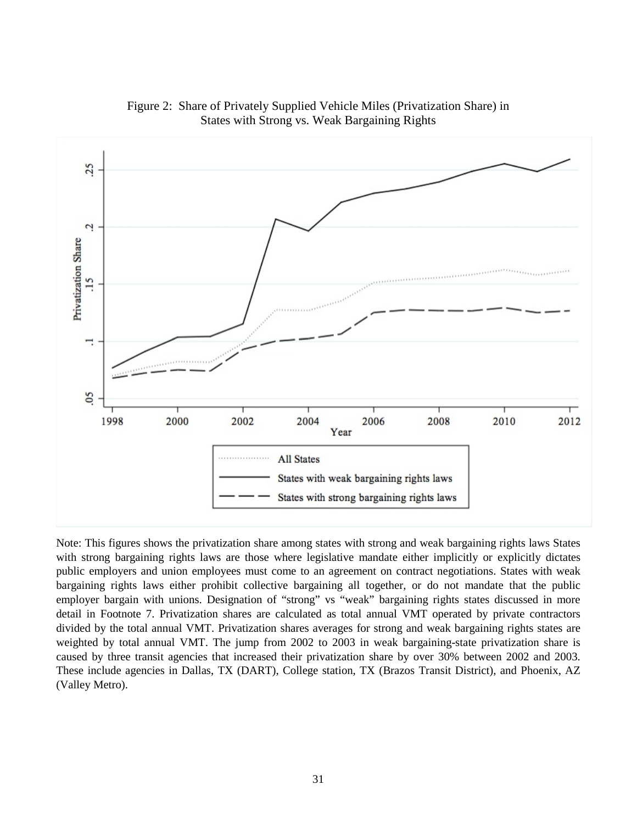

Figure 2: Share of Privately Supplied Vehicle Miles (Privatization Share) in States with Strong vs. Weak Bargaining Rights

Note: This figures shows the privatization share among states with strong and weak bargaining rights laws States with strong bargaining rights laws are those where legislative mandate either implicitly or explicitly dictates public employers and union employees must come to an agreement on contract negotiations. States with weak bargaining rights laws either prohibit collective bargaining all together, or do not mandate that the public employer bargain with unions. Designation of "strong" vs "weak" bargaining rights states discussed in more detail in Footnote 7. Privatization shares are calculated as total annual VMT operated by private contractors divided by the total annual VMT. Privatization shares averages for strong and weak bargaining rights states are weighted by total annual VMT. The jump from 2002 to 2003 in weak bargaining-state privatization share is caused by three transit agencies that increased their privatization share by over 30% between 2002 and 2003. These include agencies in Dallas, TX (DART), College station, TX (Brazos Transit District), and Phoenix, AZ (Valley Metro).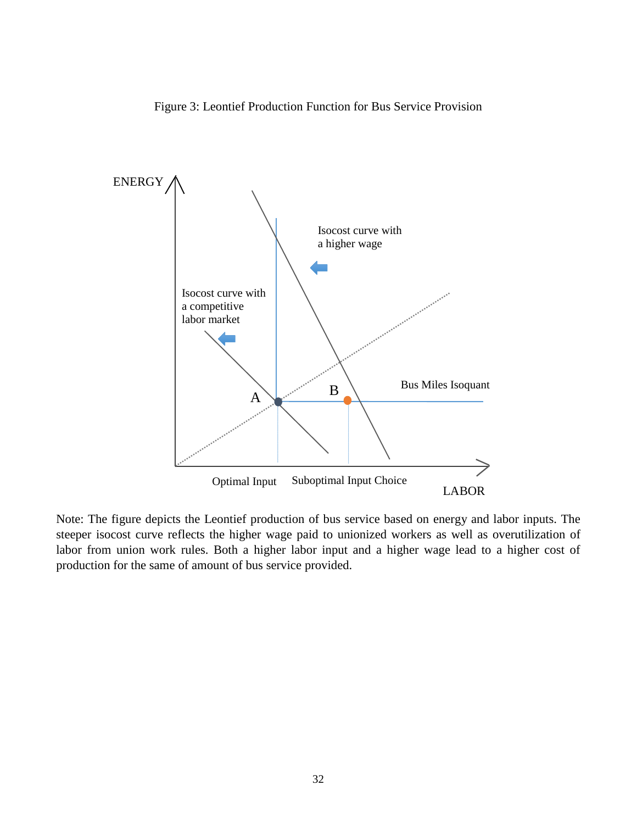



Note: The figure depicts the Leontief production of bus service based on energy and labor inputs. The steeper isocost curve reflects the higher wage paid to unionized workers as well as overutilization of labor from union work rules. Both a higher labor input and a higher wage lead to a higher cost of production for the same of amount of bus service provided.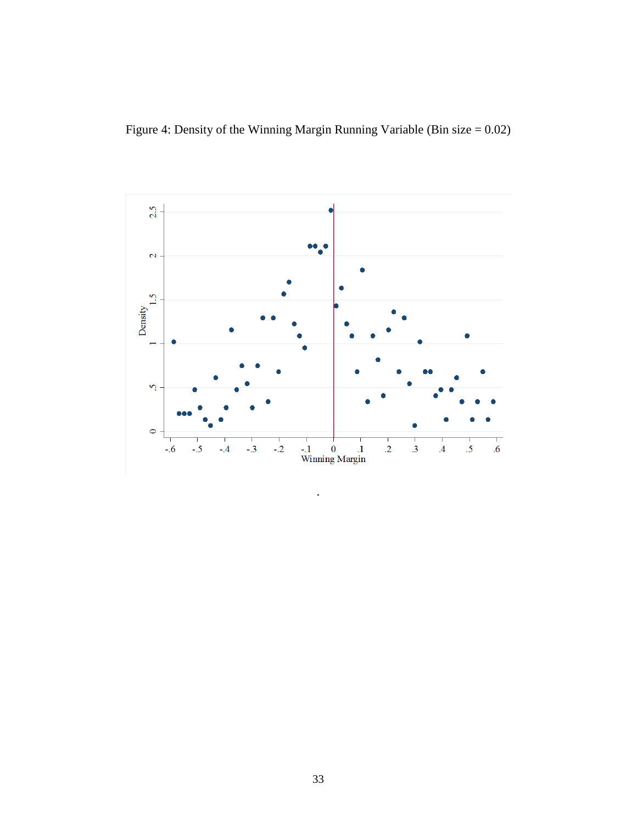Figure 4: Density of the Winning Margin Running Variable (Bin size = 0.02)



.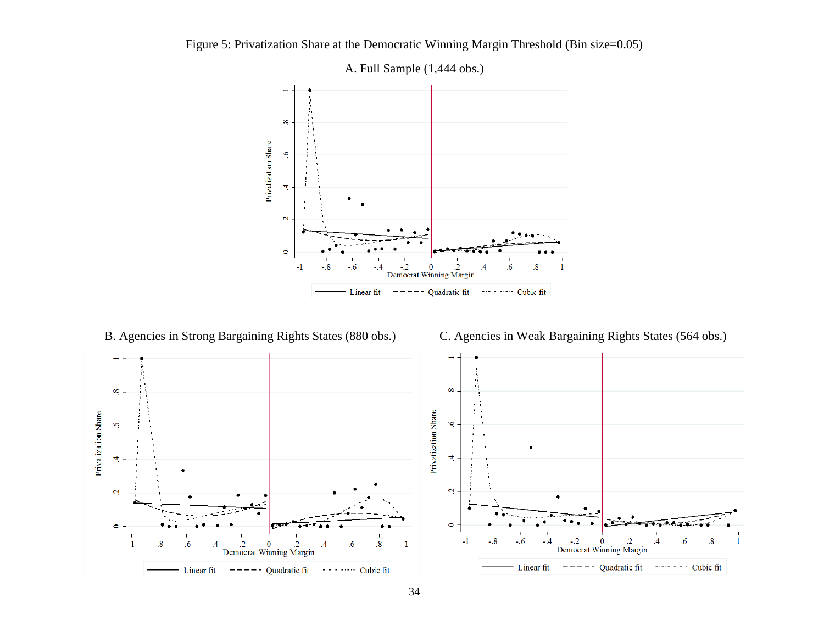

Figure 5: Privatization Share at the Democratic Winning Margin Threshold (Bin size=0.05)

B. Agencies in Strong Bargaining Rights States (880 obs.) C. Agencies in Weak Bargaining Rights States (564 obs.)

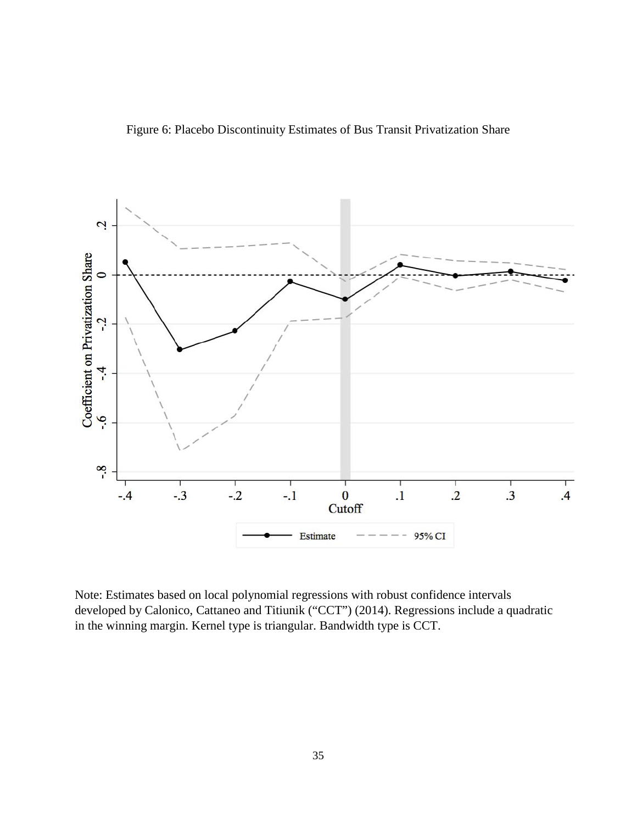Figure 6: Placebo Discontinuity Estimates of Bus Transit Privatization Share



Note: Estimates based on local polynomial regressions with robust confidence intervals developed by Calonico, Cattaneo and Titiunik ("CCT") (2014). Regressions include a quadratic in the winning margin. Kernel type is triangular. Bandwidth type is CCT.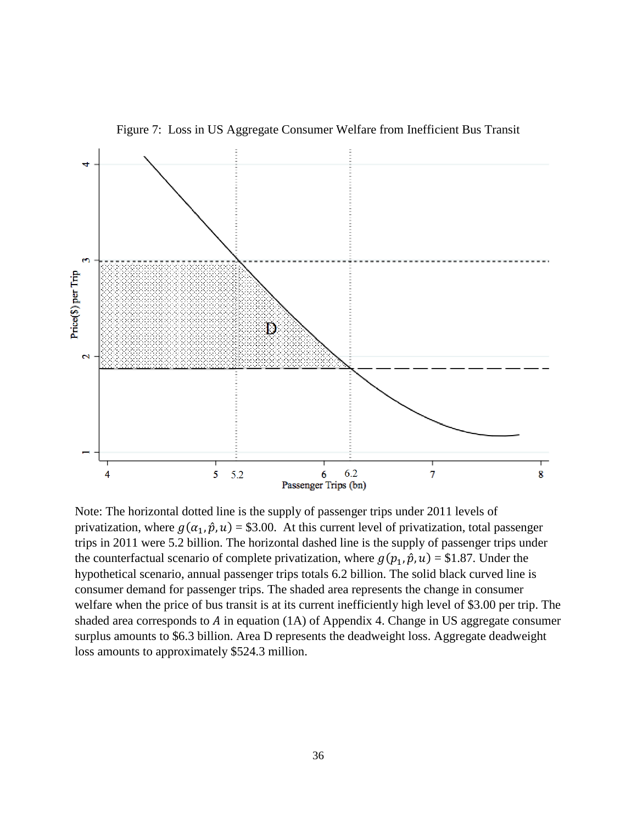

Figure 7: Loss in US Aggregate Consumer Welfare from Inefficient Bus Transit

Note: The horizontal dotted line is the supply of passenger trips under 2011 levels of privatization, where  $g(\alpha_1, \hat{p}, u) = $3.00$ . At this current level of privatization, total passenger trips in 2011 were 5.2 billion. The horizontal dashed line is the supply of passenger trips under the counterfactual scenario of complete privatization, where  $g(p_1, \hat{p}, u) = $1.87$ . Under the hypothetical scenario, annual passenger trips totals 6.2 billion. The solid black curved line is consumer demand for passenger trips. The shaded area represents the change in consumer welfare when the price of bus transit is at its current inefficiently high level of \$3.00 per trip. The shaded area corresponds to  $A$  in equation (1A) of Appendix 4. Change in US aggregate consumer surplus amounts to \$6.3 billion. Area D represents the deadweight loss. Aggregate deadweight loss amounts to approximately \$524.3 million.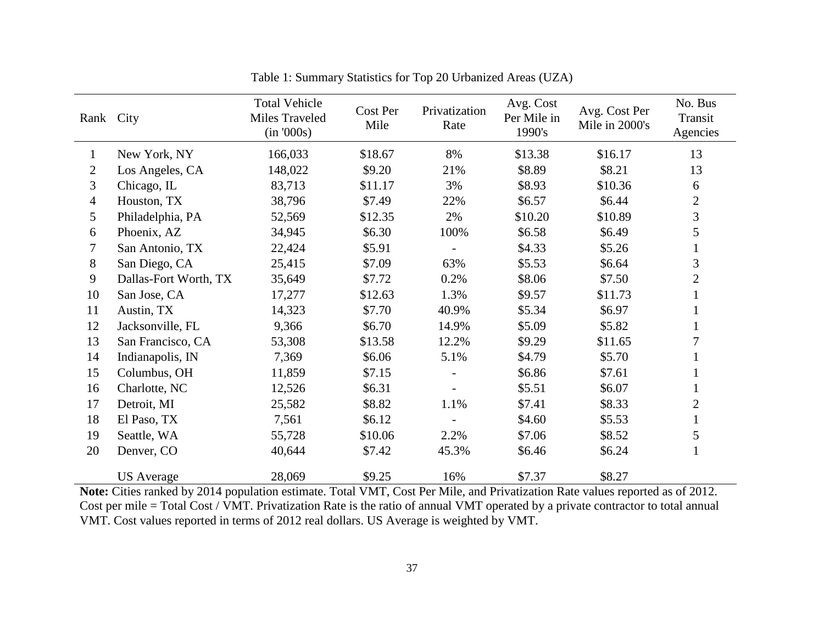| Rank City      |                       | <b>Total Vehicle</b><br>Miles Traveled<br>(in '000s) | Cost Per<br>Mile | Privatization<br>Rate | Avg. Cost<br>Per Mile in<br>1990's | Avg. Cost Per<br>Mile in 2000's | No. Bus<br>Transit<br>Agencies |
|----------------|-----------------------|------------------------------------------------------|------------------|-----------------------|------------------------------------|---------------------------------|--------------------------------|
| $\mathbf{1}$   | New York, NY          | 166,033                                              | \$18.67          | 8%                    | \$13.38                            | \$16.17                         | 13                             |
| $\overline{2}$ | Los Angeles, CA       | 148,022                                              | \$9.20           | 21%                   | \$8.89                             | \$8.21                          | 13                             |
| 3              | Chicago, IL           | 83,713                                               | \$11.17          | 3%                    | \$8.93                             | \$10.36                         | 6                              |
| $\overline{4}$ | Houston, TX           | 38,796                                               | \$7.49           | 22%                   | \$6.57                             | \$6.44                          | $\mathbf{2}$                   |
| 5              | Philadelphia, PA      | 52,569                                               | \$12.35          | 2%                    | \$10.20                            | \$10.89                         | 3                              |
| 6              | Phoenix, AZ           | 34,945                                               | \$6.30           | 100%                  | \$6.58                             | \$6.49                          | 5                              |
| 7              | San Antonio, TX       | 22,424                                               | \$5.91           |                       | \$4.33                             | \$5.26                          | $\mathbf{1}$                   |
| 8              | San Diego, CA         | 25,415                                               | \$7.09           | 63%                   | \$5.53                             | \$6.64                          | 3                              |
| 9              | Dallas-Fort Worth, TX | 35,649                                               | \$7.72           | 0.2%                  | \$8.06                             | \$7.50                          | $\mathbf{2}$                   |
| 10             | San Jose, CA          | 17,277                                               | \$12.63          | 1.3%                  | \$9.57                             | \$11.73                         |                                |
| 11             | Austin, TX            | 14,323                                               | \$7.70           | 40.9%                 | \$5.34                             | \$6.97                          |                                |
| 12             | Jacksonville, FL      | 9,366                                                | \$6.70           | 14.9%                 | \$5.09                             | \$5.82                          | $\mathbf{1}$                   |
| 13             | San Francisco, CA     | 53,308                                               | \$13.58          | 12.2%                 | \$9.29                             | \$11.65                         | 7                              |
| 14             | Indianapolis, IN      | 7,369                                                | \$6.06           | 5.1%                  | \$4.79                             | \$5.70                          |                                |
| 15             | Columbus, OH          | 11,859                                               | \$7.15           |                       | \$6.86                             | \$7.61                          | $\mathbf 1$                    |
| 16             | Charlotte, NC         | 12,526                                               | \$6.31           |                       | \$5.51                             | \$6.07                          | $\mathbf{1}$                   |
| 17             | Detroit, MI           | 25,582                                               | \$8.82           | 1.1%                  | \$7.41                             | \$8.33                          | $\overline{2}$                 |
| 18             | El Paso, TX           | 7,561                                                | \$6.12           |                       | \$4.60                             | \$5.53                          | $\mathbf{1}$                   |
| 19             | Seattle, WA           | 55,728                                               | \$10.06          | 2.2%                  | \$7.06                             | \$8.52                          | 5                              |
| 20             | Denver, CO            | 40,644                                               | \$7.42           | 45.3%                 | \$6.46                             | \$6.24                          | $\mathbf{1}$                   |
|                | <b>US</b> Average     | 28,069                                               | \$9.25           | 16%                   | \$7.37                             | \$8.27                          |                                |

Table 1: Summary Statistics for Top 20 Urbanized Areas (UZA)

**Note:** Cities ranked by 2014 population estimate. Total VMT, Cost Per Mile, and Privatization Rate values reported as of 2012. Cost per mile = Total Cost / VMT. Privatization Rate is the ratio of annual VMT operated by a private contractor to total annual VMT. Cost values reported in terms of 2012 real dollars. US Average is weighted by VMT.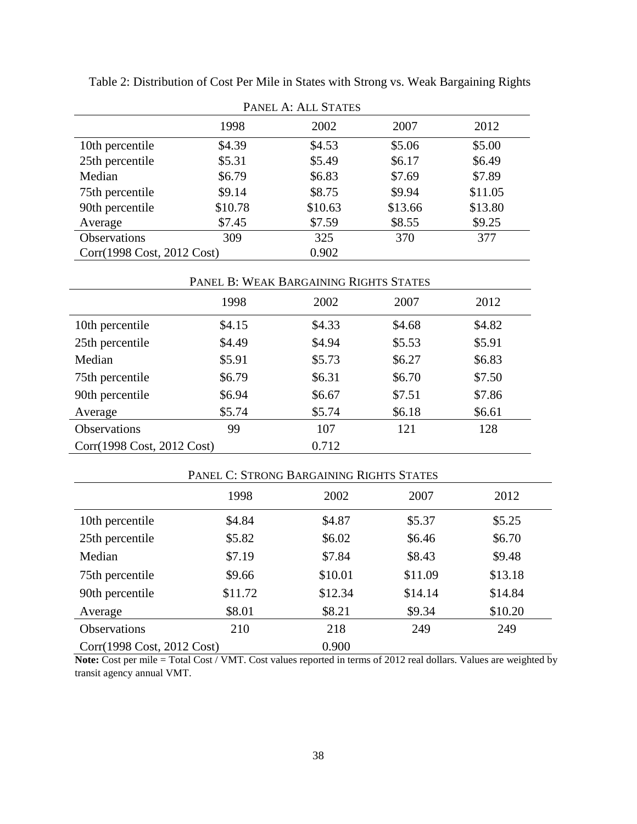| PANEL A: ALL STATES        |         |         |         |         |  |  |
|----------------------------|---------|---------|---------|---------|--|--|
|                            | 1998    | 2002    | 2007    | 2012    |  |  |
| 10th percentile            | \$4.39  | \$4.53  | \$5.06  | \$5.00  |  |  |
| 25th percentile            | \$5.31  | \$5.49  | \$6.17  | \$6.49  |  |  |
| Median                     | \$6.79  | \$6.83  | \$7.69  | \$7.89  |  |  |
| 75th percentile            | \$9.14  | \$8.75  | \$9.94  | \$11.05 |  |  |
| 90th percentile            | \$10.78 | \$10.63 | \$13.66 | \$13.80 |  |  |
| Average                    | \$7.45  | \$7.59  | \$8.55  | \$9.25  |  |  |
| Observations               | 309     | 325     | 370     | 377     |  |  |
| Corr(1998 Cost, 2012 Cost) |         | 0.902   |         |         |  |  |

Table 2: Distribution of Cost Per Mile in States with Strong vs. Weak Bargaining Rights

|                            | PANEL B: WEAK BARGAINING RIGHTS STATES |        |        |        |  |  |  |
|----------------------------|----------------------------------------|--------|--------|--------|--|--|--|
|                            | 1998                                   | 2002   | 2007   | 2012   |  |  |  |
| 10th percentile            | \$4.15                                 | \$4.33 | \$4.68 | \$4.82 |  |  |  |
| 25th percentile            | \$4.49                                 | \$4.94 | \$5.53 | \$5.91 |  |  |  |
| Median                     | \$5.91                                 | \$5.73 | \$6.27 | \$6.83 |  |  |  |
| 75th percentile            | \$6.79                                 | \$6.31 | \$6.70 | \$7.50 |  |  |  |
| 90th percentile            | \$6.94                                 | \$6.67 | \$7.51 | \$7.86 |  |  |  |
| Average                    | \$5.74                                 | \$5.74 | \$6.18 | \$6.61 |  |  |  |
| <b>Observations</b>        | 99                                     | 107    | 121    | 128    |  |  |  |
| Corr(1998 Cost, 2012 Cost) |                                        | 0.712  |        |        |  |  |  |

|                            | PANEL C: STRONG BARGAINING RIGHTS STATES |         |         |         |  |  |  |
|----------------------------|------------------------------------------|---------|---------|---------|--|--|--|
|                            | 1998                                     | 2002    | 2007    | 2012    |  |  |  |
| 10th percentile            | \$4.84                                   | \$4.87  | \$5.37  | \$5.25  |  |  |  |
| 25th percentile            | \$5.82                                   | \$6.02  | \$6.46  | \$6.70  |  |  |  |
| Median                     | \$7.19                                   | \$7.84  | \$8.43  | \$9.48  |  |  |  |
| 75th percentile            | \$9.66                                   | \$10.01 | \$11.09 | \$13.18 |  |  |  |
| 90th percentile            | \$11.72                                  | \$12.34 | \$14.14 | \$14.84 |  |  |  |
| Average                    | \$8.01                                   | \$8.21  | \$9.34  | \$10.20 |  |  |  |
| <b>Observations</b>        | 210                                      | 218     | 249     | 249     |  |  |  |
| Corr(1998 Cost, 2012 Cost) |                                          | 0.900   |         |         |  |  |  |

**Note:** Cost per mile = Total Cost / VMT. Cost values reported in terms of 2012 real dollars. Values are weighted by transit agency annual VMT.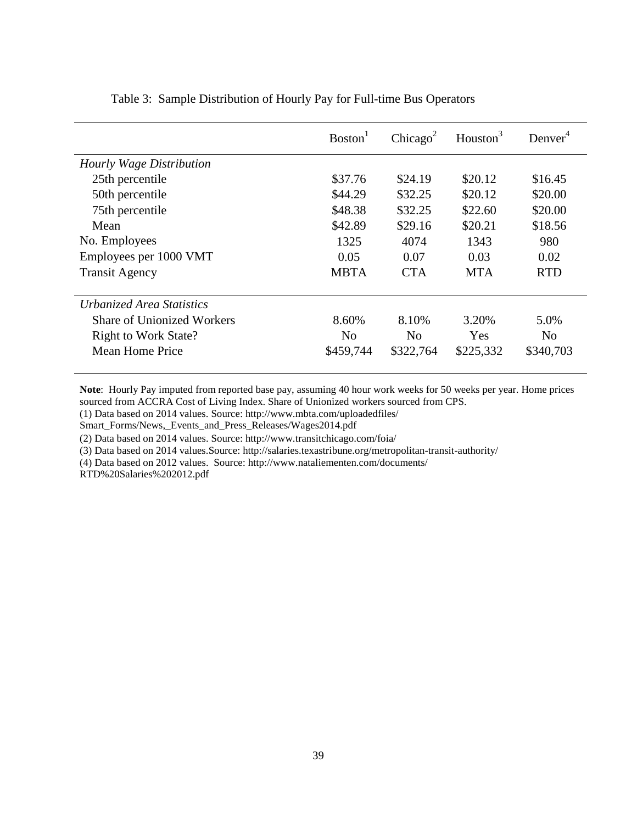|                             | Boston <sup>1</sup> | Chicago <sup>2</sup> | Houston <sup>3</sup> | Denver <sup>4</sup> |
|-----------------------------|---------------------|----------------------|----------------------|---------------------|
| Hourly Wage Distribution    |                     |                      |                      |                     |
| 25th percentile             | \$37.76             | \$24.19              | \$20.12              | \$16.45             |
| 50th percentile             | \$44.29             | \$32.25              | \$20.12              | \$20.00             |
| 75th percentile             | \$48.38             | \$32.25              | \$22.60              | \$20.00             |
| Mean                        | \$42.89             | \$29.16              | \$20.21              | \$18.56             |
| No. Employees               | 1325                | 4074                 | 1343                 | 980                 |
| Employees per 1000 VMT      | 0.05                | 0.07                 | 0.03                 | 0.02                |
| <b>Transit Agency</b>       | <b>MBTA</b>         | <b>CTA</b>           | <b>MTA</b>           | <b>RTD</b>          |
| Urbanized Area Statistics   |                     |                      |                      |                     |
| Share of Unionized Workers  | 8.60%               | 8.10%                | 3.20%                | 5.0%                |
| <b>Right to Work State?</b> | N <sub>0</sub>      | N <sub>0</sub>       | Yes                  | N <sub>o</sub>      |
| Mean Home Price             | \$459,744           | \$322,764            | \$225,332            | \$340,703           |

Table 3: Sample Distribution of Hourly Pay for Full-time Bus Operators

**Note**: Hourly Pay imputed from reported base pay, assuming 40 hour work weeks for 50 weeks per year. Home prices sourced from ACCRA Cost of Living Index. Share of Unionized workers sourced from CPS.

(1) Data based on 2014 values. Source: http://www.mbta.com/uploadedfiles/

Smart\_Forms/News,\_Events\_and\_Press\_Releases/Wages2014.pdf

(2) Data based on 2014 values. Source: http://www.transitchicago.com/foia/

(3) Data based on 2014 values.Source: http://salaries.texastribune.org/metropolitan-transit-authority/

(4) Data based on 2012 values. Source: http://www.nataliementen.com/documents/

RTD%20Salaries%202012.pdf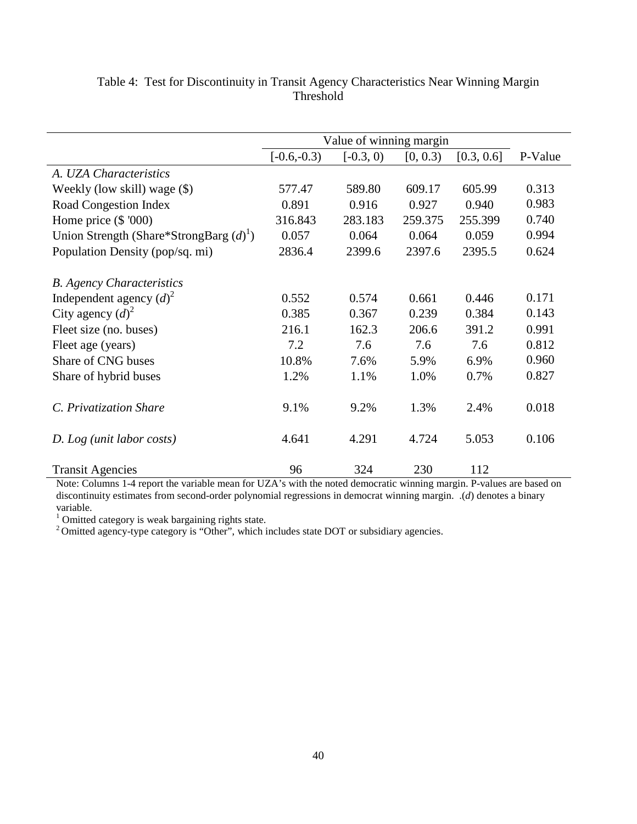|                                              |               | Value of winning margin |          |            |         |
|----------------------------------------------|---------------|-------------------------|----------|------------|---------|
|                                              | $[-0.6,-0.3)$ | $[-0.3, 0)$             | [0, 0.3) | [0.3, 0.6] | P-Value |
| A. UZA Characteristics                       |               |                         |          |            |         |
| Weekly (low skill) wage (\$)                 | 577.47        | 589.80                  | 609.17   | 605.99     | 0.313   |
| <b>Road Congestion Index</b>                 | 0.891         | 0.916                   | 0.927    | 0.940      | 0.983   |
| Home price $(\$$ '000)                       | 316.843       | 283.183                 | 259.375  | 255.399    | 0.740   |
| Union Strength (Share*StrongBarg $(d)^{1}$ ) | 0.057         | 0.064                   | 0.064    | 0.059      | 0.994   |
| Population Density (pop/sq. mi)              | 2836.4        | 2399.6                  | 2397.6   | 2395.5     | 0.624   |
| <b>B.</b> Agency Characteristics             |               |                         |          |            |         |
| Independent agency $(d)^2$                   | 0.552         | 0.574                   | 0.661    | 0.446      | 0.171   |
| City agency $(d)^2$                          | 0.385         | 0.367                   | 0.239    | 0.384      | 0.143   |
| Fleet size (no. buses)                       | 216.1         | 162.3                   | 206.6    | 391.2      | 0.991   |
| Fleet age (years)                            | 7.2           | 7.6                     | 7.6      | 7.6        | 0.812   |
| Share of CNG buses                           | 10.8%         | 7.6%                    | 5.9%     | 6.9%       | 0.960   |
| Share of hybrid buses                        | 1.2%          | 1.1%                    | 1.0%     | 0.7%       | 0.827   |
| C. Privatization Share                       | 9.1%          | 9.2%                    | 1.3%     | 2.4%       | 0.018   |
| D. Log (unit labor costs)                    | 4.641         | 4.291                   | 4.724    | 5.053      | 0.106   |
| <b>Transit Agencies</b>                      | 96            | 324                     | 230      | 112        |         |

# Table 4: Test for Discontinuity in Transit Agency Characteristics Near Winning Margin Threshold

Note: Columns 1-4 report the variable mean for UZA's with the noted democratic winning margin. P-values are based on discontinuity estimates from second-order polynomial regressions in democrat winning margin. .(*d*) denotes a binary variable.<br><sup>1</sup> Omitted category is weak bargaining rights state.

 $1$ <sup>2</sup> Omitted agency-type category is "Other", which includes state DOT or subsidiary agencies.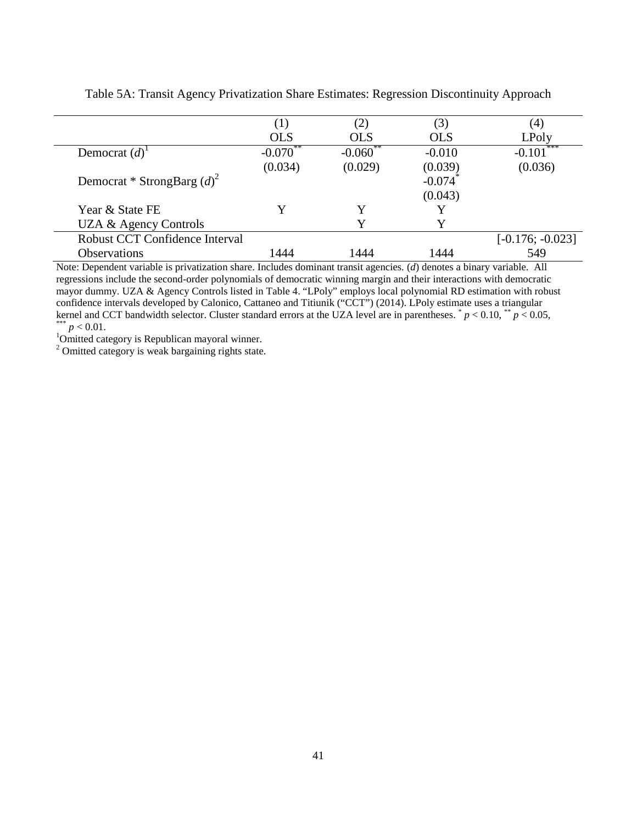|                                | (1)                    |                        | (3)        | (4)                |
|--------------------------------|------------------------|------------------------|------------|--------------------|
|                                | <b>OLS</b>             | <b>OLS</b>             | <b>OLS</b> | LPoly              |
| Democrat $(d)$ <sup>1</sup>    | $-0.070$ <sup>**</sup> | $-0.060$ <sup>**</sup> | $-0.010$   | $-0.101***$        |
|                                | (0.034)                | (0.029)                | (0.039)    | (0.036)            |
| Democrat * StrongBarg $(d)^2$  |                        |                        | $-0.074$   |                    |
|                                |                        |                        | (0.043)    |                    |
| Year & State FE                | V                      |                        |            |                    |
| UZA & Agency Controls          |                        |                        |            |                    |
| Robust CCT Confidence Interval |                        |                        |            | $[-0.176; -0.023]$ |
| <b>Observations</b>            | 1444                   | 1444                   | 1444       | 549                |

Table 5A: Transit Agency Privatization Share Estimates: Regression Discontinuity Approach

Note: Dependent variable is privatization share. Includes dominant transit agencies. (*d*) denotes a binary variable. All regressions include the second-order polynomials of democratic winning margin and their interactions with democratic mayor dummy. UZA & Agency Controls listed in Table 4. "LPoly" employs local polynomial RD estimation with robust confidence intervals developed by Calonico, Cattaneo and Titiunik ("CCT") (2014). LPoly estimate uses a triangular kernel and CCT bandwidth selector. Cluster standard errors at the UZA level are in parentheses.  $p < 0.10$ ,  $p < 0.05$ ,  $p < 0.01$ .

<sup>1</sup>Omitted category is Republican mayoral winner.

<sup>2</sup> Omitted category is weak bargaining rights state.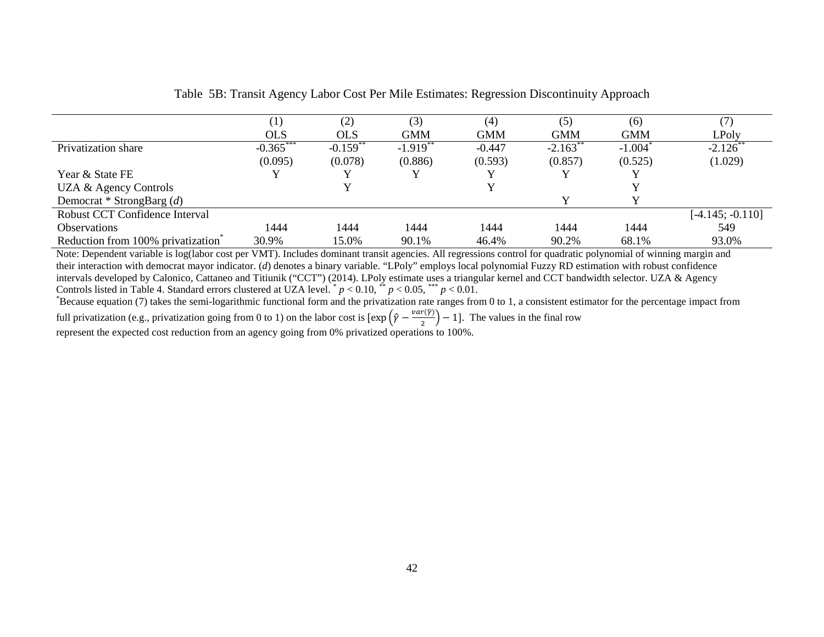|                                   | 1)         | (2)                   | (3)                   | (4)        | (5)                   | (6)                   |                    |
|-----------------------------------|------------|-----------------------|-----------------------|------------|-----------------------|-----------------------|--------------------|
|                                   | <b>OLS</b> | OLS                   | GMM                   | <b>GMM</b> | <b>GMM</b>            | <b>GMM</b>            | LPoly              |
| Privatization share               | $-0.365$   | $-0.159$ <sup>*</sup> | $-1.919$ <sup>*</sup> | $-0.447$   | $-2.163$ <sup>*</sup> | $-1.004$ <sup>*</sup> | $-2.126$           |
|                                   | (0.095)    | (0.078)               | (0.886)               | (0.593)    | (0.857)               | (0.525)               | (1.029)            |
| Year & State FE                   |            |                       |                       |            |                       |                       |                    |
| UZA & Agency Controls             |            |                       |                       |            |                       |                       |                    |
| Democrat * StrongBarg $(d)$       |            |                       |                       |            |                       |                       |                    |
| Robust CCT Confidence Interval    |            |                       |                       |            |                       |                       | $[-4.145; -0.110]$ |
| <i><b>Observations</b></i>        | 1444       | 1444                  | 1444                  | 1444       | 1444                  | 1444                  | 549                |
| Reduction from 100% privatization | 30.9%      | 15.0%                 | 90.1%                 | 46.4%      | 90.2%                 | 68.1%                 | 93.0%              |

| Table 5B: Transit Agency Labor Cost Per Mile Estimates: Regression Discontinuity Approach |  |
|-------------------------------------------------------------------------------------------|--|
|                                                                                           |  |

Note: Dependent variable is log(labor cost per VMT). Includes dominant transit agencies. All regressions control for quadratic polynomial of winning margin and their interaction with democrat mayor indicator. (*d*) denotes a binary variable. "LPoly" employs local polynomial Fuzzy RD estimation with robust confidence intervals developed by Calonico, Cattaneo and Titiunik ("CCT") (2014). LPoly estimate uses a triangular kernel and CCT bandwidth selector. UZA & Agency Controls listed in Table 4. Standard errors clustered at UZA level.  $p < 0.10$ ,  $\binom{*}{p}$   $p < 0.05$ ,  $\binom{**}{p}$   $< 0.01$ .

 $*$ Because equation (7) takes the semi-logarithmic functional form and the privatization rate ranges from 0 to 1, a consistent estimator for the percentage impact from full privatization (e.g., privatization going from 0 to 1) on the labor cost is  $\left[\exp\left(\hat{\gamma} - \frac{var(\hat{\gamma})}{2}\right) - 1\right]$ . The values in the final row

represent the expected cost reduction from an agency going from 0% privatized operations to 100%.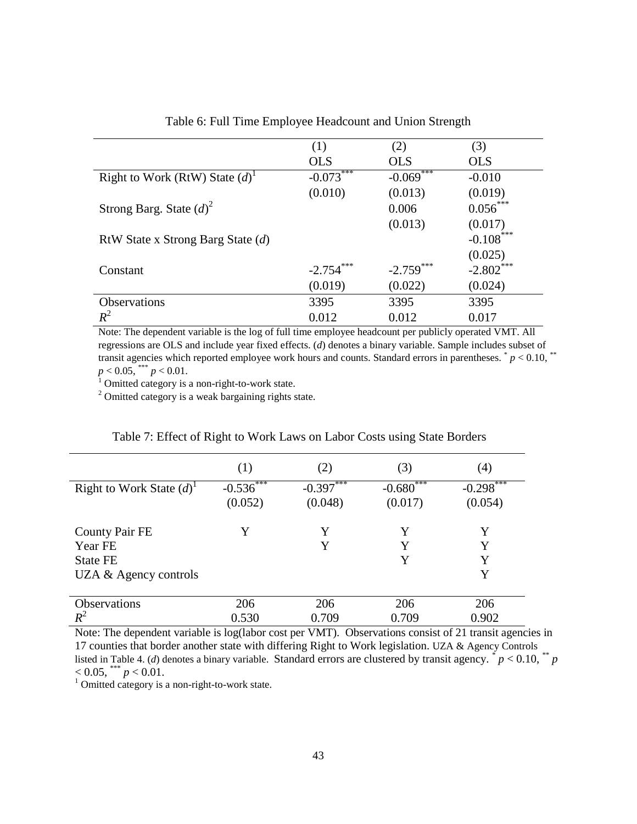|                                     | (1)          | (2)                          | (3)          |
|-------------------------------------|--------------|------------------------------|--------------|
|                                     | <b>OLS</b>   | <b>OLS</b>                   | <b>OLS</b>   |
| Right to Work (RtW) State $(d)^{1}$ | $-0.073***$  | ***<br>$-0.069$ <sup>*</sup> | $-0.010$     |
|                                     | (0.010)      | (0.013)                      | (0.019)      |
| Strong Barg. State $(d)^2$          |              | 0.006                        | $0.056***$   |
|                                     |              | (0.013)                      | (0.017)      |
| RtW State x Strong Barg State $(d)$ |              |                              | $-0.108$ *** |
|                                     |              |                              | (0.025)      |
| Constant                            | $-2.754$ *** | $-2.759$ ***                 | $-2.802$     |
|                                     | (0.019)      | (0.022)                      | (0.024)      |
| <b>Observations</b>                 | 3395         | 3395                         | 3395         |
| $R^2$                               | 0.012        | 0.012                        | 0.017        |

Table 6: Full Time Employee Headcount and Union Strength

Note: The dependent variable is the log of full time employee headcount per publicly operated VMT. All regressions are OLS and include year fixed effects. (*d*) denotes a binary variable. Sample includes subset of transit agencies which reported employee work hours and counts. Standard errors in parentheses.  $p < 0.10$ , \*\*  $p < 0.05$ , \*\*\*  $p < 0.01$ .<br><sup>1</sup> Omitted category is a non-right-to-work state.

 $2$  Omitted category is a weak bargaining rights state.

|                               | (1)      | (2)             | (3)                     | $\left( 4\right)$ |
|-------------------------------|----------|-----------------|-------------------------|-------------------|
| Right to Work State $(d)^{1}$ | $-0.536$ | ***<br>$-0.397$ | ***<br>$-0.680^{\circ}$ | ***<br>$-0.298$   |
|                               | (0.052)  | (0.048)         | (0.017)                 | (0.054)           |
| <b>County Pair FE</b>         | Y        | Y               | Y                       | Y                 |
| Year FE                       |          | Y               | Y                       | Y                 |
| <b>State FE</b>               |          |                 | Y                       | Y                 |
| UZA $\&$ Agency controls      |          |                 |                         | Y                 |
| <b>Observations</b>           | 206      | 206             | 206                     | 206               |
| $R^2$                         | 0.530    | 0.709           | 0.709                   | 0.902             |

#### Table 7: Effect of Right to Work Laws on Labor Costs using State Borders

Note: The dependent variable is log(labor cost per VMT). Observations consist of 21 transit agencies in 17 counties that border another state with differing Right to Work legislation. UZA & Agency Controls listed in Table 4. (*d*) denotes a binary variable. Standard errors are clustered by transit agency.  $\check{i} p < 0.10$ ,  $\check{i} p < 0.10$ ,  $\check{i} p < 0.01$ .

<sup>1</sup> Omitted category is a non-right-to-work state.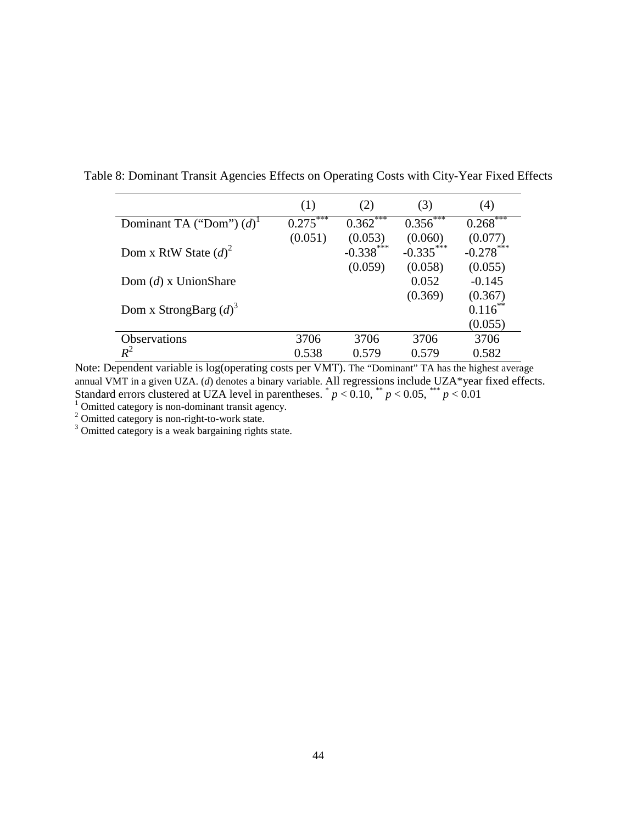|                                        | (1)     | (2)                               | (3)                               | (4)                               |
|----------------------------------------|---------|-----------------------------------|-----------------------------------|-----------------------------------|
| Dominant TA ("Dom") $(d)$ <sup>1</sup> | 0.275   | $0.362$ ***                       | 0.356                             | ***<br>$0.268^{\degree}$          |
| Dom x RtW State $(d)^2$                | (0.051) | (0.053)<br>$-0.338***$<br>(0.059) | (0.060)<br>$-0.335***$<br>(0.058) | (0.077)<br>$-0.278***$<br>(0.055) |
| Dom $(d)$ x UnionShare                 |         |                                   | 0.052                             | $-0.145$                          |
| Dom x StrongBarg $(d)^3$               |         |                                   | (0.369)                           | (0.367)<br>$0.116^{*}$<br>(0.055) |
| <b>Observations</b>                    | 3706    | 3706                              | 3706                              | 3706                              |
| $R^2$                                  | 0.538   | 0.579                             | 0.579                             | 0.582                             |

Table 8: Dominant Transit Agencies Effects on Operating Costs with City-Year Fixed Effects

Note: Dependent variable is log(operating costs per VMT). The "Dominant" TA has the highest average annual VMT in a given UZA. (*d*) denotes a binary variable. All regressions include UZA\*year fixed effects. Standard errors clustered at UZA level in parentheses.  $p < 0.10$ ,  $*$   $p < 0.05$ ,  $*$   $p < 0.01$ <br>
<sup>1</sup> Omitted category is non-dominant transit agency.<br>
<sup>2</sup> Omitted category is non-right-to-work state.<br>
<sup>3</sup> Omitted category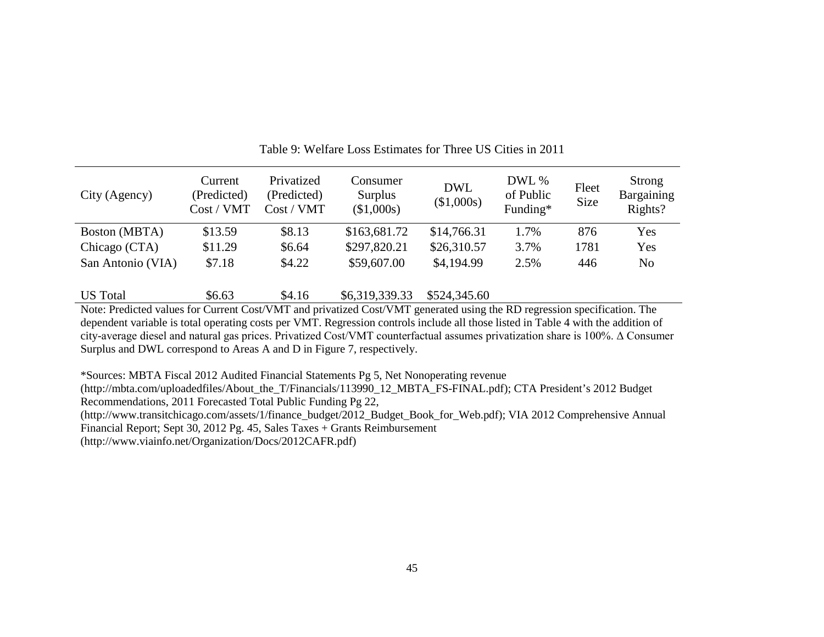| City (Agency)     | Current<br>(Predicted)<br>Cost / VMT | Privatized<br>(Predicted)<br>Cost / VMT | Consumer<br>Surplus<br>(\$1,000s) | <b>DWL</b><br>(\$1,000s) | DWL %<br>of Public<br>Funding* | Fleet<br>Size | Strong<br>Bargaining<br>Rights? |
|-------------------|--------------------------------------|-----------------------------------------|-----------------------------------|--------------------------|--------------------------------|---------------|---------------------------------|
| Boston (MBTA)     | \$13.59                              | \$8.13                                  | \$163,681.72                      | \$14,766.31              | 1.7%                           | 876           | Yes                             |
| Chicago (CTA)     | \$11.29                              | \$6.64                                  | \$297,820.21                      | \$26,310.57              | 3.7%                           | 1781          | Yes                             |
| San Antonio (VIA) | \$7.18                               | \$4.22                                  | \$59,607.00                       | \$4,194.99               | 2.5%                           | 446           | No                              |

Table 9: Welfare Loss Estimates for Three US Cities in 2011

US Total  $$6.63$   $$4.16$   $$6,319,339.33$   $$524,345.60$ 

Note: Predicted values for Current Cost/VMT and privatized Cost/VMT generated using the RD regression specification. The dependent variable is total operating costs per VMT. Regression controls include all those listed in Table 4 with the addition of city-average diesel and natural gas prices. Privatized Cost/VMT counterfactual assumes privatization share is 100%. Δ Consumer Surplus and DWL correspond to Areas A and D in Figure 7, respectively.

\*Sources: MBTA Fiscal 2012 Audited Financial Statements Pg 5, Net Nonoperating revenue

(http://mbta.com/uploadedfiles/About\_the\_T/Financials/113990\_12\_MBTA\_FS-FINAL.pdf); CTA President's 2012 Budget Recommendations, 2011 Forecasted Total Public Funding Pg 22,

(http://www.transitchicago.com/assets/1/finance\_budget/2012\_Budget\_Book\_for\_Web.pdf); VIA 2012 Comprehensive Annual Financial Report; Sept 30, 2012 Pg. 45, Sales Taxes + Grants Reimbursement

(http://www.viainfo.net/Organization/Docs/2012CAFR.pdf)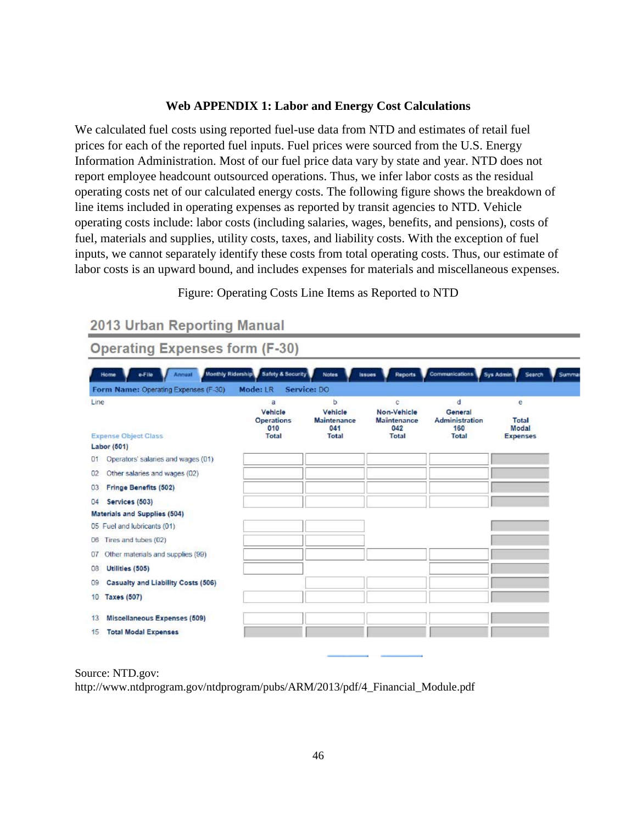# **Web APPENDIX 1: Labor and Energy Cost Calculations**

We calculated fuel costs using reported fuel-use data from NTD and estimates of retail fuel prices for each of the reported fuel inputs. Fuel prices were sourced from the U.S. Energy Information Administration. Most of our fuel price data vary by state and year. NTD does not report employee headcount outsourced operations. Thus, we infer labor costs as the residual operating costs net of our calculated energy costs. The following figure shows the breakdown of line items included in operating expenses as reported by transit agencies to NTD. Vehicle operating costs include: labor costs (including salaries, wages, benefits, and pensions), costs of fuel, materials and supplies, utility costs, taxes, and liability costs. With the exception of fuel inputs, we cannot separately identify these costs from total operating costs. Thus, our estimate of labor costs is an upward bound, and includes expenses for materials and miscellaneous expenses.

# Figure: Operating Costs Line Items as Reported to NTD

# 2013 Urban Reporting Manual

# **Operating Expenses form (F-30)**

| Line                                             | a<br>Vehicle<br><b>Operations</b><br>010 | ь<br>Vehicle<br><b>Maintenance</b><br>041 | c<br>Non-Vehicle<br><b>Maintenance</b><br>042 | đ<br>General<br><b>Administration</b><br>160 | e<br>Total<br>Modal |
|--------------------------------------------------|------------------------------------------|-------------------------------------------|-----------------------------------------------|----------------------------------------------|---------------------|
| <b>Expense Object Class</b>                      | <b>Total</b>                             | <b>Total</b>                              | <b>Total</b>                                  | Total                                        | <b>Expenses</b>     |
| Labor (501)                                      |                                          |                                           |                                               |                                              |                     |
| Operators' salaries and wages (01)<br>01         |                                          |                                           |                                               |                                              |                     |
| Other salaries and wages (02)<br>02 <sub>2</sub> |                                          |                                           |                                               |                                              |                     |
| <b>Fringe Benefits (502)</b><br>03               |                                          |                                           |                                               |                                              |                     |
| Services (503)<br>04                             |                                          |                                           |                                               |                                              |                     |
| <b>Materials and Supplies (504)</b>              |                                          |                                           |                                               |                                              |                     |
| 05 Fuel and lubricants (01)                      |                                          |                                           |                                               |                                              |                     |
| Tires and tubes (02)<br>O6                       |                                          |                                           |                                               |                                              |                     |
| Other materials and supplies (99)<br>07          |                                          |                                           |                                               |                                              |                     |
| Utilities (505)<br>08                            |                                          |                                           |                                               |                                              |                     |
| Casualty and Liability Costs (506)<br>09         |                                          |                                           |                                               |                                              |                     |
| <b>Taxes (507)</b><br>10                         |                                          |                                           |                                               |                                              |                     |
| Miscellaneous Expenses (509)<br>13               |                                          |                                           |                                               |                                              |                     |
| <b>Total Modal Expenses</b><br>15                |                                          |                                           |                                               |                                              |                     |

#### Source: NTD.gov:

http://www.ntdprogram.gov/ntdprogram/pubs/ARM/2013/pdf/4\_Financial\_Module.pdf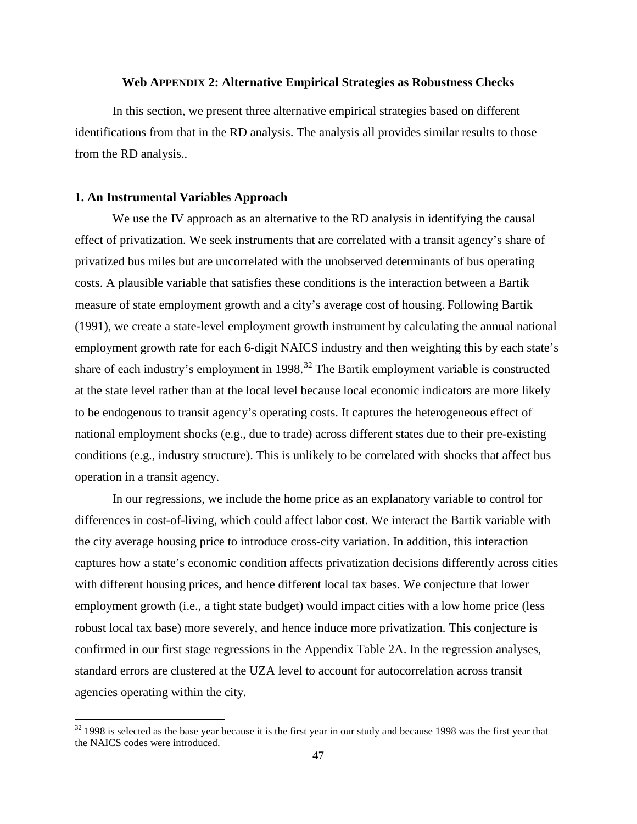### **Web APPENDIX 2: Alternative Empirical Strategies as Robustness Checks**

In this section, we present three alternative empirical strategies based on different identifications from that in the RD analysis. The analysis all provides similar results to those from the RD analysis..

#### **1. An Instrumental Variables Approach**

l

We use the IV approach as an alternative to the RD analysis in identifying the causal effect of privatization. We seek instruments that are correlated with a transit agency's share of privatized bus miles but are uncorrelated with the unobserved determinants of bus operating costs. A plausible variable that satisfies these conditions is the interaction between a Bartik measure of state employment growth and a city's average cost of housing. Following Bartik (1991), we create a state-level employment growth instrument by calculating the annual national employment growth rate for each 6-digit NAICS industry and then weighting this by each state's share of each industry's employment in  $1998$ <sup>[32](#page-47-0)</sup>. The Bartik employment variable is constructed at the state level rather than at the local level because local economic indicators are more likely to be endogenous to transit agency's operating costs. It captures the heterogeneous effect of national employment shocks (e.g., due to trade) across different states due to their pre-existing conditions (e.g., industry structure). This is unlikely to be correlated with shocks that affect bus operation in a transit agency.

In our regressions, we include the home price as an explanatory variable to control for differences in cost-of-living, which could affect labor cost. We interact the Bartik variable with the city average housing price to introduce cross-city variation. In addition, this interaction captures how a state's economic condition affects privatization decisions differently across cities with different housing prices, and hence different local tax bases. We conjecture that lower employment growth (i.e., a tight state budget) would impact cities with a low home price (less robust local tax base) more severely, and hence induce more privatization. This conjecture is confirmed in our first stage regressions in the Appendix Table 2A. In the regression analyses, standard errors are clustered at the UZA level to account for autocorrelation across transit agencies operating within the city.

<span id="page-47-0"></span> $32$  1998 is selected as the base year because it is the first year in our study and because 1998 was the first year that the NAICS codes were introduced.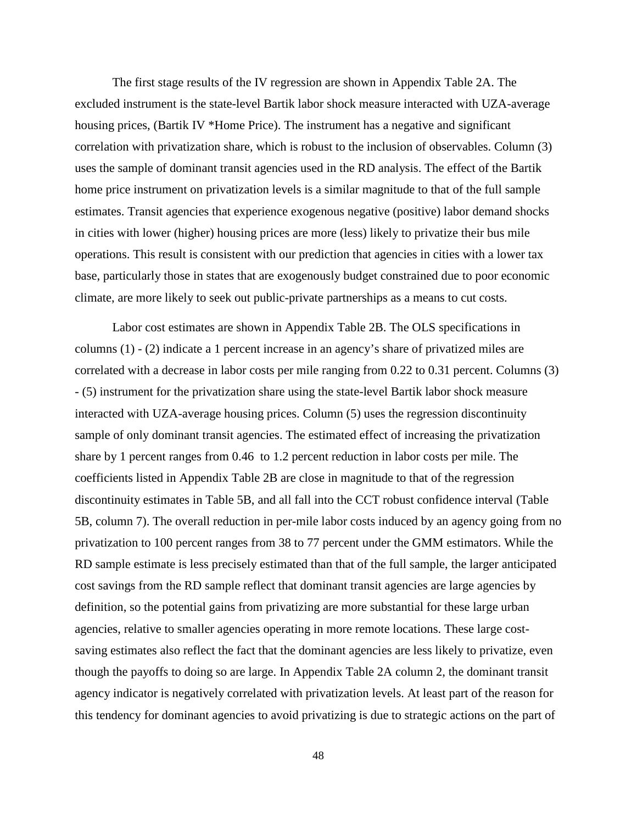The first stage results of the IV regression are shown in Appendix Table 2A. The excluded instrument is the state-level Bartik labor shock measure interacted with UZA-average housing prices, (Bartik IV \*Home Price). The instrument has a negative and significant correlation with privatization share, which is robust to the inclusion of observables. Column (3) uses the sample of dominant transit agencies used in the RD analysis. The effect of the Bartik home price instrument on privatization levels is a similar magnitude to that of the full sample estimates. Transit agencies that experience exogenous negative (positive) labor demand shocks in cities with lower (higher) housing prices are more (less) likely to privatize their bus mile operations. This result is consistent with our prediction that agencies in cities with a lower tax base, particularly those in states that are exogenously budget constrained due to poor economic climate, are more likely to seek out public-private partnerships as a means to cut costs.

Labor cost estimates are shown in Appendix Table 2B. The OLS specifications in columns (1) - (2) indicate a 1 percent increase in an agency's share of privatized miles are correlated with a decrease in labor costs per mile ranging from 0.22 to 0.31 percent. Columns (3) - (5) instrument for the privatization share using the state-level Bartik labor shock measure interacted with UZA-average housing prices. Column (5) uses the regression discontinuity sample of only dominant transit agencies. The estimated effect of increasing the privatization share by 1 percent ranges from 0.46 to 1.2 percent reduction in labor costs per mile. The coefficients listed in Appendix Table 2B are close in magnitude to that of the regression discontinuity estimates in Table 5B, and all fall into the CCT robust confidence interval (Table 5B, column 7). The overall reduction in per-mile labor costs induced by an agency going from no privatization to 100 percent ranges from 38 to 77 percent under the GMM estimators. While the RD sample estimate is less precisely estimated than that of the full sample, the larger anticipated cost savings from the RD sample reflect that dominant transit agencies are large agencies by definition, so the potential gains from privatizing are more substantial for these large urban agencies, relative to smaller agencies operating in more remote locations. These large costsaving estimates also reflect the fact that the dominant agencies are less likely to privatize, even though the payoffs to doing so are large. In Appendix Table 2A column 2, the dominant transit agency indicator is negatively correlated with privatization levels. At least part of the reason for this tendency for dominant agencies to avoid privatizing is due to strategic actions on the part of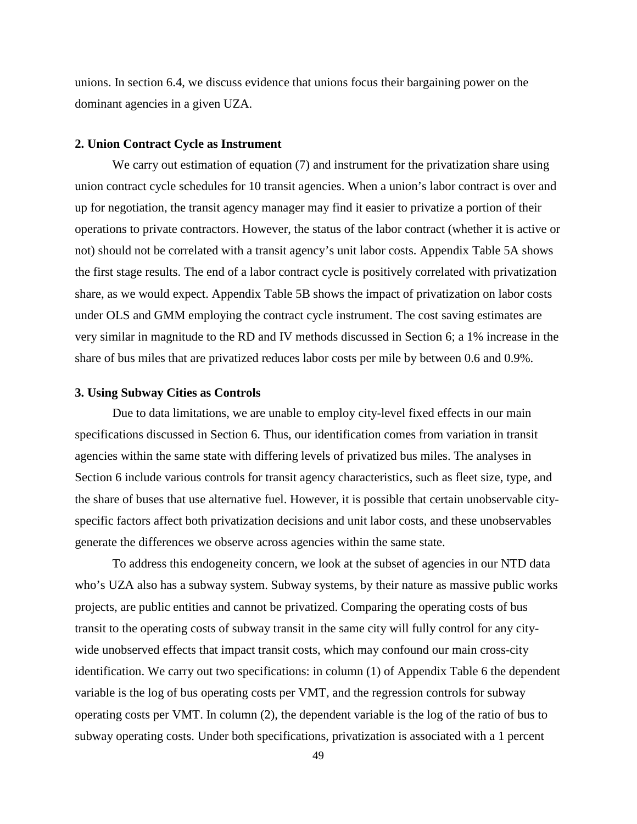unions. In section 6.4, we discuss evidence that unions focus their bargaining power on the dominant agencies in a given UZA.

#### **2. Union Contract Cycle as Instrument**

We carry out estimation of equation (7) and instrument for the privatization share using union contract cycle schedules for 10 transit agencies. When a union's labor contract is over and up for negotiation, the transit agency manager may find it easier to privatize a portion of their operations to private contractors. However, the status of the labor contract (whether it is active or not) should not be correlated with a transit agency's unit labor costs. Appendix Table 5A shows the first stage results. The end of a labor contract cycle is positively correlated with privatization share, as we would expect. Appendix Table 5B shows the impact of privatization on labor costs under OLS and GMM employing the contract cycle instrument. The cost saving estimates are very similar in magnitude to the RD and IV methods discussed in Section 6; a 1% increase in the share of bus miles that are privatized reduces labor costs per mile by between 0.6 and 0.9%.

#### **3. Using Subway Cities as Controls**

Due to data limitations, we are unable to employ city-level fixed effects in our main specifications discussed in Section 6. Thus, our identification comes from variation in transit agencies within the same state with differing levels of privatized bus miles. The analyses in Section 6 include various controls for transit agency characteristics, such as fleet size, type, and the share of buses that use alternative fuel. However, it is possible that certain unobservable cityspecific factors affect both privatization decisions and unit labor costs, and these unobservables generate the differences we observe across agencies within the same state.

To address this endogeneity concern, we look at the subset of agencies in our NTD data who's UZA also has a subway system. Subway systems, by their nature as massive public works projects, are public entities and cannot be privatized. Comparing the operating costs of bus transit to the operating costs of subway transit in the same city will fully control for any citywide unobserved effects that impact transit costs, which may confound our main cross-city identification. We carry out two specifications: in column (1) of Appendix Table 6 the dependent variable is the log of bus operating costs per VMT, and the regression controls for subway operating costs per VMT. In column (2), the dependent variable is the log of the ratio of bus to subway operating costs. Under both specifications, privatization is associated with a 1 percent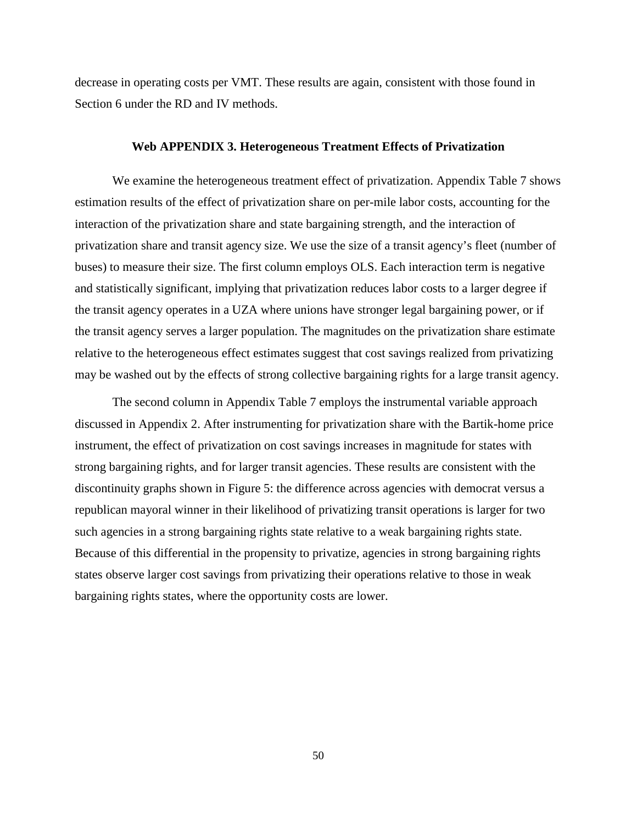decrease in operating costs per VMT. These results are again, consistent with those found in Section 6 under the RD and IV methods.

#### **Web APPENDIX 3. Heterogeneous Treatment Effects of Privatization**

We examine the heterogeneous treatment effect of privatization. Appendix Table 7 shows estimation results of the effect of privatization share on per-mile labor costs, accounting for the interaction of the privatization share and state bargaining strength, and the interaction of privatization share and transit agency size. We use the size of a transit agency's fleet (number of buses) to measure their size. The first column employs OLS. Each interaction term is negative and statistically significant, implying that privatization reduces labor costs to a larger degree if the transit agency operates in a UZA where unions have stronger legal bargaining power, or if the transit agency serves a larger population. The magnitudes on the privatization share estimate relative to the heterogeneous effect estimates suggest that cost savings realized from privatizing may be washed out by the effects of strong collective bargaining rights for a large transit agency.

The second column in Appendix Table 7 employs the instrumental variable approach discussed in Appendix 2. After instrumenting for privatization share with the Bartik-home price instrument, the effect of privatization on cost savings increases in magnitude for states with strong bargaining rights, and for larger transit agencies. These results are consistent with the discontinuity graphs shown in Figure 5: the difference across agencies with democrat versus a republican mayoral winner in their likelihood of privatizing transit operations is larger for two such agencies in a strong bargaining rights state relative to a weak bargaining rights state. Because of this differential in the propensity to privatize, agencies in strong bargaining rights states observe larger cost savings from privatizing their operations relative to those in weak bargaining rights states, where the opportunity costs are lower.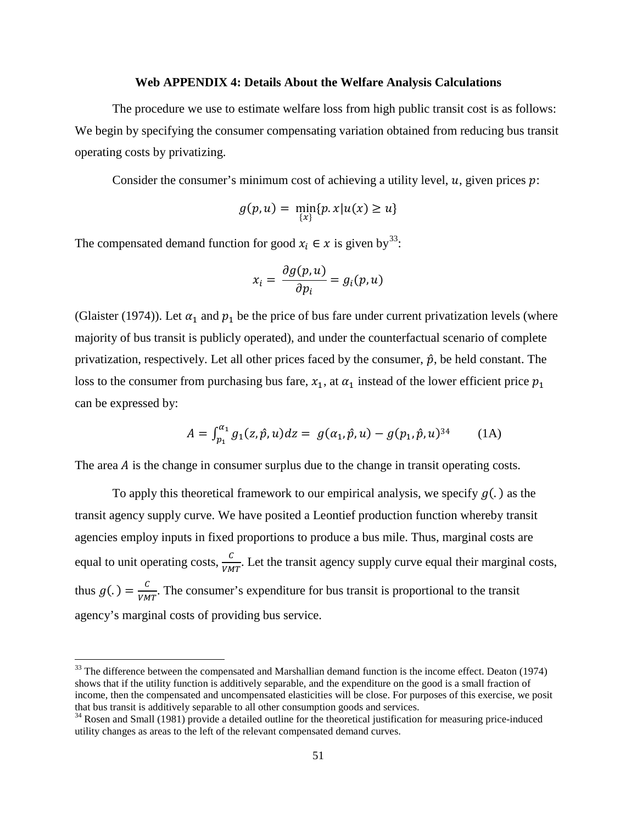#### **Web APPENDIX 4: Details About the Welfare Analysis Calculations**

The procedure we use to estimate welfare loss from high public transit cost is as follows: We begin by specifying the consumer compensating variation obtained from reducing bus transit operating costs by privatizing.

Consider the consumer's minimum cost of achieving a utility level,  $u$ , given prices  $p$ :

$$
g(p, u) = \min_{\{x\}} \{p, x | u(x) \ge u\}
$$

The compensated demand function for good  $x_i \in \mathcal{X}$  is given by<sup>33</sup>:

$$
x_i = \frac{\partial g(p, u)}{\partial p_i} = g_i(p, u)
$$

(Glaister (1974)). Let  $\alpha_1$  and  $p_1$  be the price of bus fare under current privatization levels (where majority of bus transit is publicly operated), and under the counterfactual scenario of complete privatization, respectively. Let all other prices faced by the consumer,  $\hat{p}$ , be held constant. The loss to the consumer from purchasing bus fare,  $x_1$ , at  $\alpha_1$  instead of the lower efficient price  $p_1$ can be expressed by:

$$
A = \int_{p_1}^{\alpha_1} g_1(z, \hat{p}, u) dz = g(\alpha_1, \hat{p}, u) - g(p_1, \hat{p}, u)^{34}
$$
 (1A)

The area  $\vec{A}$  is the change in consumer surplus due to the change in transit operating costs.

To apply this theoretical framework to our empirical analysis, we specify  $g(.)$  as the transit agency supply curve. We have posited a Leontief production function whereby transit agencies employ inputs in fixed proportions to produce a bus mile. Thus, marginal costs are equal to unit operating costs,  $\frac{c}{vMT}$ . Let the transit agency supply curve equal their marginal costs, thus  $g(.) = \frac{c}{VMT}$ . The consumer's expenditure for bus transit is proportional to the transit agency's marginal costs of providing bus service.

 $\overline{a}$ 

<span id="page-51-0"></span><sup>&</sup>lt;sup>33</sup> The difference between the compensated and Marshallian demand function is the income effect. Deaton (1974) shows that if the utility function is additively separable, and the expenditure on the good is a small fraction of income, then the compensated and uncompensated elasticities will be close. For purposes of this exercise, we posit that bus transit is additively separable to all other consumption goods and services.<br><sup>34</sup> Rosen and Small (1981) provide a detailed outline for the theoretical justification for measuring price-induced

utility changes as areas to the left of the relevant compensated demand curves.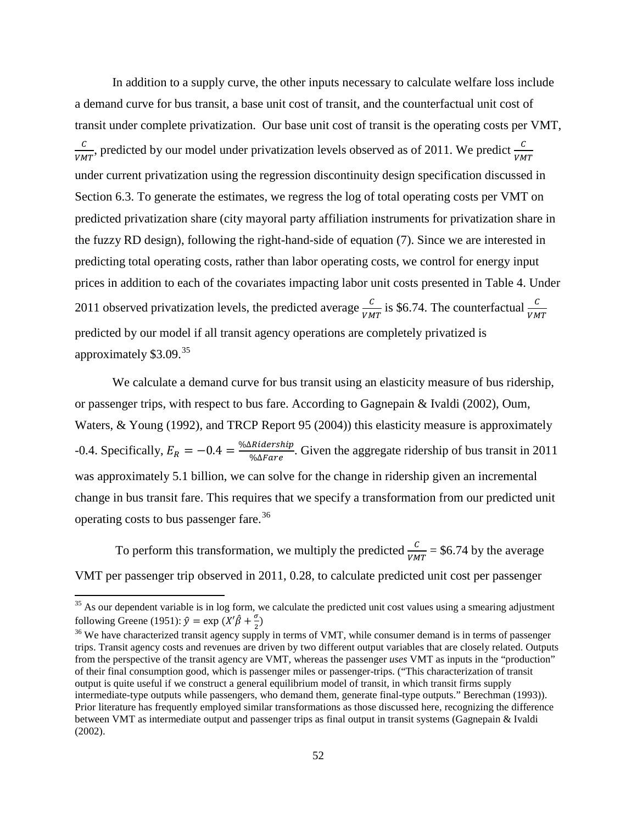In addition to a supply curve, the other inputs necessary to calculate welfare loss include a demand curve for bus transit, a base unit cost of transit, and the counterfactual unit cost of transit under complete privatization. Our base unit cost of transit is the operating costs per VMT,  $\frac{C}{VMT}$ , predicted by our model under privatization levels observed as of 2011. We predict  $\frac{C}{VMT}$ under current privatization using the regression discontinuity design specification discussed in Section 6.3. To generate the estimates, we regress the log of total operating costs per VMT on predicted privatization share (city mayoral party affiliation instruments for privatization share in the fuzzy RD design), following the right-hand-side of equation (7). Since we are interested in predicting total operating costs, rather than labor operating costs, we control for energy input prices in addition to each of the covariates impacting labor unit costs presented in Table 4. Under 2011 observed privatization levels, the predicted average  $\frac{c}{v_{MT}}$  is \$6.74. The counterfactual  $\frac{c}{v_{MT}}$ predicted by our model if all transit agency operations are completely privatized is approximately  $$3.09<sup>35</sup>$  $$3.09<sup>35</sup>$  $$3.09<sup>35</sup>$ 

We calculate a demand curve for bus transit using an elasticity measure of bus ridership, or passenger trips, with respect to bus fare. According to Gagnepain & Ivaldi (2002), Oum, Waters, & Young (1992), and TRCP Report 95 (2004)) this elasticity measure is approximately -0.4. Specifically,  $E_R = -0.4 = \frac{\% \Delta R \cdot \text{d} \cdot \text{e}^2}{\% \Delta F \cdot \text{d} \cdot \text{e}^2}$ . Given the aggregate ridership of bus transit in 2011 was approximately 5.1 billion, we can solve for the change in ridership given an incremental change in bus transit fare. This requires that we specify a transformation from our predicted unit operating costs to bus passenger fare. [36](#page-52-1)

To perform this transformation, we multiply the predicted  $\frac{c}{VMT} = $6.74$  by the average VMT per passenger trip observed in 2011, 0.28, to calculate predicted unit cost per passenger

l

<span id="page-52-0"></span> $35$  As our dependent variable is in log form, we calculate the predicted unit cost values using a smearing adjustment following Greene (1951):  $\hat{y} = \exp(X'\hat{\beta} + \frac{\sigma}{2})$ 

<span id="page-52-1"></span><sup>&</sup>lt;sup>36</sup> We have characterized transit agency supply in terms of VMT, while consumer demand is in terms of passenger trips. Transit agency costs and revenues are driven by two different output variables that are closely related. Outputs from the perspective of the transit agency are VMT, whereas the passenger *uses* VMT as inputs in the "production" of their final consumption good, which is passenger miles or passenger-trips. ("This characterization of transit output is quite useful if we construct a general equilibrium model of transit, in which transit firms supply intermediate-type outputs while passengers, who demand them, generate final-type outputs." Berechman (1993)). Prior literature has frequently employed similar transformations as those discussed here, recognizing the difference between VMT as intermediate output and passenger trips as final output in transit systems (Gagnepain & Ivaldi (2002).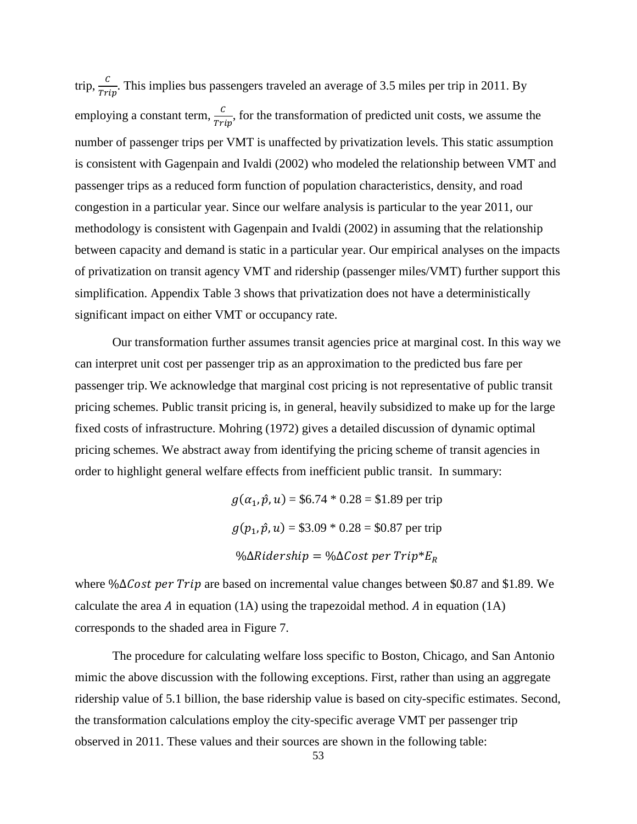trip,  $\frac{c}{Trip}$ . This implies bus passengers traveled an average of 3.5 miles per trip in 2011. By employing a constant term,  $\frac{c}{Trip}$ , for the transformation of predicted unit costs, we assume the number of passenger trips per VMT is unaffected by privatization levels. This static assumption is consistent with Gagenpain and Ivaldi (2002) who modeled the relationship between VMT and passenger trips as a reduced form function of population characteristics, density, and road congestion in a particular year. Since our welfare analysis is particular to the year 2011, our methodology is consistent with Gagenpain and Ivaldi (2002) in assuming that the relationship between capacity and demand is static in a particular year. Our empirical analyses on the impacts of privatization on transit agency VMT and ridership (passenger miles/VMT) further support this simplification. Appendix Table 3 shows that privatization does not have a deterministically significant impact on either VMT or occupancy rate.

Our transformation further assumes transit agencies price at marginal cost. In this way we can interpret unit cost per passenger trip as an approximation to the predicted bus fare per passenger trip. We acknowledge that marginal cost pricing is not representative of public transit pricing schemes. Public transit pricing is, in general, heavily subsidized to make up for the large fixed costs of infrastructure. Mohring (1972) gives a detailed discussion of dynamic optimal pricing schemes. We abstract away from identifying the pricing scheme of transit agencies in order to highlight general welfare effects from inefficient public transit. In summary:

> $g(\alpha_1, \hat{p}, u) = $6.74 * 0.28 = $1.89$  per trip  $g(p_1, \hat{p}, u) = $3.09 * 0.28 = $0.87$  per trip % $\Delta$ Ridership = % $\Delta$ Cost per Trip\* $E_R$

where %∆Cost per Trip are based on incremental value changes between \$0.87 and \$1.89. We calculate the area  $\vec{A}$  in equation (1A) using the trapezoidal method.  $\vec{A}$  in equation (1A) corresponds to the shaded area in Figure 7.

The procedure for calculating welfare loss specific to Boston, Chicago, and San Antonio mimic the above discussion with the following exceptions. First, rather than using an aggregate ridership value of 5.1 billion, the base ridership value is based on city-specific estimates. Second, the transformation calculations employ the city-specific average VMT per passenger trip observed in 2011. These values and their sources are shown in the following table: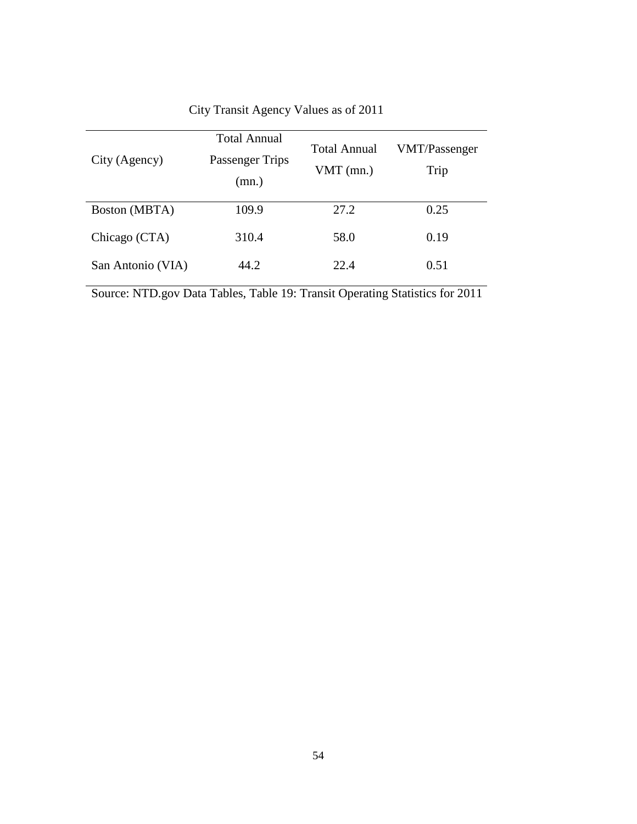| City (Agency)        | <b>Total Annual</b><br>Passenger Trips<br>(mn.) | <b>Total Annual</b><br>$VMT$ (mn.) | VMT/Passenger<br>Trip |
|----------------------|-------------------------------------------------|------------------------------------|-----------------------|
| <b>Boston</b> (MBTA) | 109.9                                           | 27.2                               | 0.25                  |
| Chicago (CTA)        | 310.4                                           | 58.0                               | 0.19                  |
| San Antonio (VIA)    | 44.2                                            | 22.4                               | 0.51                  |

City Transit Agency Values as of 2011

Source: NTD.gov Data Tables, Table 19: Transit Operating Statistics for 2011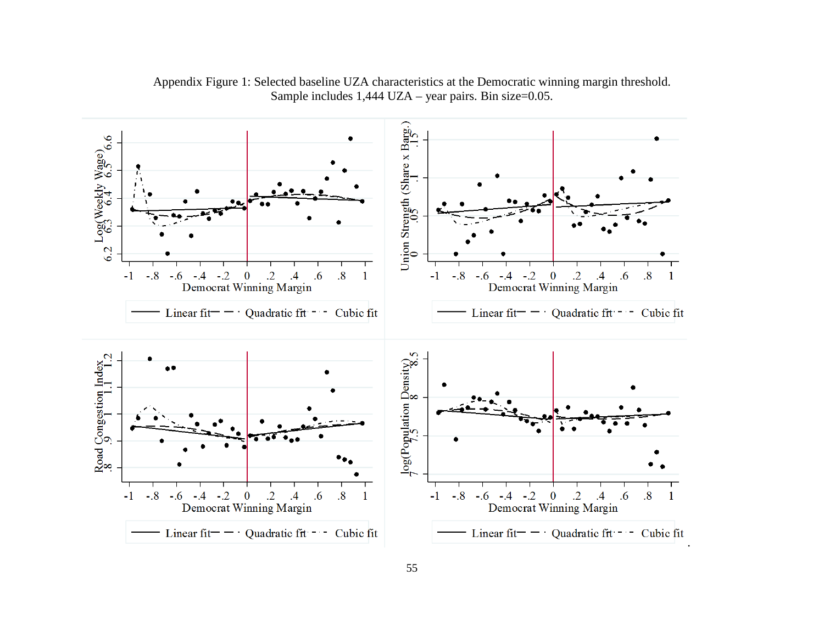

Appendix Figure 1: Selected baseline UZA characteristics at the Democratic winning margin threshold. Sample includes 1,444 UZA – year pairs. Bin size=0.05.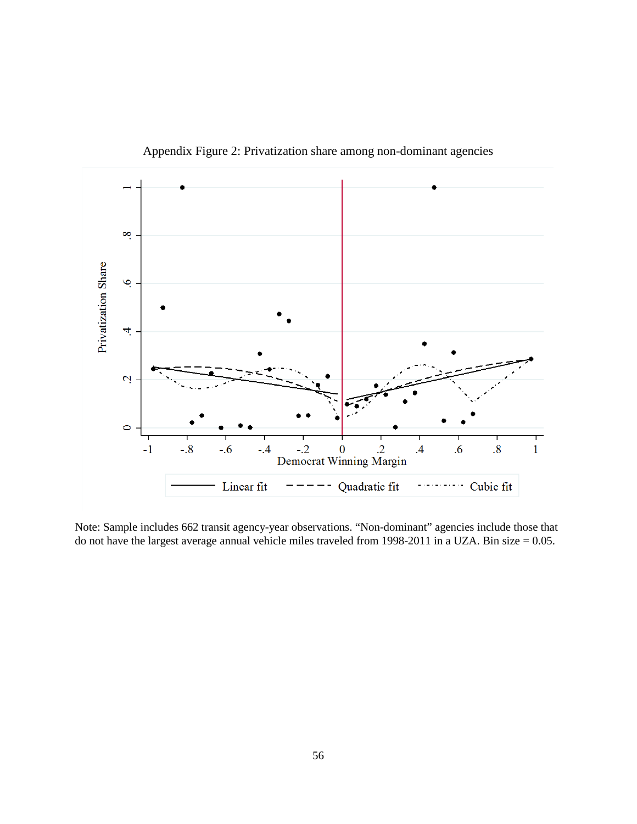

Appendix Figure 2: Privatization share among non-dominant agencies

Note: Sample includes 662 transit agency-year observations. "Non-dominant" agencies include those that do not have the largest average annual vehicle miles traveled from 1998-2011 in a UZA. Bin size = 0.05.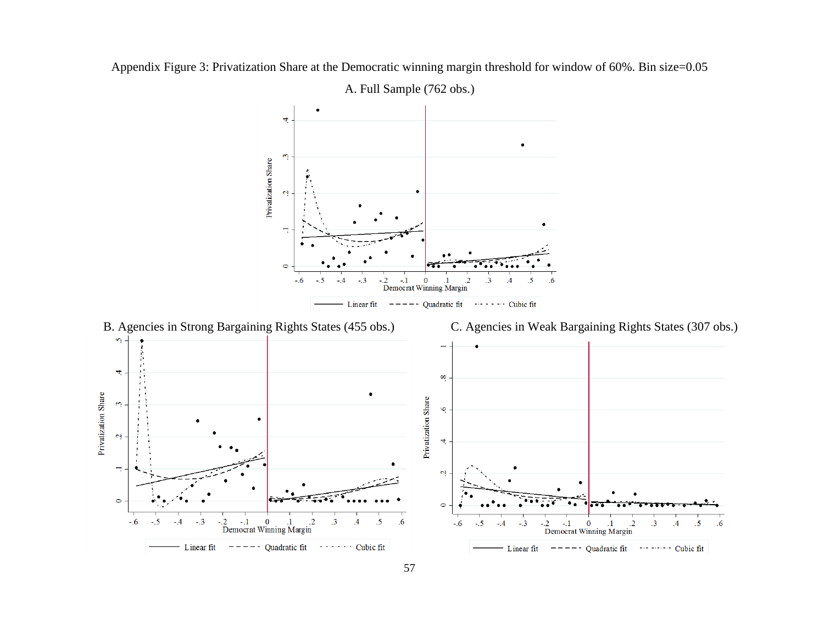

Appendix Figure 3: Privatization Share at the Democratic winning margin threshold for window of 60%. Bin size=0.05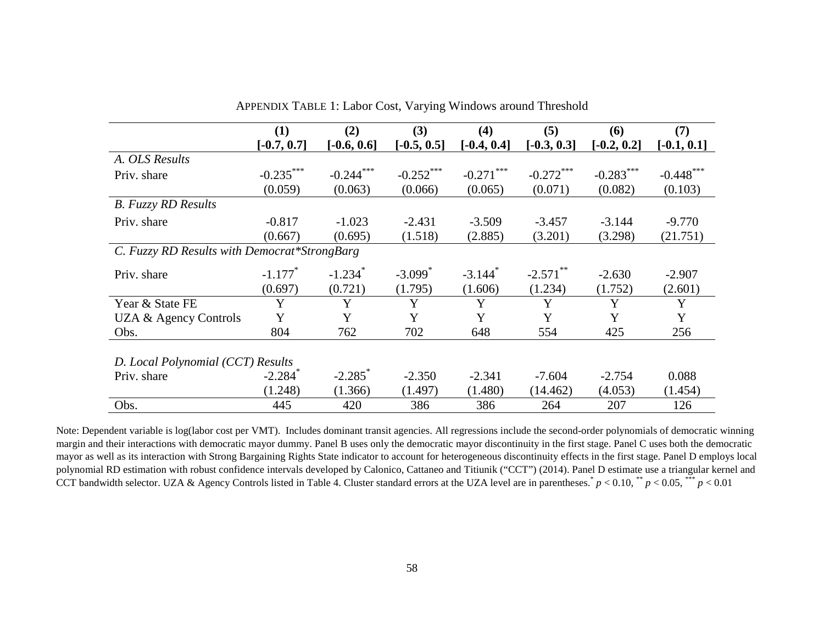|                                              | (1)                   | (2)                   | (3)                   | (4)                   | (5)           | (6)           | (7)           |
|----------------------------------------------|-----------------------|-----------------------|-----------------------|-----------------------|---------------|---------------|---------------|
|                                              | $[-0.7, 0.7]$         | $[-0.6, 0.6]$         | $[-0.5, 0.5]$         | $[-0.4, 0.4]$         | $[-0.3, 0.3]$ | $[-0.2, 0.2]$ | $[-0.1, 0.1]$ |
| A. OLS Results                               |                       |                       |                       |                       |               |               |               |
| Priv. share                                  | $-0.235***$           | $-0.244***$           | $-0.252$ ***          | $-0.271$ ***          | $-0.272$ ***  | $-0.283$ ***  | $-0.448$ ***  |
|                                              | (0.059)               | (0.063)               | (0.066)               | (0.065)               | (0.071)       | (0.082)       | (0.103)       |
| <b>B.</b> Fuzzy RD Results                   |                       |                       |                       |                       |               |               |               |
| Priv. share                                  | $-0.817$              | $-1.023$              | $-2.431$              | $-3.509$              | $-3.457$      | $-3.144$      | $-9.770$      |
|                                              | (0.667)               | (0.695)               | (1.518)               | (2.885)               | (3.201)       | (3.298)       | (21.751)      |
| C. Fuzzy RD Results with Democrat*StrongBarg |                       |                       |                       |                       |               |               |               |
| Priv. share                                  | $-1.177$ <sup>*</sup> | $-1.234$ <sup>*</sup> | $-3.099$ <sup>*</sup> | $-3.144$ <sup>*</sup> | $-2.571$ **   | $-2.630$      | $-2.907$      |
|                                              | (0.697)               | (0.721)               | (1.795)               | (1.606)               | (1.234)       | (1.752)       | (2.601)       |
| Year & State FE                              | Y                     | Y                     | Y                     | Y                     | Y             | Y             | Y             |
| UZA & Agency Controls                        | Y                     | Y                     | Y                     | Y                     | Y             | Y             | Y             |
| Obs.                                         | 804                   | 762                   | 702                   | 648                   | 554           | 425           | 256           |
|                                              |                       |                       |                       |                       |               |               |               |
| D. Local Polynomial (CCT) Results            |                       |                       |                       |                       |               |               |               |
| Priv. share                                  | $-2.284$ <sup>*</sup> | $-2.285$ <sup>*</sup> | $-2.350$              | $-2.341$              | $-7.604$      | $-2.754$      | 0.088         |
|                                              | (1.248)               | (1.366)               | (1.497)               | (1.480)               | (14.462)      | (4.053)       | (1.454)       |
| Obs.                                         | 445                   | 420                   | 386                   | 386                   | 264           | 207           | 126           |

APPENDIX TABLE 1: Labor Cost, Varying Windows around Threshold

Note: Dependent variable is log(labor cost per VMT). Includes dominant transit agencies. All regressions include the second-order polynomials of democratic winning margin and their interactions with democratic mayor dummy. Panel B uses only the democratic mayor discontinuity in the first stage. Panel C uses both the democratic mayor as well as its interaction with Strong Bargaining Rights State indicator to account for heterogeneous discontinuity effects in the first stage. Panel D employs local polynomial RD estimation with robust confidence intervals developed by Calonico, Cattaneo and Titiunik ("CCT") (2014). Panel D estimate use a triangular kernel and CCT bandwidth selector. UZA & Agency Controls listed in Table 4. Cluster standard errors at the UZA level are in parentheses.<sup>\*</sup>  $p < 0.10$ , \*\*  $p < 0.05$ , \*\*\*  $p < 0.01$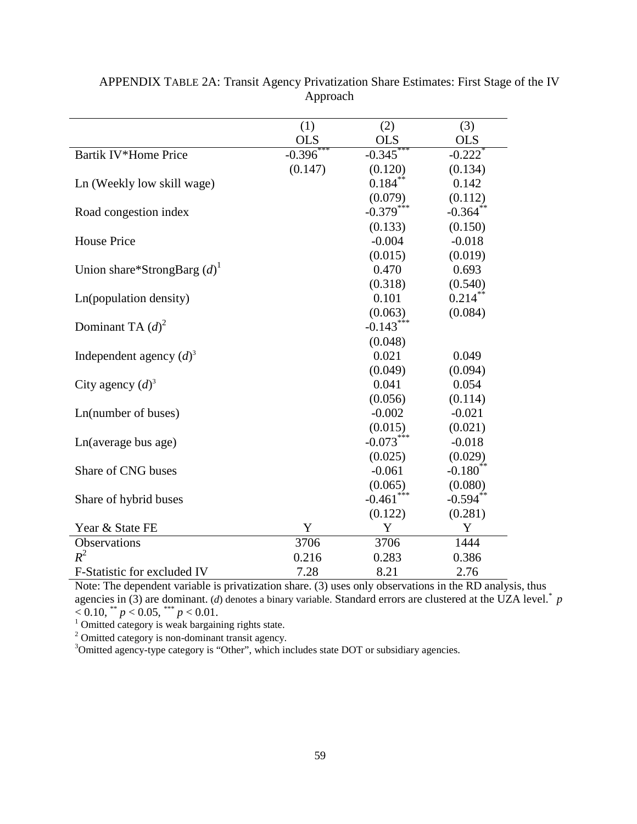|                                           | (1)          | (2)                     | (3)                    |
|-------------------------------------------|--------------|-------------------------|------------------------|
|                                           | <b>OLS</b>   | <b>OLS</b>              | <b>OLS</b>             |
| Bartik IV*Home Price                      | $-0.396$ *** | $-0.345***$             | $-0.222$ <sup>*</sup>  |
|                                           | (0.147)      | (0.120)                 | (0.134)                |
| Ln (Weekly low skill wage)                |              | $0.184***$              | 0.142                  |
|                                           |              | (0.079)                 | (0.112)                |
| Road congestion index                     |              | $-0.379***$             | $-0.364$ **            |
|                                           |              | (0.133)                 | (0.150)                |
| <b>House Price</b>                        |              | $-0.004$                | $-0.018$               |
|                                           |              | (0.015)                 | (0.019)                |
| Union share*StrongBarg $(d)$ <sup>1</sup> |              | 0.470                   | 0.693                  |
|                                           |              | (0.318)                 | (0.540)                |
| Ln(population density)                    |              | 0.101                   | $0.214***$             |
|                                           |              | (0.063)                 | (0.084)                |
| Dominant TA $(d)^2$                       |              | $-0.143***$             |                        |
|                                           |              | (0.048)                 |                        |
| Independent agency $(d)^3$                |              | 0.021                   | 0.049                  |
|                                           |              | (0.049)                 | (0.094)                |
| City agency $(d)^3$                       |              | 0.041                   | 0.054                  |
|                                           |              | (0.056)                 | (0.114)                |
| Ln(number of buses)                       |              | $-0.002$                | $-0.021$               |
|                                           |              | (0.015)                 | (0.021)                |
| Ln(average bus age)                       |              | $-0.073***$             | $-0.018$               |
|                                           |              | (0.025)                 | (0.029)                |
| Share of CNG buses                        |              | $-0.061$                | $-0.180$ <sup>**</sup> |
|                                           |              | (0.065)                 | (0.080)                |
| Share of hybrid buses                     |              | $-0.461$ <sup>***</sup> | $-0.594$ <sup>**</sup> |
|                                           |              | (0.122)                 | (0.281)                |
| Year & State FE                           | Y            | Y                       | Y                      |
| Observations                              | 3706         | 3706                    | 1444                   |
| $R^2$                                     | 0.216        | 0.283                   | 0.386                  |
| F-Statistic for excluded IV               | 7.28         | 8.21                    | 2.76                   |

APPENDIX TABLE 2A: Transit Agency Privatization Share Estimates: First Stage of the IV Approach

Note: The dependent variable is privatization share. (3) uses only observations in the RD analysis, thus agencies in  $(3)$  are dominant. (*d*) denotes a binary variable. Standard errors are clustered at the UZA level.<sup>\*</sup>  $p$  $< 0.10$ , \*\*  $p < 0.05$ , \*\*\*  $p < 0.01$ .<br><sup>1</sup> Omitted category is weak bargaining rights state.

 $^2$  Omitted category is non-dominant transit agency.<br> $^3$ Omitted agency-type category is "Other", which includes state DOT or subsidiary agencies.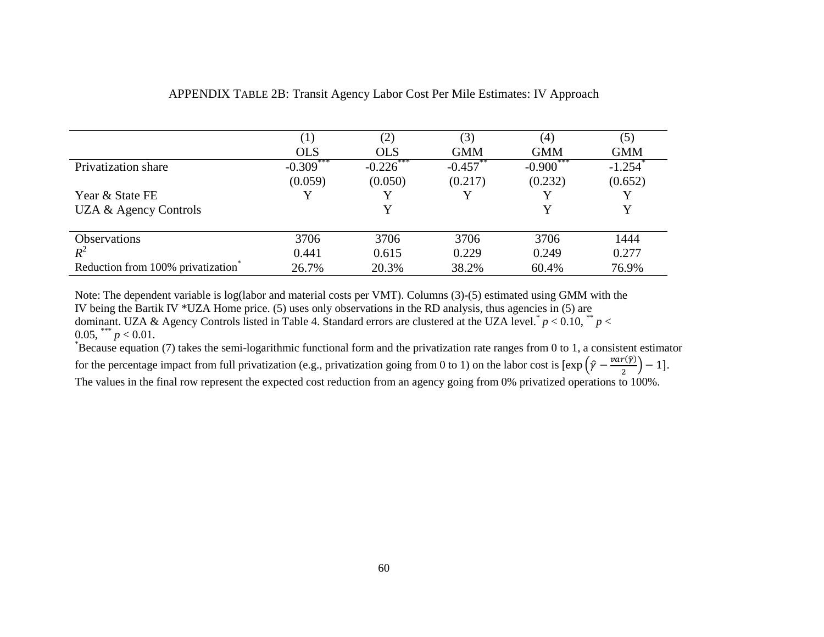|                                   |             |              | (3)        | (4)                | (5)                   |
|-----------------------------------|-------------|--------------|------------|--------------------|-----------------------|
|                                   | <b>OLS</b>  | <b>OLS</b>   | <b>GMM</b> | <b>GMM</b>         | <b>GMM</b>            |
| Privatization share               | $-0.309***$ | $-0.226$ *** | $-0.457$   | $-0.900^{\degree}$ | $-1.254$ <sup>*</sup> |
|                                   | (0.059)     | (0.050)      | (0.217)    | (0.232)            | (0.652)               |
| Year & State FE                   |             |              |            |                    |                       |
| UZA & Agency Controls             |             |              |            |                    | Y                     |
|                                   |             |              |            |                    |                       |
| <b>Observations</b>               | 3706        | 3706         | 3706       | 3706               | 1444                  |
| $R^2$                             | 0.441       | 0.615        | 0.229      | 0.249              | 0.277                 |
| Reduction from 100% privatization | 26.7%       | 20.3%        | 38.2%      | 60.4%              | 76.9%                 |

# APPENDIX TABLE 2B: Transit Agency Labor Cost Per Mile Estimates: IV Approach

Note: The dependent variable is log(labor and material costs per VMT). Columns (3)-(5) estimated using GMM with the IV being the Bartik IV \*UZA Home price. (5) uses only observations in the RD analysis, thus agencies in (5) are dominant. UZA & Agency Controls listed in Table 4. Standard errors are clustered at the UZA level.<sup>\*</sup>  $p < 0.10$ ,  $*$   $p <$  $0.05$ , \*\*\*  $p < 0.01$ .

Because equation (7) takes the semi-logarithmic functional form and the privatization rate ranges from 0 to 1, a consistent estimator for the percentage impact from full privatization (e.g., privatization going from 0 to 1) on the labor cost is  $\left[\exp\left(\hat{\gamma} - \frac{var(\hat{\gamma})}{2}\right) - 1\right]$ . The values in the final row represent the expected cost reduction from an agency going from 0% privatized operations to 100%.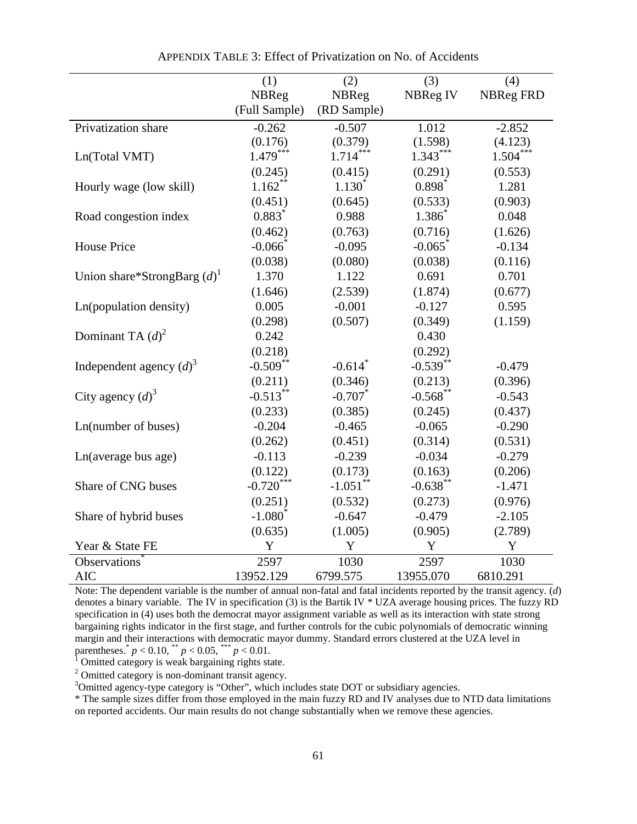|                                           | (1)           | (2)                   | (3)         | (4)              |
|-------------------------------------------|---------------|-----------------------|-------------|------------------|
|                                           | NBReg         | <b>NBReg</b>          | NBReg IV    | <b>NBReg FRD</b> |
|                                           | (Full Sample) | (RD Sample)           |             |                  |
| Privatization share                       | $-0.262$      | $-0.507$              | 1.012       | $-2.852$         |
|                                           | (0.176)       | (0.379)               | (1.598)     | (4.123)          |
| Ln(Total VMT)                             | $1.479***$    | $1.714***$            | $1.343***$  | $1.504***$       |
|                                           | (0.245)       | (0.415)               | (0.291)     | (0.553)          |
| Hourly wage (low skill)                   | $1.162**$     | $1.130^{*}$           | $0.898*$    | 1.281            |
|                                           | (0.451)       | (0.645)               | (0.533)     | (0.903)          |
| Road congestion index                     | $0.883*$      | 0.988                 | $1.386^{*}$ | 0.048            |
|                                           | (0.462)       | (0.763)               | (0.716)     | (1.626)          |
| <b>House Price</b>                        | $-0.066$      | $-0.095$              | $-0.065$    | $-0.134$         |
|                                           | (0.038)       | (0.080)               | (0.038)     | (0.116)          |
| Union share*StrongBarg $(d)$ <sup>1</sup> | 1.370         | 1.122                 | 0.691       | 0.701            |
|                                           | (1.646)       | (2.539)               | (1.874)     | (0.677)          |
| Ln(population density)                    | 0.005         | $-0.001$              | $-0.127$    | 0.595            |
|                                           | (0.298)       | (0.507)               | (0.349)     | (1.159)          |
| Dominant TA $(d)^2$                       | 0.242         |                       | 0.430       |                  |
|                                           | (0.218)       |                       | (0.292)     |                  |
| Independent agency $(d)^3$                | $-0.509$ **   | $-0.614$ <sup>*</sup> | $-0.539***$ | $-0.479$         |
|                                           | (0.211)       | (0.346)               | (0.213)     | (0.396)          |
| City agency $(d)^3$                       | $-0.513***$   | $-0.707$              | $-0.568$ ** | $-0.543$         |
|                                           | (0.233)       | (0.385)               | (0.245)     | (0.437)          |
| Ln(number of buses)                       | $-0.204$      | $-0.465$              | $-0.065$    | $-0.290$         |
|                                           | (0.262)       | (0.451)               | (0.314)     | (0.531)          |
| Ln(average bus age)                       | $-0.113$      | $-0.239$              | $-0.034$    | $-0.279$         |
|                                           | (0.122)       | (0.173)               | (0.163)     | (0.206)          |
| Share of CNG buses                        | $-0.720$ ***  | $-1.051***$           | $-0.638***$ | $-1.471$         |
|                                           | (0.251)       | (0.532)               | (0.273)     | (0.976)          |
| Share of hybrid buses                     | $-1.080^*$    | $-0.647$              | $-0.479$    | $-2.105$         |
|                                           | (0.635)       | (1.005)               | (0.905)     | (2.789)          |
| Year & State FE                           | Y             | Y                     | Y           | Y                |
| Observations <sup>*</sup>                 | 2597          | 1030                  | 2597        | 1030             |
| <b>AIC</b>                                | 13952.129     | 6799.575              | 13955.070   | 6810.291         |

APPENDIX TABLE 3: Effect of Privatization on No. of Accidents

Note: The dependent variable is the number of annual non-fatal and fatal incidents reported by the transit agency. (*d*) denotes a binary variable. The IV in specification (3) is the Bartik IV \* UZA average housing prices. The fuzzy RD specification in (4) uses both the democrat mayor assignment variable as well as its interaction with state strong bargaining rights indicator in the first stage, and further controls for the cubic polynomials of democratic winning margin and their interactions with democratic mayor dummy. Standard errors clustered at the UZA level in parentheses.<sup>\*</sup>  $p < 0.10$ , \*\*  $p < 0.05$ , \*\*\*  $p < 0.01$ .<br><sup>1</sup> Omitted category is weak bargaining rights state.

 $2$  Omitted category is non-dominant transit agency.

<sup>3</sup>Omitted agency-type category is "Other", which includes state DOT or subsidiary agencies.

\* The sample sizes differ from those employed in the main fuzzy RD and IV analyses due to NTD data limitations on reported accidents. Our main results do not change substantially when we remove these agencies.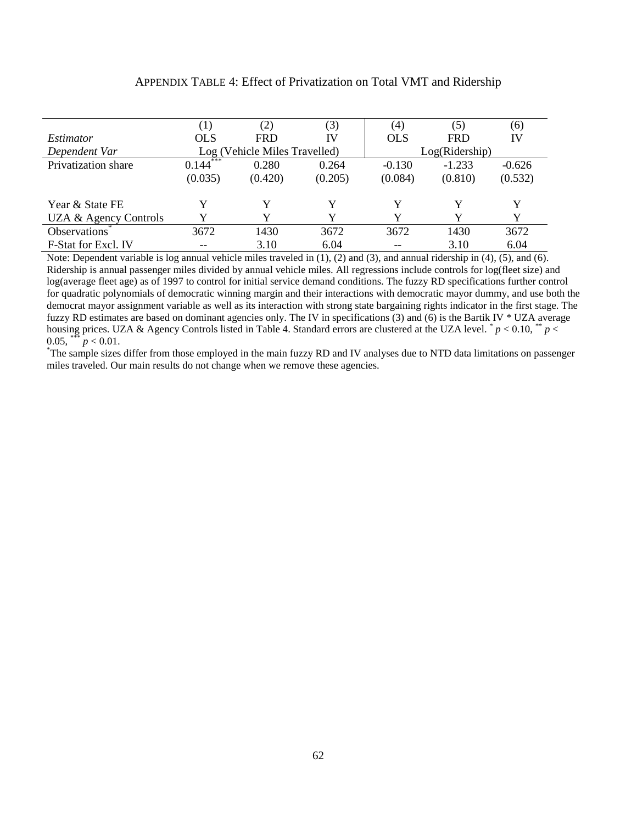|                           | $\left(1\right)$ | (2)                           | (3)     | (4)        | (5)            | (6)      |  |
|---------------------------|------------------|-------------------------------|---------|------------|----------------|----------|--|
| Estimator                 | <b>OLS</b>       | <b>FRD</b>                    | IV      | <b>OLS</b> | <b>FRD</b>     | IV       |  |
| Dependent Var             |                  | Log (Vehicle Miles Travelled) |         |            | Log(Ridership) |          |  |
| Privatization share       | $0.144***$       | 0.280                         | 0.264   | $-0.130$   | $-1.233$       | $-0.626$ |  |
|                           | (0.035)          | (0.420)                       | (0.205) | (0.084)    | (0.810)        | (0.532)  |  |
| Year & State FE           |                  |                               | Y       | Y          | Y              | Y        |  |
| UZA & Agency Controls     |                  |                               |         | Y          | V              | Y        |  |
| Observations <sup>®</sup> | 3672             | 1430                          | 3672    | 3672       | 1430           | 3672     |  |
| F-Stat for Excl. IV       |                  | 3.10                          | 6.04    | $- -$      | 3.10           | 6.04     |  |

## APPENDIX TABLE 4: Effect of Privatization on Total VMT and Ridership

Note: Dependent variable is log annual vehicle miles traveled in (1), (2) and (3), and annual ridership in (4), (5), and (6). Ridership is annual passenger miles divided by annual vehicle miles. All regressions include controls for log(fleet size) and log(average fleet age) as of 1997 to control for initial service demand conditions. The fuzzy RD specifications further control for quadratic polynomials of democratic winning margin and their interactions with democratic mayor dummy, and use both the democrat mayor assignment variable as well as its interaction with strong state bargaining rights indicator in the first stage. The fuzzy RD estimates are based on dominant agencies only. The IV in specifications (3) and (6) is the Bartik IV \* UZA average housing prices. UZA & Agency Controls listed in Table 4. Standard errors are clustered at the UZA level.  $p < 0.10$ ,  $p <$ 0.05, \*\*\*  $p < 0.01$ .

<sup>\*</sup>The sample sizes differ from those employed in the main fuzzy RD and IV analyses due to NTD data limitations on passenger miles traveled. Our main results do not change when we remove these agencies.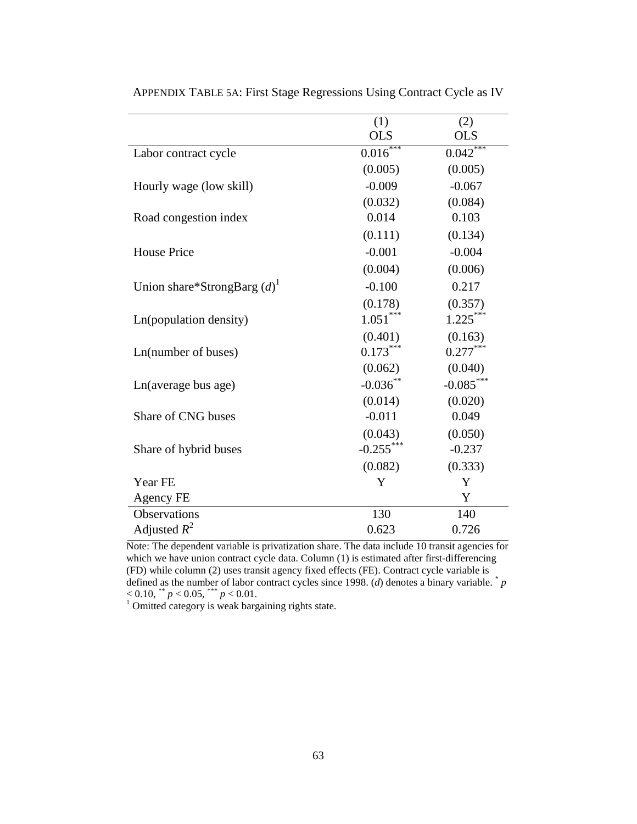|                                           | (1)         | (2)         |
|-------------------------------------------|-------------|-------------|
|                                           | <b>OLS</b>  | <b>OLS</b>  |
| Labor contract cycle                      | $0.016***$  | 0.042       |
|                                           | (0.005)     | (0.005)     |
| Hourly wage (low skill)                   | $-0.009$    | $-0.067$    |
|                                           | (0.032)     | (0.084)     |
| Road congestion index                     | 0.014       | 0.103       |
|                                           | (0.111)     | (0.134)     |
| <b>House Price</b>                        | $-0.001$    | $-0.004$    |
|                                           | (0.004)     | (0.006)     |
| Union share*StrongBarg $(d)$ <sup>1</sup> | $-0.100$    | 0.217       |
|                                           | (0.178)     | (0.357)     |
| Ln(population density)                    | $1.051***$  | $1.225***$  |
|                                           | (0.401)     | (0.163)     |
| Ln(number of buses)                       | $0.173***$  | $0.277***$  |
|                                           | (0.062)     | (0.040)     |
| Ln(average bus age)                       | $-0.036***$ | $-0.085***$ |
|                                           | (0.014)     | (0.020)     |
| Share of CNG buses                        | $-0.011$    | 0.049       |
|                                           | (0.043)     | (0.050)     |
| Share of hybrid buses                     | $-0.255***$ | $-0.237$    |
|                                           | (0.082)     | (0.333)     |
| Year FE                                   | Y           | Y           |
| Agency FE                                 |             | Y           |
| Observations                              | 130         | 140         |
| Adjusted $R^2$                            | 0.623       | 0.726       |

APPENDIX TABLE 5A: First Stage Regressions Using Contract Cycle as IV

Note: The dependent variable is privatization share. The data include 10 transit agencies for which we have union contract cycle data. Column (1) is estimated after first-differencing (FD) while column (2) uses transit agency fixed effects (FE). Contract cycle variable is defined as the number of labor contract cycles since 1998. (*d*) denotes a binary variable. \* *p*  $< 0.10$ , \*\*  $p < 0.05$ , \*\*\*  $p < 0.01$ .<br><sup>1</sup> Omitted category is weak bargaining rights state.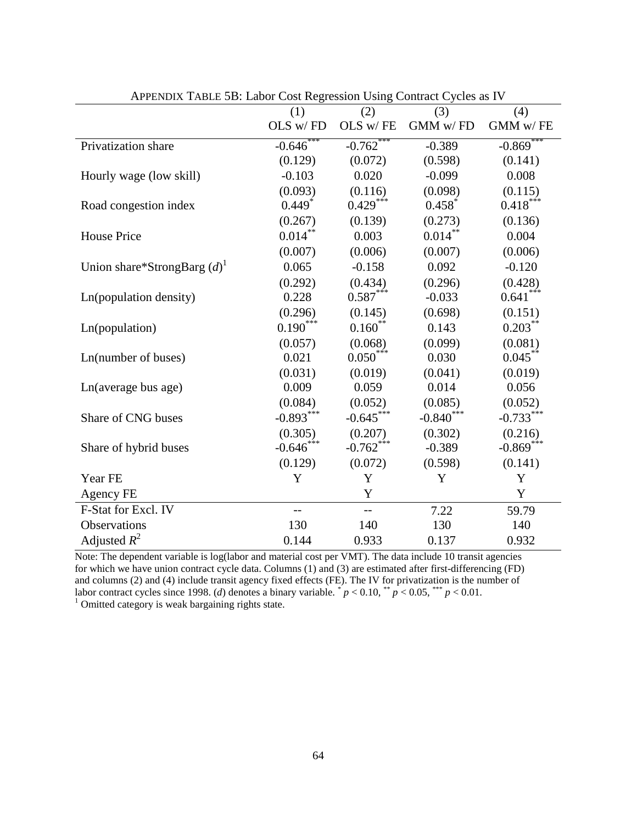| $\mu$ is the $\mu$ in the space of $\mu$ cost regression $\sigma$ sing |                 |                         | $\epsilon$ contract $\epsilon$ , cres as $\epsilon$ |                 |
|------------------------------------------------------------------------|-----------------|-------------------------|-----------------------------------------------------|-----------------|
|                                                                        | (1)<br>OLS w/FD | (2)<br>$OLS$ w/ $FE$    | (3)<br>GMM w/FD                                     | (4)<br>GMM w/FE |
|                                                                        |                 |                         |                                                     |                 |
| Privatization share                                                    | $-0.646$        | $-0.762$ **             | $-0.389$                                            | $-0.869$        |
|                                                                        | (0.129)         | (0.072)                 | (0.598)                                             | (0.141)         |
| Hourly wage (low skill)                                                | $-0.103$        | 0.020                   | $-0.099$                                            | 0.008           |
|                                                                        | (0.093)         | (0.116)                 | (0.098)                                             | (0.115)         |
| Road congestion index                                                  | 0.449           | $0.429***$              | 0.458                                               | $0.418***$      |
|                                                                        | (0.267)         | (0.139)                 | (0.273)                                             | (0.136)         |
| <b>House Price</b>                                                     | $0.014***$      | 0.003                   | $0.014***$                                          | 0.004           |
|                                                                        | (0.007)         | (0.006)                 | (0.007)                                             | (0.006)         |
| Union share*StrongBarg $(d)$ <sup>1</sup>                              | 0.065           | $-0.158$                | 0.092                                               | $-0.120$        |
|                                                                        | (0.292)         | (0.434)                 | (0.296)                                             | (0.428)         |
| Ln(population density)                                                 | 0.228           | $0.587***$              | $-0.033$                                            | $0.641***$      |
|                                                                        | (0.296)         | (0.145)                 | (0.698)                                             | (0.151)         |
| Ln(population)                                                         | $0.190***$      | $0.160$ **              | 0.143                                               | $0.203***$      |
|                                                                        | (0.057)         | (0.068)                 | (0.099)                                             | (0.081)         |
| Ln(number of buses)                                                    | 0.021           | $0.050***$              | 0.030                                               | $0.045***$      |
|                                                                        | (0.031)         | (0.019)                 | (0.041)                                             | (0.019)         |
| Ln(average bus age)                                                    | 0.009           | 0.059                   | 0.014                                               | 0.056           |
|                                                                        | (0.084)         | (0.052)                 | (0.085)                                             | (0.052)         |
| Share of CNG buses                                                     | $-0.893***$     | $-0.645***$             | $-0.840$ ***                                        | $-0.733***$     |
|                                                                        | (0.305)         | (0.207)                 | (0.302)                                             | (0.216)         |
| Share of hybrid buses                                                  | $-0.646$ ***    | $-0.762$ <sup>***</sup> | $-0.389$                                            | $-0.869***$     |
|                                                                        | (0.129)         | (0.072)                 | (0.598)                                             | (0.141)         |
| Year FE                                                                | Y               | Y                       | Y                                                   | Y               |
| Agency FE                                                              |                 | Y                       |                                                     | Y               |
| F-Stat for Excl. IV                                                    | $-$             | $-$                     | 7.22                                                | 59.79           |
| <b>Observations</b>                                                    | 130             | 140                     | 130                                                 | 140             |
| Adjusted $R^2$                                                         | 0.144           | 0.933                   | 0.137                                               | 0.932           |

APPENDIX TABLE 5B: Labor Cost Regression Using Contract Cycles as IV

Note: The dependent variable is log(labor and material cost per VMT). The data include 10 transit agencies for which we have union contract cycle data. Columns (1) and (3) are estimated after first-differencing (FD) and columns (2) and (4) include transit agency fixed effects (FE). The IV for privatization is the number of labor contract cycles since 1998. (*d*) denotes a binary variable.  $p' < 0.10$ ,  $p' < 0.05$ ,  $p' < 0.01$ .<br><sup>1</sup> Omitted category is weak bargaining rights state.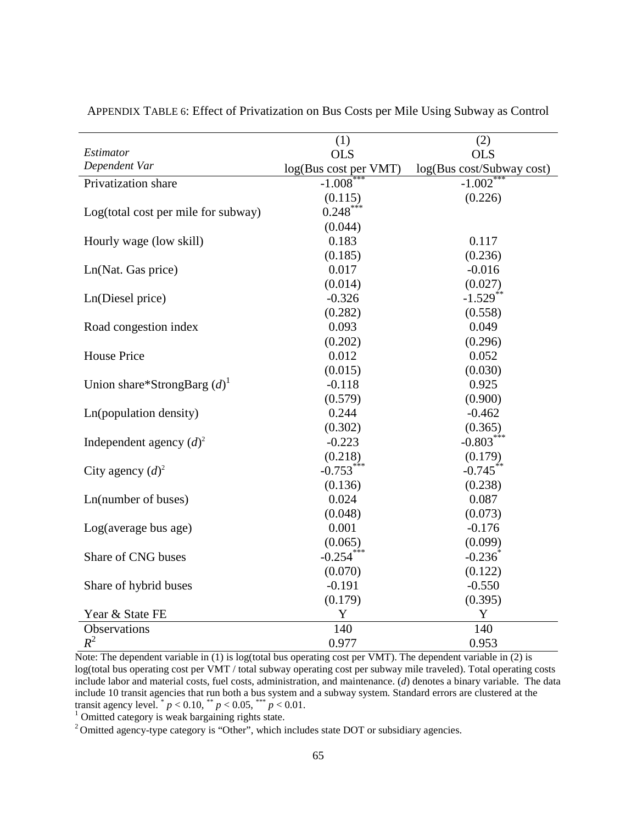|                                           | (1)                   | (2)                       |
|-------------------------------------------|-----------------------|---------------------------|
| Estimator                                 | <b>OLS</b>            | <b>OLS</b>                |
| Dependent Var                             | log(Bus cost per VMT) | log(Bus cost/Subway cost) |
| Privatization share                       | $-1.008$              | $-1.002$ <sup>*</sup>     |
|                                           | (0.115)               | (0.226)                   |
| Log(total cost per mile for subway)       | $0.248***$            |                           |
|                                           | (0.044)               |                           |
| Hourly wage (low skill)                   | 0.183                 | 0.117                     |
|                                           | (0.185)               | (0.236)                   |
| Ln(Nat. Gas price)                        | 0.017                 | $-0.016$                  |
|                                           | (0.014)               | (0.027)                   |
| Ln(Diesel price)                          | $-0.326$              | $-1.529$ <sup>**</sup>    |
|                                           | (0.282)               | (0.558)                   |
| Road congestion index                     | 0.093                 | 0.049                     |
|                                           | (0.202)               | (0.296)                   |
| <b>House Price</b>                        | 0.012                 | 0.052                     |
|                                           | (0.015)               | (0.030)                   |
| Union share*StrongBarg $(d)$ <sup>1</sup> | $-0.118$              | 0.925                     |
|                                           | (0.579)               | (0.900)                   |
| Ln(population density)                    | 0.244                 | $-0.462$                  |
|                                           | (0.302)               | (0.365)                   |
| Independent agency $(d)^2$                | $-0.223$              | $-0.803***$               |
|                                           | (0.218)               | (0.179)                   |
| City agency $(d)^2$                       | $-0.753***$           | $-0.745***$               |
|                                           | (0.136)               | (0.238)                   |
| Ln(number of buses)                       | 0.024                 | 0.087                     |
|                                           | (0.048)               | (0.073)                   |
| Log(average bus age)                      | 0.001                 | $-0.176$                  |
|                                           | (0.065)               | (0.099)                   |
| Share of CNG buses                        | $-0.254***$           | $-0.236$                  |
|                                           | (0.070)               | (0.122)                   |
| Share of hybrid buses                     | $-0.191$              | $-0.550$                  |
|                                           | (0.179)               | (0.395)                   |
| Year & State FE                           | $\mathbf Y$           | $\mathbf Y$               |
| Observations                              | 140                   | 140                       |
| $R^2$                                     | 0.977                 | 0.953                     |

APPENDIX TABLE 6: Effect of Privatization on Bus Costs per Mile Using Subway as Control

Note: The dependent variable in (1) is log(total bus operating cost per VMT). The dependent variable in (2) is log(total bus operating cost per VMT / total subway operating cost per subway mile traveled). Total operating costs include labor and material costs, fuel costs, administration, and maintenance. (*d*) denotes a binary variable. The data include 10 transit agencies that run both a bus system and a subway system. Standard errors are clustered at the transit agency level.  $p < 0.10$ ,  $p < 0.05$ ,  $p < 0.01$ .<br><sup>1</sup> Omitted category is weak bargaining rights state.

<sup>2</sup> Omitted agency-type category is "Other", which includes state DOT or subsidiary agencies.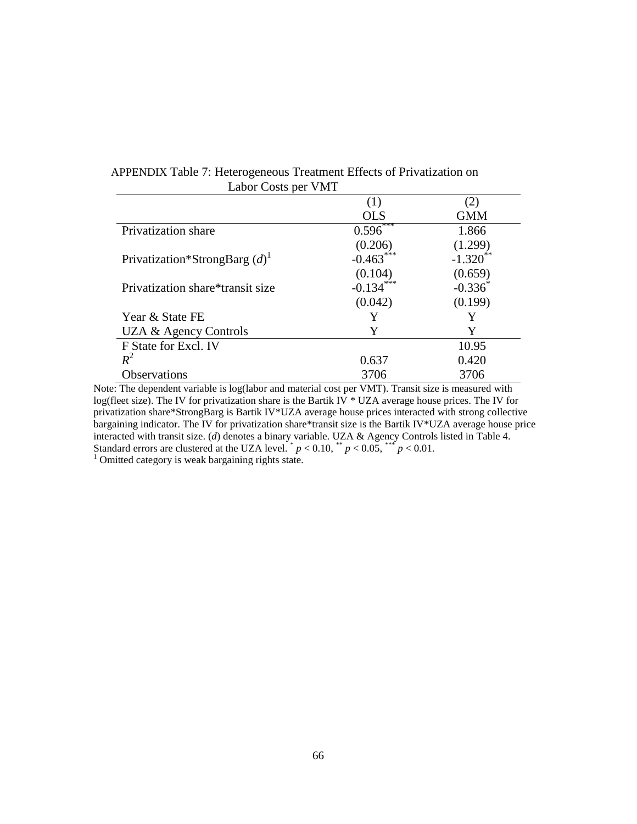| APPENDIX Table 7: Heterogeneous Treatment Effects of Privatization on |  |  |  |  |
|-----------------------------------------------------------------------|--|--|--|--|
| Labor Costs per VMT                                                   |  |  |  |  |

|                                             | (1)        | (2)        |
|---------------------------------------------|------------|------------|
|                                             | <b>OLS</b> | <b>GMM</b> |
| Privatization share                         | 0.596      | 1.866      |
|                                             | (0.206)    | (1.299)    |
| Privatization*StrongBarg $(d)$ <sup>1</sup> | $-0.463$   | $-1.320$   |
|                                             | (0.104)    | (0.659)    |
| Privatization share*transit size            | $-0.134$   | $-0.336^*$ |
|                                             | (0.042)    | (0.199)    |
| Year & State FE                             |            |            |
| UZA & Agency Controls                       | Y          | Y          |
| F State for Excl. IV                        |            | 10.95      |
| $R^2$                                       | 0.637      | 0.420      |
| <b>Observations</b>                         | 3706       | 3706       |

Note: The dependent variable is log(labor and material cost per VMT). Transit size is measured with log(fleet size). The IV for privatization share is the Bartik IV \* UZA average house prices. The IV for privatization share\*StrongBarg is Bartik IV\*UZA average house prices interacted with strong collective bargaining indicator. The IV for privatization share\*transit size is the Bartik IV\*UZA average house price interacted with transit size. (*d*) denotes a binary variable. UZA & Agency Controls listed in Table 4. Standard errors are clustered at the UZA level.  $p < 0.10$ ,  $p < 0.05$ ,  $p < 0.01$ .<br><sup>1</sup> Omitted category is weak bargaining rights state.